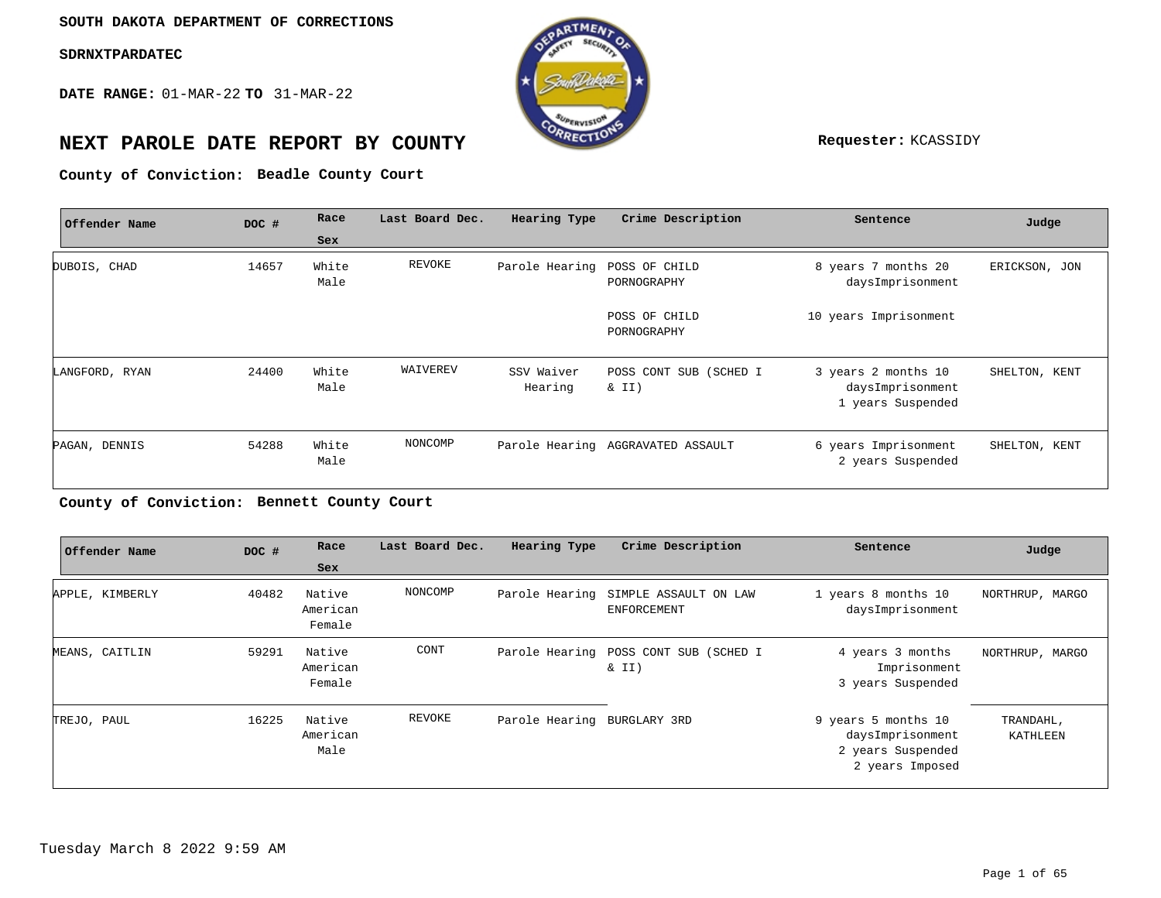**DATE RANGE:** 01-MAR-22 **TO** 31-MAR-22



# **NEXT PAROLE DATE REPORT BY COUNTY REPORT BY ALL PROPERTY REQUESTER:** KCASSIDY

**Beadle County Court County of Conviction:**

| Offender Name  | DOC # | Race          | Last Board Dec. | Hearing Type                 | Crime Description                 | Sentence                                                     | Judge         |
|----------------|-------|---------------|-----------------|------------------------------|-----------------------------------|--------------------------------------------------------------|---------------|
|                |       | Sex           |                 |                              |                                   |                                                              |               |
| DUBOIS, CHAD   | 14657 | White<br>Male | REVOKE          | Parole Hearing POSS OF CHILD | PORNOGRAPHY                       | 8 years 7 months 20<br>daysImprisonment                      | ERICKSON, JON |
|                |       |               |                 |                              | POSS OF CHILD<br>PORNOGRAPHY      | 10 years Imprisonment                                        |               |
| LANGFORD, RYAN | 24400 | White<br>Male | WAIVEREV        | SSV Waiver<br>Hearing        | POSS CONT SUB (SCHED I<br>& II)   | 3 years 2 months 10<br>daysImprisonment<br>1 years Suspended | SHELTON, KENT |
| PAGAN, DENNIS  | 54288 | White<br>Male | NONCOMP         |                              | Parole Hearing AGGRAVATED ASSAULT | 6 years Imprisonment<br>2 years Suspended                    | SHELTON, KENT |

#### **Bennett County Court County of Conviction:**

|             | Offender Name   | DOC # | Race<br><b>Sex</b>           | Last Board Dec. | Hearing Type                | Crime Description                                          | Sentence                                                                        | Judge                 |
|-------------|-----------------|-------|------------------------------|-----------------|-----------------------------|------------------------------------------------------------|---------------------------------------------------------------------------------|-----------------------|
|             | APPLE, KIMBERLY | 40482 | Native<br>American<br>Female | NONCOMP         |                             | Parole Hearing SIMPLE ASSAULT ON LAW<br><b>ENFORCEMENT</b> | 1 years 8 months 10<br>daysImprisonment                                         | NORTHRUP, MARGO       |
|             | MEANS, CAITLIN  | 59291 | Native<br>American<br>Female | CONT            |                             | Parole Hearing POSS CONT SUB (SCHED I<br>$\&$ II)          | 4 years 3 months<br>Imprisonment<br>3 years Suspended                           | NORTHRUP, MARGO       |
| TREJO, PAUL |                 | 16225 | Native<br>American<br>Male   | REVOKE          | Parole Hearing BURGLARY 3RD |                                                            | 9 years 5 months 10<br>daysImprisonment<br>2 years Suspended<br>2 years Imposed | TRANDAHL,<br>KATHLEEN |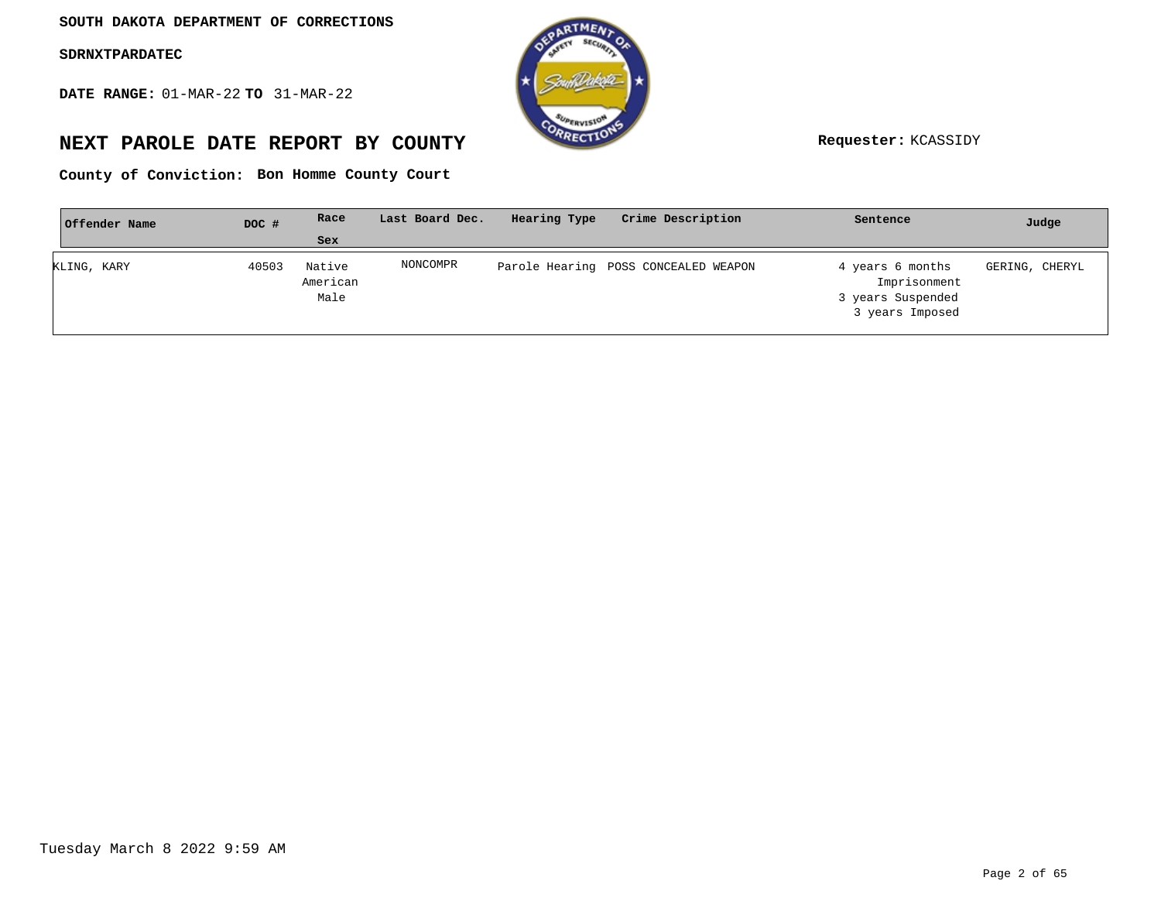**DATE RANGE:** 01-MAR-22 **TO** 31-MAR-22



# **NEXT PAROLE DATE REPORT BY COUNTY Requester:** KCASSIDY

**Bon Homme County Court County of Conviction:**

| Offender Name | DOC # | Race                       | Last Board Dec. | Hearing Type | Crime Description                    | Sentence                                                                 | Judge          |
|---------------|-------|----------------------------|-----------------|--------------|--------------------------------------|--------------------------------------------------------------------------|----------------|
|               |       | Sex                        |                 |              |                                      |                                                                          |                |
| KLING, KARY   | 40503 | Native<br>American<br>Male | NONCOMPR        |              | Parole Hearing POSS CONCEALED WEAPON | 4 years 6 months<br>Imprisonment<br>3 years Suspended<br>3 years Imposed | GERING, CHERYL |
|               |       |                            |                 |              |                                      |                                                                          |                |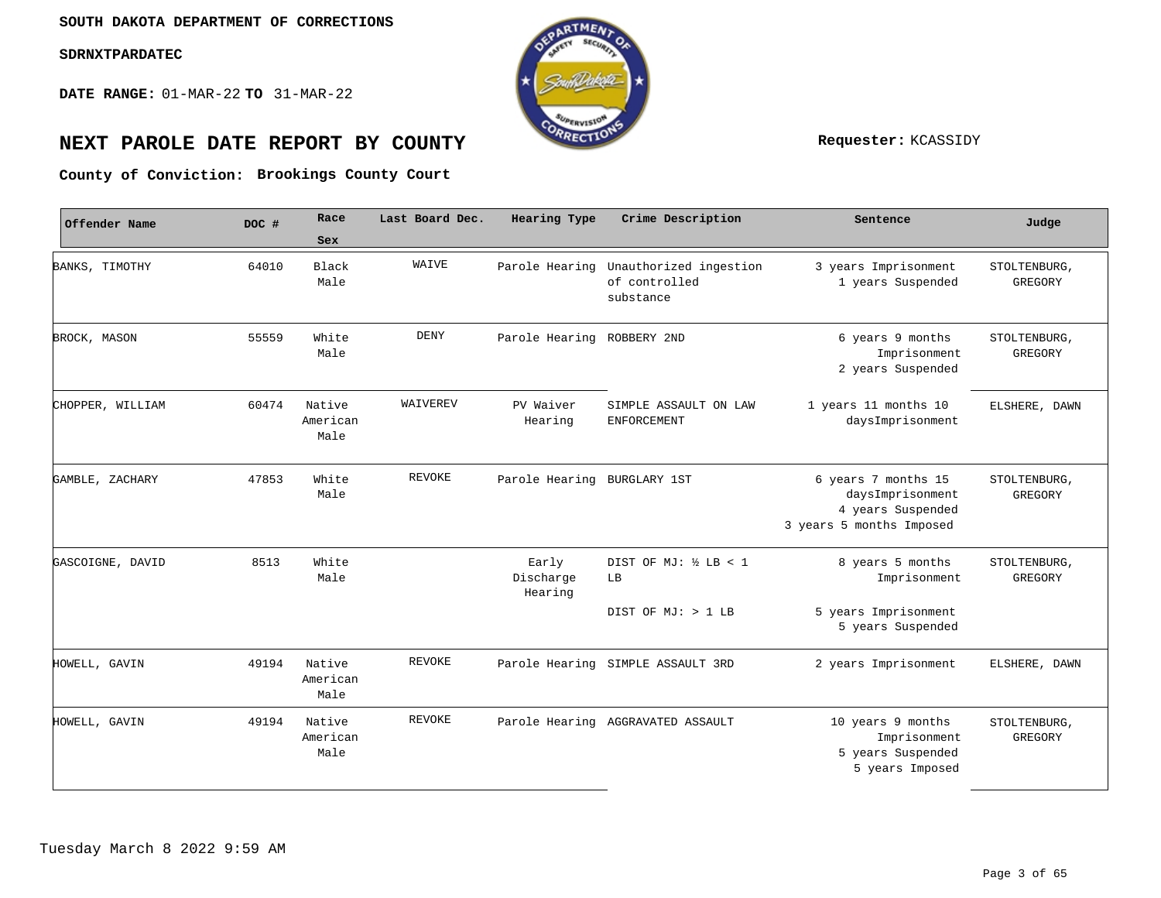**DATE RANGE:** 01-MAR-22 **TO** 31-MAR-22



# **NEXT PAROLE DATE REPORT BY COUNTY Requester:** KCASSIDY

**Brookings County Court County of Conviction:**

| Offender Name    | DOC # | Race<br><b>Sex</b>         | Last Board Dec. | Hearing Type                  | Crime Description                                    | Sentence                                                                                 | Judge                   |
|------------------|-------|----------------------------|-----------------|-------------------------------|------------------------------------------------------|------------------------------------------------------------------------------------------|-------------------------|
| BANKS, TIMOTHY   | 64010 | Black<br>Male              | WAIVE           | Parole Hearing                | Unauthorized ingestion<br>of controlled<br>substance | 3 years Imprisonment<br>1 years Suspended                                                | STOLTENBURG<br>GREGORY  |
| BROCK, MASON     | 55559 | White<br>Male              | DENY            | Parole Hearing ROBBERY 2ND    |                                                      | 6 years 9 months<br>Imprisonment<br>2 years Suspended                                    | STOLTENBURG<br>GREGORY  |
| CHOPPER, WILLIAM | 60474 | Native<br>American<br>Male | WAIVEREV        | PV Waiver<br>Hearing          | SIMPLE ASSAULT ON LAW<br><b>ENFORCEMENT</b>          | 1 years 11 months 10<br>daysImprisonment                                                 | ELSHERE, DAWN           |
| GAMBLE, ZACHARY  | 47853 | White<br>Male              | REVOKE          | Parole Hearing BURGLARY 1ST   |                                                      | 6 years 7 months 15<br>daysImprisonment<br>4 years Suspended<br>3 years 5 months Imposed | STOLTENBURG,<br>GREGORY |
| GASCOIGNE, DAVID | 8513  | White<br>Male              |                 | Early<br>Discharge<br>Hearing | DIST OF MJ: ½ LB < 1<br>LB                           | 8 years 5 months<br>Imprisonment                                                         | STOLTENBURG<br>GREGORY  |
|                  |       |                            |                 |                               | DIST OF MJ: > 1 LB                                   | 5 years Imprisonment<br>5 years Suspended                                                |                         |
| HOWELL, GAVIN    | 49194 | Native<br>American<br>Male | REVOKE          |                               | Parole Hearing SIMPLE ASSAULT 3RD                    | 2 years Imprisonment                                                                     | ELSHERE, DAWN           |
| HOWELL, GAVIN    | 49194 | Native<br>American<br>Male | REVOKE          |                               | Parole Hearing AGGRAVATED ASSAULT                    | 10 years 9 months<br>Imprisonment<br>5 years Suspended<br>5 years Imposed                | STOLTENBURG,<br>GREGORY |
|                  |       |                            |                 |                               |                                                      |                                                                                          |                         |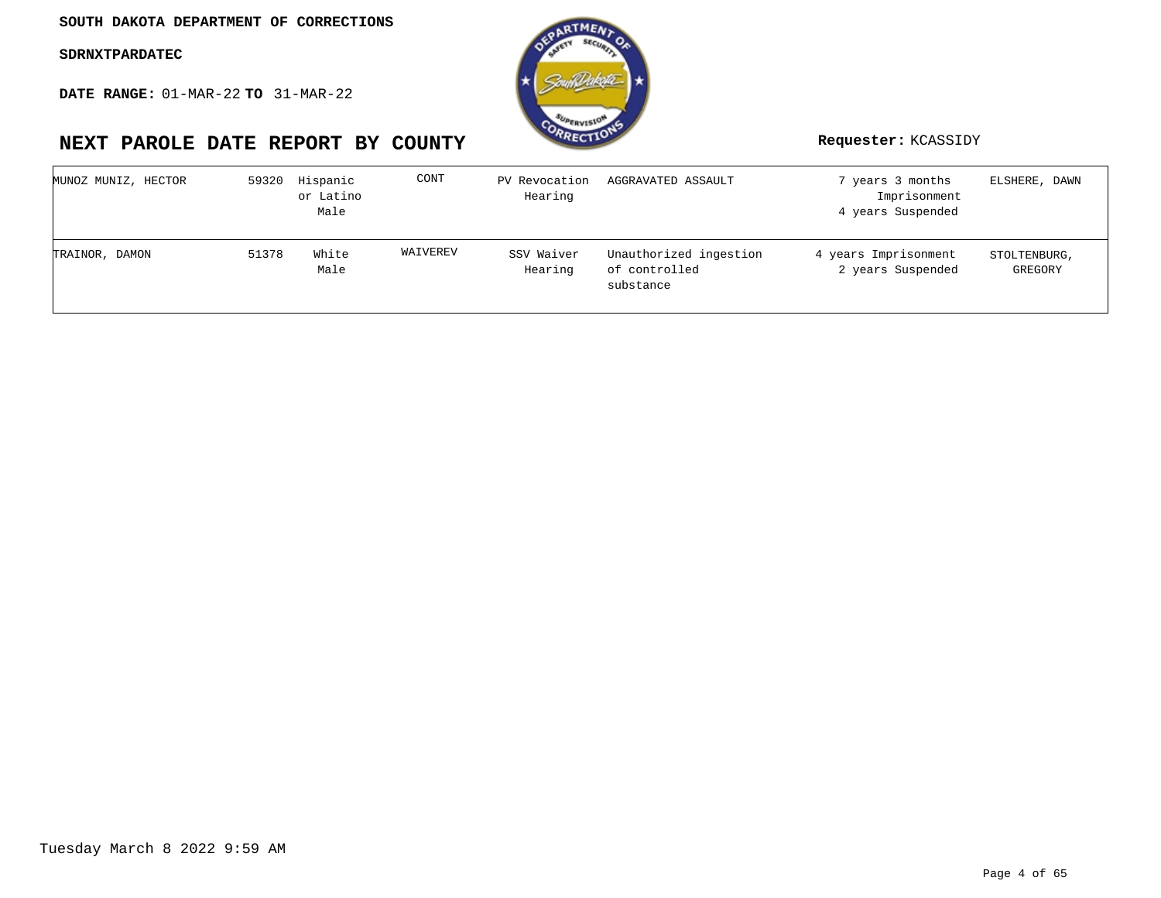**DATE RANGE:** 01-MAR-22 **TO** 31-MAR-22

# **NEXT PAROLE DATE REPORT BY COUNTY Requester:** KCASSIDY

**OTME** 

| MUNOZ MUNIZ, HECTOR | 59320 | Hispanic<br>or Latino<br>Male | CONT     | PV Revocation<br>Hearing | AGGRAVATED ASSAULT                                   | 7 years 3 months<br>Imprisonment<br>4 years Suspended | ELSHERE, DAWN           |
|---------------------|-------|-------------------------------|----------|--------------------------|------------------------------------------------------|-------------------------------------------------------|-------------------------|
| TRAINOR, DAMON      | 51378 | White<br>Male                 | WAIVEREV | SSV Waiver<br>Hearing    | Unauthorized ingestion<br>of controlled<br>substance | 4 years Imprisonment<br>2 years Suspended             | STOLTENBURG,<br>GREGORY |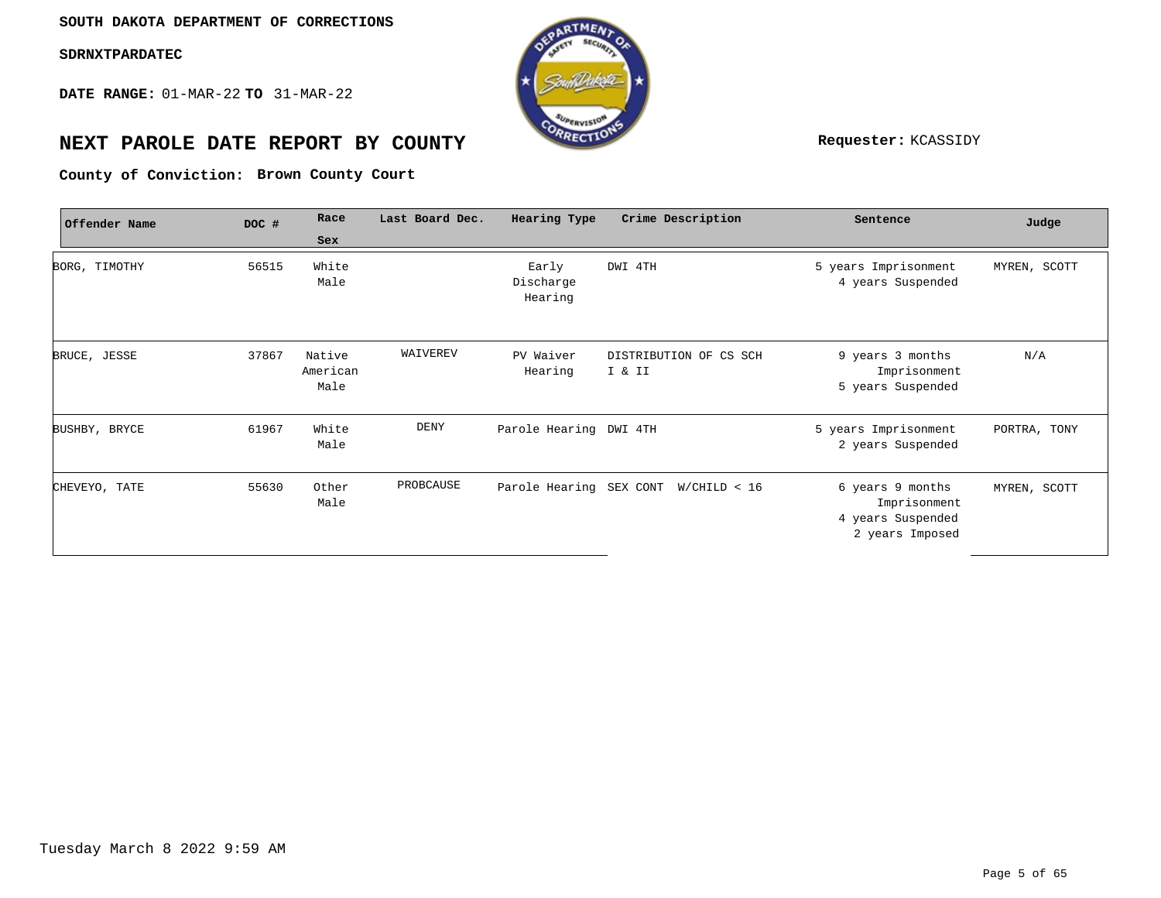**DATE RANGE:** 01-MAR-22 **TO** 31-MAR-22



# **NEXT PAROLE DATE REPORT BY COUNTY Requester:** KCASSIDY

**Brown County Court County of Conviction:**

| Offender Name | DOC # | Race                       | Last Board Dec. | Hearing Type                  | Crime Description                    | Sentence                                                                 | Judge        |
|---------------|-------|----------------------------|-----------------|-------------------------------|--------------------------------------|--------------------------------------------------------------------------|--------------|
|               |       | Sex                        |                 |                               |                                      |                                                                          |              |
| BORG, TIMOTHY | 56515 | White<br>Male              |                 | Early<br>Discharge<br>Hearing | DWI 4TH                              | 5 years Imprisonment<br>4 years Suspended                                | MYREN, SCOTT |
| BRUCE, JESSE  | 37867 | Native<br>American<br>Male | WAIVEREV        | PV Waiver<br>Hearing          | DISTRIBUTION OF CS SCH<br>I & II     | 9 years 3 months<br>Imprisonment<br>5 years Suspended                    | N/A          |
| BUSHBY, BRYCE | 61967 | White<br>Male              | DENY            | Parole Hearing DWI 4TH        |                                      | 5 years Imprisonment<br>2 years Suspended                                | PORTRA, TONY |
| CHEVEYO, TATE | 55630 | Other<br>Male              | PROBCAUSE       |                               | Parole Hearing SEX CONT W/CHILD < 16 | 6 years 9 months<br>Imprisonment<br>4 years Suspended<br>2 years Imposed | MYREN, SCOTT |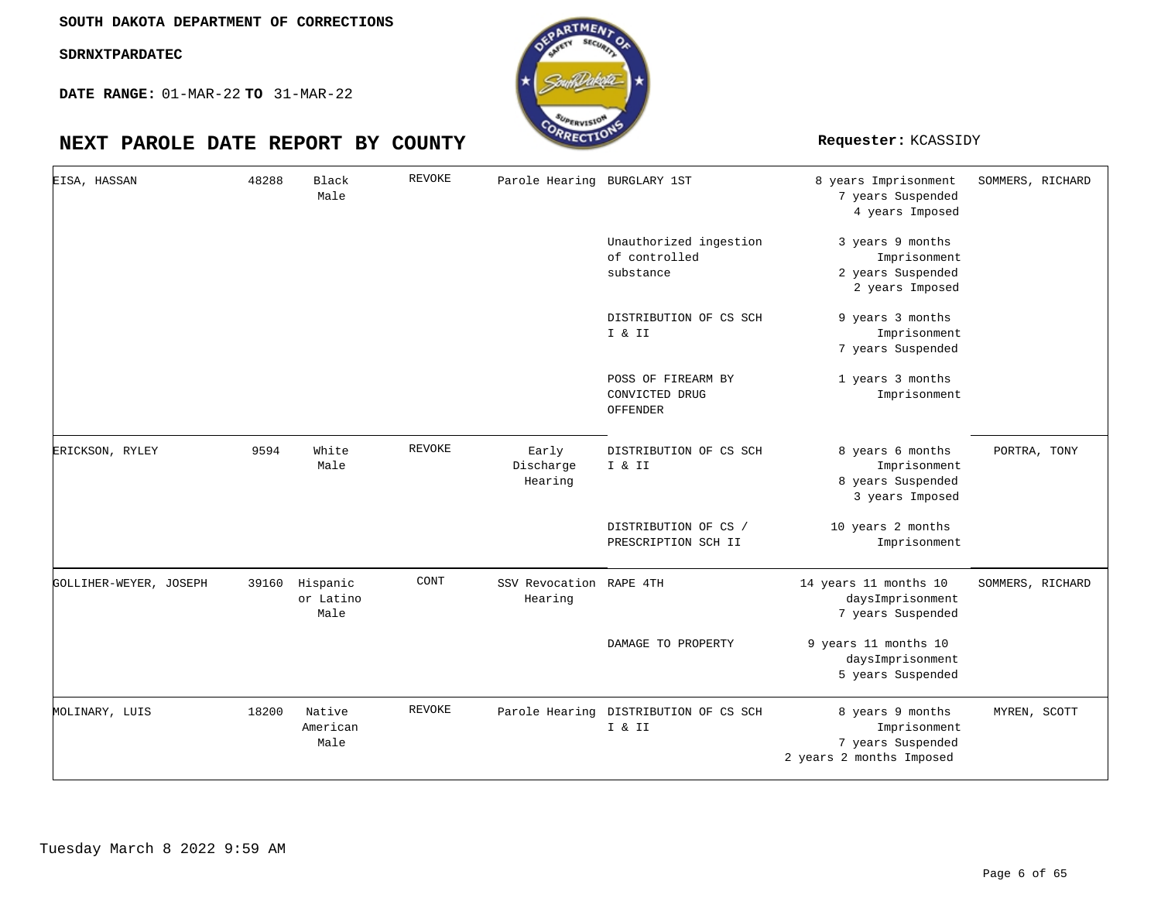

| EISA, HASSAN           | 48288 | Black<br>Male                 | <b>REVOKE</b> | Parole Hearing BURGLARY 1ST        |                                                      | 8 years Imprisonment<br>7 years Suspended<br>4 years Imposed                      | SOMMERS, RICHARD |
|------------------------|-------|-------------------------------|---------------|------------------------------------|------------------------------------------------------|-----------------------------------------------------------------------------------|------------------|
|                        |       |                               |               |                                    | Unauthorized ingestion<br>of controlled<br>substance | 3 years 9 months<br>Imprisonment<br>2 years Suspended<br>2 years Imposed          |                  |
|                        |       |                               |               |                                    | DISTRIBUTION OF CS SCH<br>I & II                     | 9 years 3 months<br>Imprisonment<br>7 years Suspended                             |                  |
|                        |       |                               |               |                                    | POSS OF FIREARM BY<br>CONVICTED DRUG<br>OFFENDER     | 1 years 3 months<br>Imprisonment                                                  |                  |
| ERICKSON, RYLEY        | 9594  | White<br>Male                 | <b>REVOKE</b> | Early<br>Discharge<br>Hearing      | DISTRIBUTION OF CS SCH<br>I & II                     | 8 years 6 months<br>Imprisonment<br>8 years Suspended<br>3 years Imposed          | PORTRA, TONY     |
|                        |       |                               |               |                                    | DISTRIBUTION OF CS /<br>PRESCRIPTION SCH II          | 10 years 2 months<br>Imprisonment                                                 |                  |
| GOLLIHER-WEYER, JOSEPH | 39160 | Hispanic<br>or Latino<br>Male | CONT          | SSV Revocation RAPE 4TH<br>Hearing |                                                      | 14 years 11 months 10<br>daysImprisonment<br>7 years Suspended                    | SOMMERS, RICHARD |
|                        |       |                               |               |                                    | DAMAGE TO PROPERTY                                   | 9 years 11 months 10<br>daysImprisonment<br>5 years Suspended                     |                  |
| MOLINARY, LUIS         | 18200 | Native<br>American<br>Male    | <b>REVOKE</b> |                                    | Parole Hearing DISTRIBUTION OF CS SCH<br>I & II      | 8 years 9 months<br>Imprisonment<br>7 years Suspended<br>2 years 2 months Imposed | MYREN, SCOTT     |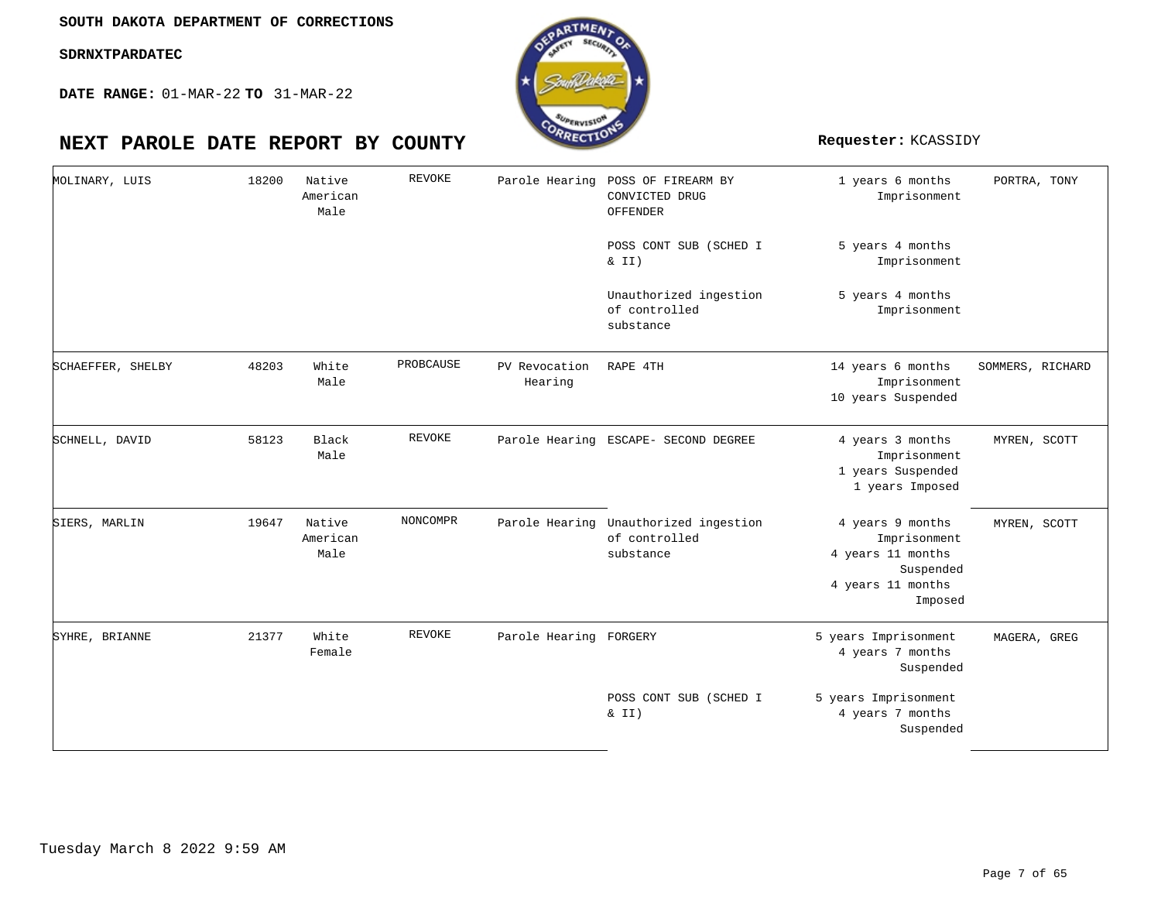

| MOLINARY, LUIS    | 18200 | Native<br>American<br>Male | <b>REVOKE</b> | Parole Hearing           | POSS OF FIREARM BY<br>CONVICTED DRUG<br>OFFENDER                    | 1 years 6 months<br>Imprisonment                                                                   | PORTRA, TONY     |
|-------------------|-------|----------------------------|---------------|--------------------------|---------------------------------------------------------------------|----------------------------------------------------------------------------------------------------|------------------|
|                   |       |                            |               |                          | POSS CONT SUB (SCHED I<br>& II)                                     | 5 years 4 months<br>Imprisonment                                                                   |                  |
|                   |       |                            |               |                          | Unauthorized ingestion<br>of controlled<br>substance                | 5 years 4 months<br>Imprisonment                                                                   |                  |
| SCHAEFFER, SHELBY | 48203 | White<br>Male              | PROBCAUSE     | PV Revocation<br>Hearing | RAPE 4TH                                                            | 14 years 6 months<br>Imprisonment<br>10 years Suspended                                            | SOMMERS, RICHARD |
| SCHNELL, DAVID    | 58123 | Black<br>Male              | <b>REVOKE</b> |                          | Parole Hearing ESCAPE- SECOND DEGREE                                | 4 years 3 months<br>Imprisonment<br>1 years Suspended<br>1 years Imposed                           | MYREN, SCOTT     |
| SIERS, MARLIN     | 19647 | Native<br>American<br>Male | NONCOMPR      |                          | Parole Hearing Unauthorized ingestion<br>of controlled<br>substance | 4 years 9 months<br>Imprisonment<br>4 years 11 months<br>Suspended<br>4 years 11 months<br>Imposed | MYREN, SCOTT     |
| SYHRE, BRIANNE    | 21377 | White<br>Female            | <b>REVOKE</b> | Parole Hearing FORGERY   |                                                                     | 5 years Imprisonment<br>4 years 7 months<br>Suspended                                              | MAGERA, GREG     |
|                   |       |                            |               |                          | POSS CONT SUB (SCHED I<br>$\&$ II)                                  | 5 years Imprisonment<br>4 years 7 months<br>Suspended                                              |                  |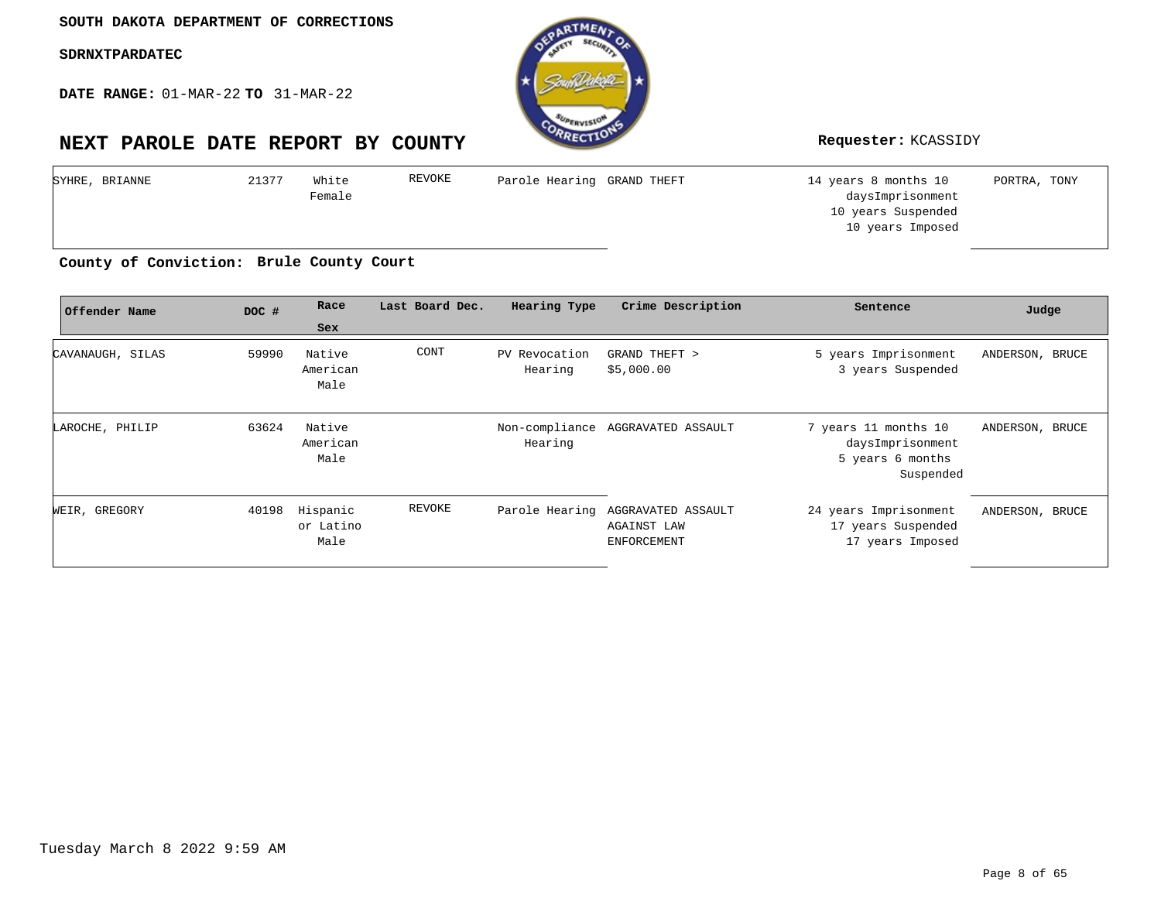**DATE RANGE:** 01-MAR-22 **TO** 31-MAR-22



| SYHRE, BRIANNE | 21377 | White  | REVOKE | Parole Hearing GRAND THEFT | 14 years 8 months 10 | PORTRA, TONY |
|----------------|-------|--------|--------|----------------------------|----------------------|--------------|
|                |       | Female |        |                            | daysImprisonment     |              |
|                |       |        |        |                            | 10 years Suspended   |              |
|                |       |        |        |                            | 10 years Imposed     |              |
|                |       |        |        |                            |                      |              |

**Brule County Court County of Conviction:**

| Offender Name    | DOC # | Race                          | Last Board Dec. | Hearing Type             | Crime Description                                                             | Sentence                                                                  | Judge           |
|------------------|-------|-------------------------------|-----------------|--------------------------|-------------------------------------------------------------------------------|---------------------------------------------------------------------------|-----------------|
|                  |       | Sex                           |                 |                          |                                                                               |                                                                           |                 |
| CAVANAUGH, SILAS | 59990 | Native<br>American<br>Male    | CONT            | PV Revocation<br>Hearing | GRAND THEFT ><br>\$5,000.00                                                   | 5 years Imprisonment<br>3 years Suspended                                 | ANDERSON, BRUCE |
| LAROCHE, PHILIP  | 63624 | Native<br>American<br>Male    |                 | Hearing                  | Non-compliance AGGRAVATED ASSAULT                                             | 7 years 11 months 10<br>daysImprisonment<br>5 years 6 months<br>Suspended | ANDERSON, BRUCE |
| WEIR, GREGORY    | 40198 | Hispanic<br>or Latino<br>Male | REVOKE          |                          | Parole Hearing AGGRAVATED ASSAULT<br><b>AGAINST LAW</b><br><b>ENFORCEMENT</b> | 24 years Imprisonment<br>17 years Suspended<br>17 years Imposed           | ANDERSON, BRUCE |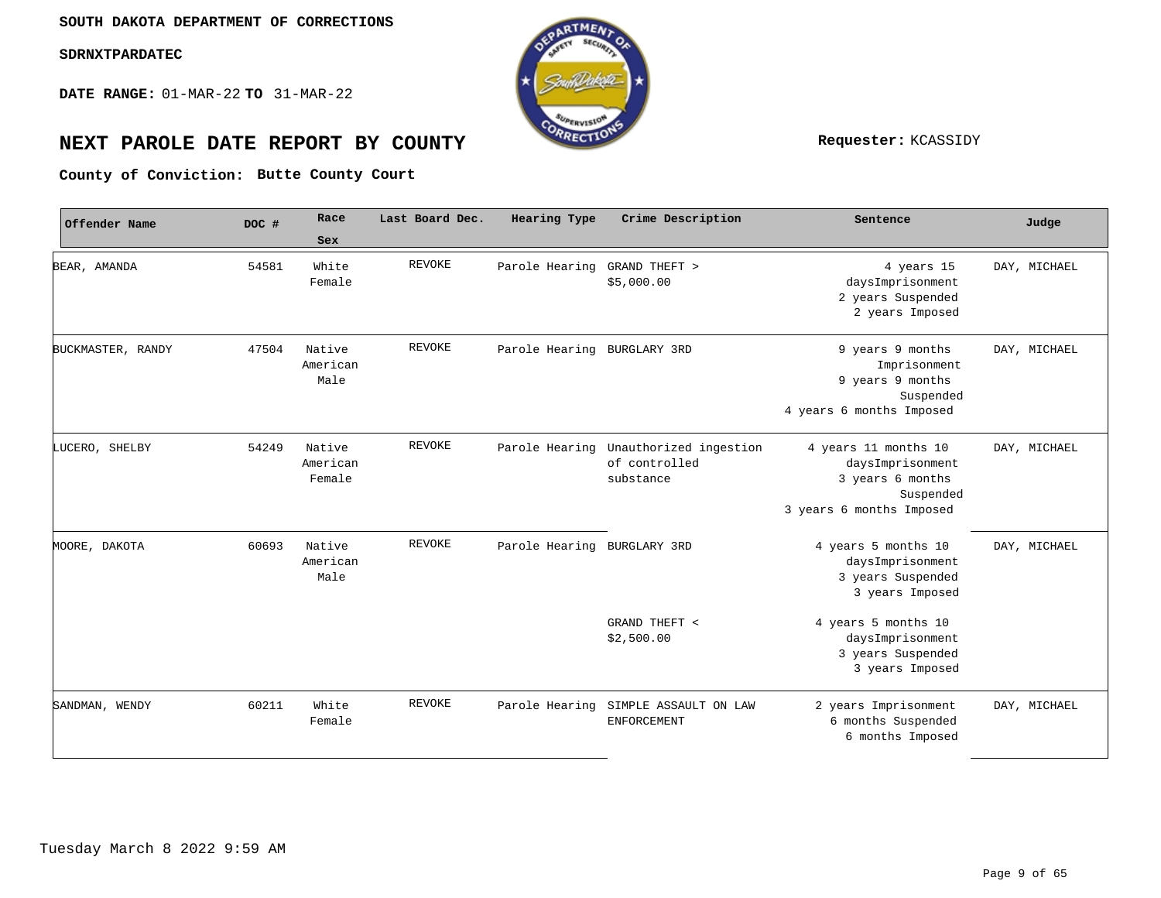**DATE RANGE:** 01-MAR-22 **TO** 31-MAR-22



# **NEXT PAROLE DATE REPORT BY COUNTY REPORT BY ALL PROPERTY REQUESTER:** KCASSIDY

**Butte County Court County of Conviction:**

| Offender Name     | DOC # | Race                         | Last Board Dec. | Hearing Type                | Crime Description                                                   | Sentence                                                                                              | Judge        |
|-------------------|-------|------------------------------|-----------------|-----------------------------|---------------------------------------------------------------------|-------------------------------------------------------------------------------------------------------|--------------|
|                   |       | Sex                          |                 |                             |                                                                     |                                                                                                       |              |
| BEAR, AMANDA      | 54581 | White<br>Female              | <b>REVOKE</b>   | Parole Hearing              | GRAND THEFT ><br>\$5,000.00                                         | 4 years 15<br>daysImprisonment<br>2 years Suspended<br>2 years Imposed                                | DAY, MICHAEL |
| BUCKMASTER, RANDY | 47504 | Native<br>American<br>Male   | <b>REVOKE</b>   | Parole Hearing BURGLARY 3RD |                                                                     | 9 years 9 months<br>Imprisonment<br>9 years 9 months<br>Suspended<br>4 years 6 months Imposed         | DAY, MICHAEL |
| LUCERO, SHELBY    | 54249 | Native<br>American<br>Female | <b>REVOKE</b>   |                             | Parole Hearing Unauthorized ingestion<br>of controlled<br>substance | 4 years 11 months 10<br>daysImprisonment<br>3 years 6 months<br>Suspended<br>3 years 6 months Imposed | DAY, MICHAEL |
| MOORE, DAKOTA     | 60693 | Native<br>American<br>Male   | <b>REVOKE</b>   | Parole Hearing BURGLARY 3RD |                                                                     | 4 years 5 months 10<br>daysImprisonment<br>3 years Suspended<br>3 years Imposed                       | DAY, MICHAEL |
|                   |       |                              |                 |                             | GRAND THEFT <<br>\$2,500.00                                         | 4 years 5 months 10<br>daysImprisonment<br>3 years Suspended<br>3 years Imposed                       |              |
| SANDMAN, WENDY    | 60211 | White<br>Female              | REVOKE          | Parole Hearing              | SIMPLE ASSAULT ON LAW<br><b>ENFORCEMENT</b>                         | 2 years Imprisonment<br>6 months Suspended<br>6 months Imposed                                        | DAY, MICHAEL |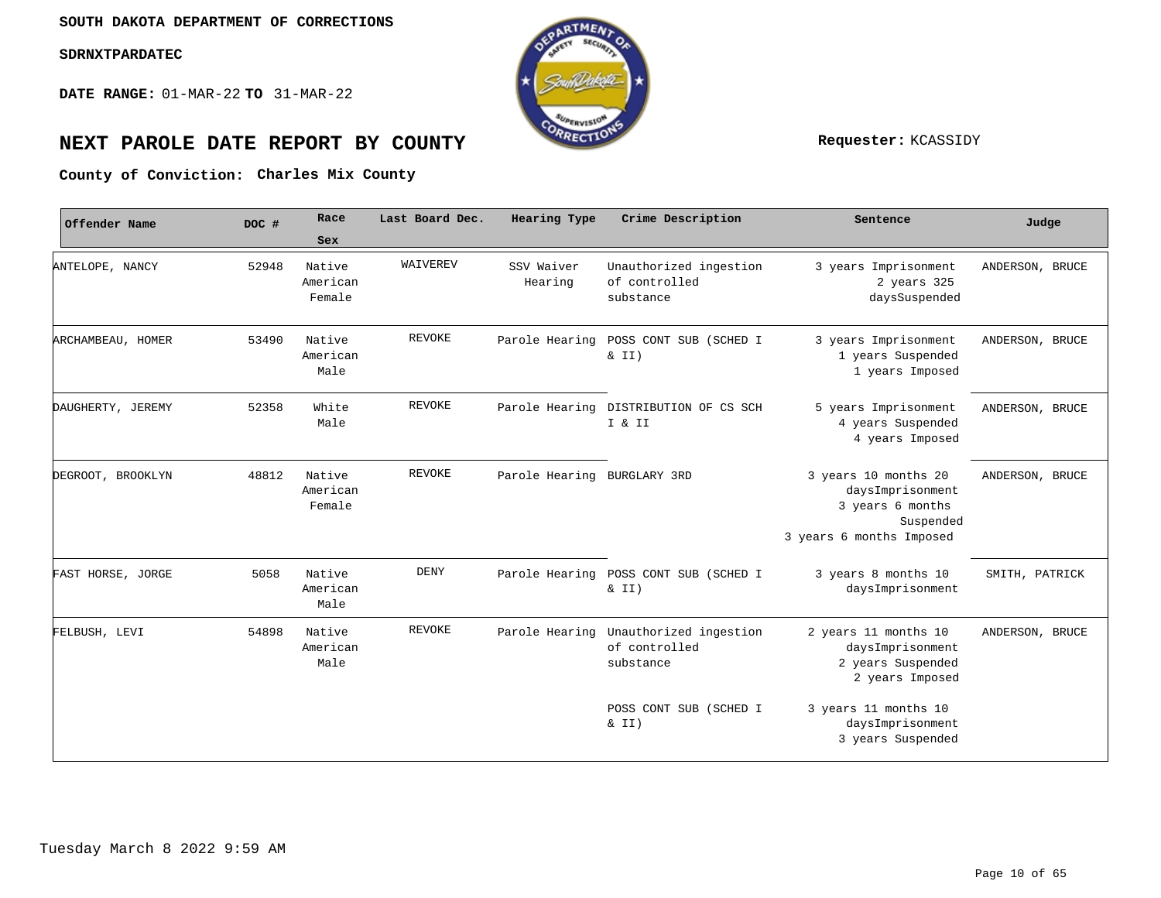**DATE RANGE:** 01-MAR-22 **TO** 31-MAR-22



# **NEXT PAROLE DATE REPORT BY COUNTY Requester:** KCASSIDY

#### County of Conviction: Charles Mix County

| Offender Name     | DOC # | Race                         | Last Board Dec. | Hearing Type                | Crime Description                                    | Sentence                                                                                              | Judge           |
|-------------------|-------|------------------------------|-----------------|-----------------------------|------------------------------------------------------|-------------------------------------------------------------------------------------------------------|-----------------|
|                   |       | Sex                          |                 |                             |                                                      |                                                                                                       |                 |
| ANTELOPE, NANCY   | 52948 | Native<br>American<br>Female | WAIVEREV        | SSV Waiver<br>Hearing       | Unauthorized ingestion<br>of controlled<br>substance | 3 years Imprisonment<br>2 years 325<br>daysSuspended                                                  | ANDERSON, BRUCE |
| ARCHAMBEAU, HOMER | 53490 | Native<br>American<br>Male   | <b>REVOKE</b>   | Parole Hearing              | POSS CONT SUB (SCHED I<br>$\&$ II)                   | 3 years Imprisonment<br>1 years Suspended<br>1 years Imposed                                          | ANDERSON, BRUCE |
| DAUGHERTY, JEREMY | 52358 | White<br>Male                | <b>REVOKE</b>   | Parole Hearing              | DISTRIBUTION OF CS SCH<br>I & II                     | 5 years Imprisonment<br>4 years Suspended<br>4 years Imposed                                          | ANDERSON, BRUCE |
| DEGROOT, BROOKLYN | 48812 | Native<br>American<br>Female | <b>REVOKE</b>   | Parole Hearing BURGLARY 3RD |                                                      | 3 years 10 months 20<br>daysImprisonment<br>3 years 6 months<br>Suspended<br>3 years 6 months Imposed | ANDERSON, BRUCE |
| FAST HORSE, JORGE | 5058  | Native<br>American<br>Male   | DENY            |                             | Parole Hearing POSS CONT SUB (SCHED I<br>$\&$ II)    | 3 years 8 months 10<br>daysImprisonment                                                               | SMITH, PATRICK  |
| FELBUSH, LEVI     | 54898 | Native<br>American<br>Male   | <b>REVOKE</b>   | Parole Hearing              | Unauthorized ingestion<br>of controlled<br>substance | 2 years 11 months 10<br>daysImprisonment<br>2 years Suspended<br>2 years Imposed                      | ANDERSON, BRUCE |
|                   |       |                              |                 |                             | POSS CONT SUB (SCHED I<br>$\&$ II)                   | 3 years 11 months 10<br>daysImprisonment<br>3 years Suspended                                         |                 |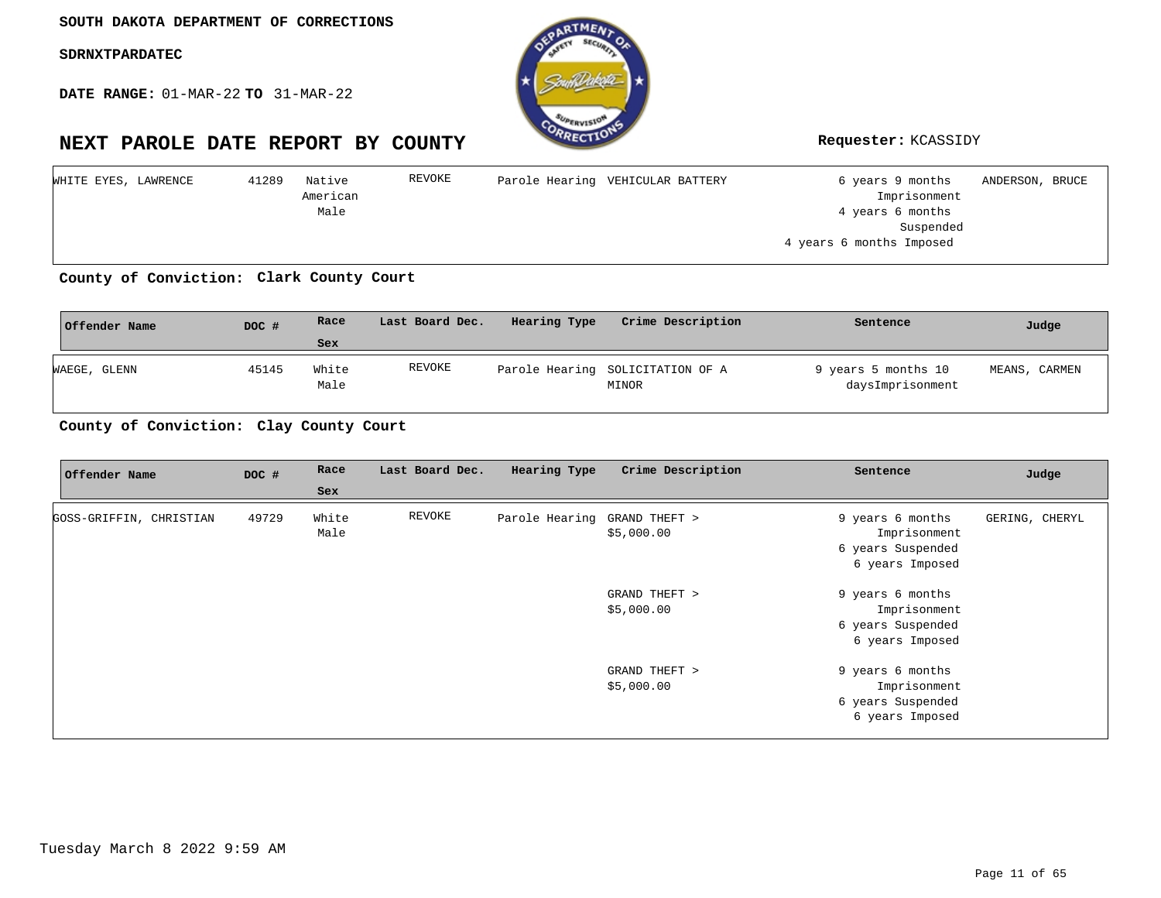**DATE RANGE:** 01-MAR-22 **TO** 31-MAR-22



| WHITE EYES, LAWRENCE | Native<br>41289 | REVOKE | Parole Hearing VEHICULAR BATTERY | 6 years 9 months<br>ANDERSON, BRUCE |  |
|----------------------|-----------------|--------|----------------------------------|-------------------------------------|--|
|                      | American        |        |                                  | Imprisonment                        |  |
|                      | Male            |        |                                  | 4 years 6 months                    |  |
|                      |                 |        |                                  | Suspended                           |  |
|                      |                 |        |                                  | 4 years 6 months Imposed            |  |
|                      |                 |        |                                  |                                     |  |

County of Conviction: Clark County Court

| Offender Name | DOC # | Race          | Last Board Dec. | Hearing Type | Crime Description                         | Sentence                                | Judge         |
|---------------|-------|---------------|-----------------|--------------|-------------------------------------------|-----------------------------------------|---------------|
|               |       | Sex           |                 |              |                                           |                                         |               |
| WAEGE, GLENN  | 45145 | White<br>Male | REVOKE          |              | Parole Hearing SOLICITATION OF A<br>MINOR | 9 years 5 months 10<br>daysImprisonment | MEANS, CARMEN |

County of Conviction: Clay County Court

| Offender Name           | DOC # | Race  | Last Board Dec. | Hearing Type                 | Crime Description | Sentence          | Judge          |
|-------------------------|-------|-------|-----------------|------------------------------|-------------------|-------------------|----------------|
|                         |       | Sex   |                 |                              |                   |                   |                |
| GOSS-GRIFFIN, CHRISTIAN | 49729 | White | REVOKE          | Parole Hearing GRAND THEFT > |                   | 9 years 6 months  | GERING, CHERYL |
|                         |       | Male  |                 |                              | \$5,000.00        | Imprisonment      |                |
|                         |       |       |                 |                              |                   | 6 years Suspended |                |
|                         |       |       |                 |                              |                   | 6 years Imposed   |                |
|                         |       |       |                 |                              | GRAND THEFT >     | 9 years 6 months  |                |
|                         |       |       |                 |                              | \$5,000.00        | Imprisonment      |                |
|                         |       |       |                 |                              |                   | 6 years Suspended |                |
|                         |       |       |                 |                              |                   | 6 years Imposed   |                |
|                         |       |       |                 |                              | GRAND THEFT >     | 9 years 6 months  |                |
|                         |       |       |                 |                              | \$5,000.00        | Imprisonment      |                |
|                         |       |       |                 |                              |                   | 6 years Suspended |                |
|                         |       |       |                 |                              |                   | 6 years Imposed   |                |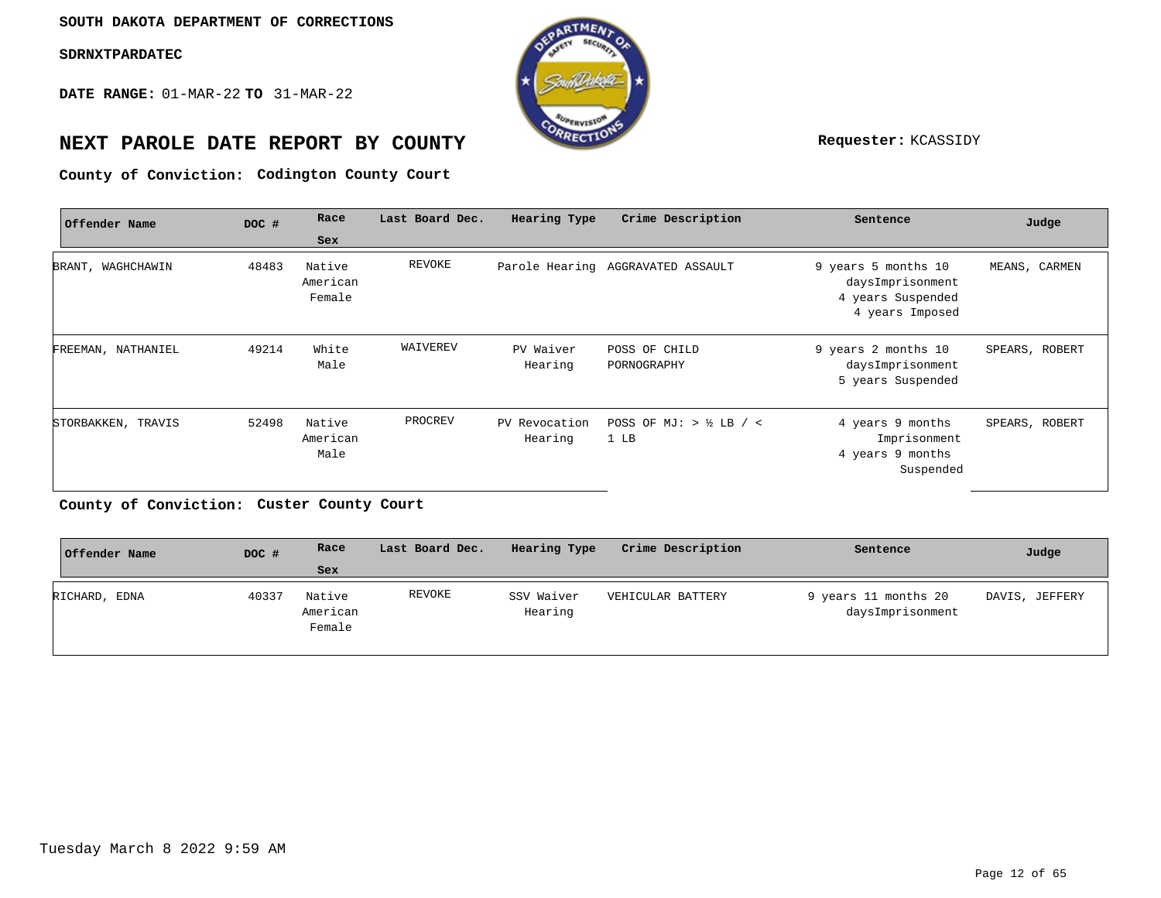**DATE RANGE:** 01-MAR-22 **TO** 31-MAR-22



# **NEXT PAROLE DATE REPORT BY COUNTY Requester:** KCASSIDY

**Codington County Court County of Conviction:**

| Offender Name      | DOC # | Race                         | Last Board Dec. | Hearing Type             | Crime Description                 | Sentence                                                                        | Judge          |
|--------------------|-------|------------------------------|-----------------|--------------------------|-----------------------------------|---------------------------------------------------------------------------------|----------------|
|                    |       | Sex                          |                 |                          |                                   |                                                                                 |                |
| BRANT, WAGHCHAWIN  | 48483 | Native<br>American<br>Female | REVOKE          |                          | Parole Hearing AGGRAVATED ASSAULT | 9 years 5 months 10<br>daysImprisonment<br>4 years Suspended<br>4 years Imposed | MEANS, CARMEN  |
| FREEMAN, NATHANIEL | 49214 | White<br>Male                | WAIVEREV        | PV Waiver<br>Hearing     | POSS OF CHILD<br>PORNOGRAPHY      | 9 years 2 months 10<br>daysImprisonment<br>5 years Suspended                    | SPEARS, ROBERT |
| STORBAKKEN, TRAVIS | 52498 | Native<br>American<br>Male   | PROCREV         | PV Revocation<br>Hearing | POSS OF MJ: $>$ ½ LB / <<br>1 LB  | 4 years 9 months<br>Imprisonment<br>4 years 9 months<br>Suspended               | SPEARS, ROBERT |

**Custer County Court County of Conviction:**

| Offender Name | DOC # | Race                         | Last Board Dec. | Hearing Type          | Crime Description | Sentence                                 | Judge          |
|---------------|-------|------------------------------|-----------------|-----------------------|-------------------|------------------------------------------|----------------|
|               |       | Sex                          |                 |                       |                   |                                          |                |
| RICHARD, EDNA | 40337 | Native<br>American<br>Female | REVOKE          | SSV Waiver<br>Hearing | VEHICULAR BATTERY | 9 years 11 months 20<br>daysImprisonment | DAVIS, JEFFERY |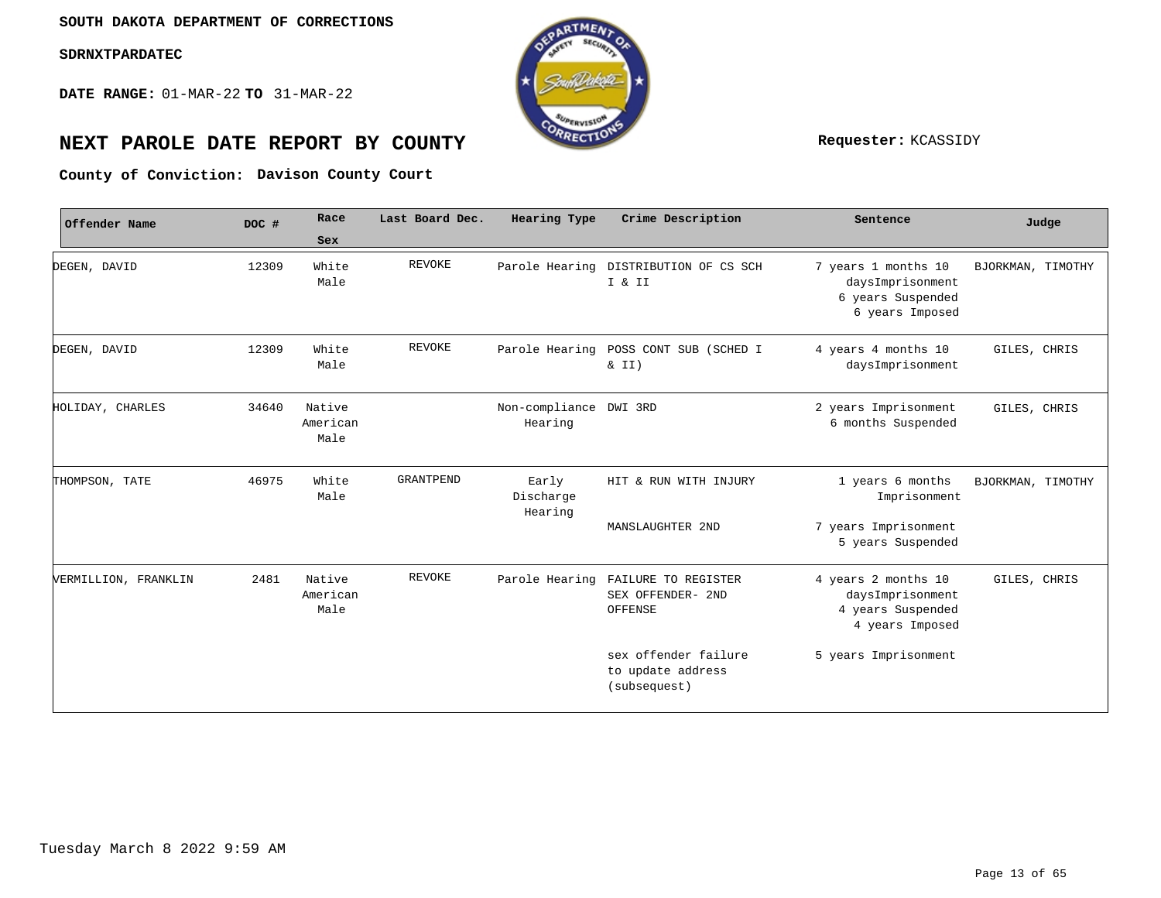**DATE RANGE:** 01-MAR-22 **TO** 31-MAR-22



# **NEXT PAROLE DATE REPORT BY COUNTY Requester:** KCASSIDY

**Davison County Court County of Conviction:**

| Offender Name        | DOC # | Race<br>Sex                | Last Board Dec. | Hearing Type                      | Crime Description                                         | Sentence                                                                        | Judge             |
|----------------------|-------|----------------------------|-----------------|-----------------------------------|-----------------------------------------------------------|---------------------------------------------------------------------------------|-------------------|
| DEGEN, DAVID         | 12309 | White<br>Male              | REVOKE          |                                   | Parole Hearing DISTRIBUTION OF CS SCH<br>I & II           | 7 years 1 months 10<br>daysImprisonment<br>6 years Suspended<br>6 years Imposed | BJORKMAN, TIMOTHY |
| DEGEN, DAVID         | 12309 | White<br>Male              | <b>REVOKE</b>   | Parole Hearing                    | POSS CONT SUB (SCHED I<br>& II)                           | 4 years 4 months 10<br>daysImprisonment                                         | GILES, CHRIS      |
| HOLIDAY, CHARLES     | 34640 | Native<br>American<br>Male |                 | Non-compliance DWI 3RD<br>Hearing |                                                           | 2 years Imprisonment<br>6 months Suspended                                      | GILES, CHRIS      |
| THOMPSON, TATE       | 46975 | White<br>Male              | GRANTPEND       | Early<br>Discharge<br>Hearing     | HIT & RUN WITH INJURY                                     | 1 years 6 months<br>Imprisonment                                                | BJORKMAN, TIMOTHY |
|                      |       |                            |                 |                                   | MANSLAUGHTER 2ND                                          | 7 years Imprisonment<br>5 years Suspended                                       |                   |
| VERMILLION, FRANKLIN | 2481  | Native<br>American<br>Male | <b>REVOKE</b>   | Parole Hearing                    | FAILURE TO REGISTER<br>SEX OFFENDER- 2ND<br>OFFENSE       | 4 years 2 months 10<br>daysImprisonment<br>4 years Suspended<br>4 years Imposed | GILES, CHRIS      |
|                      |       |                            |                 |                                   | sex offender failure<br>to update address<br>(subsequest) | 5 years Imprisonment                                                            |                   |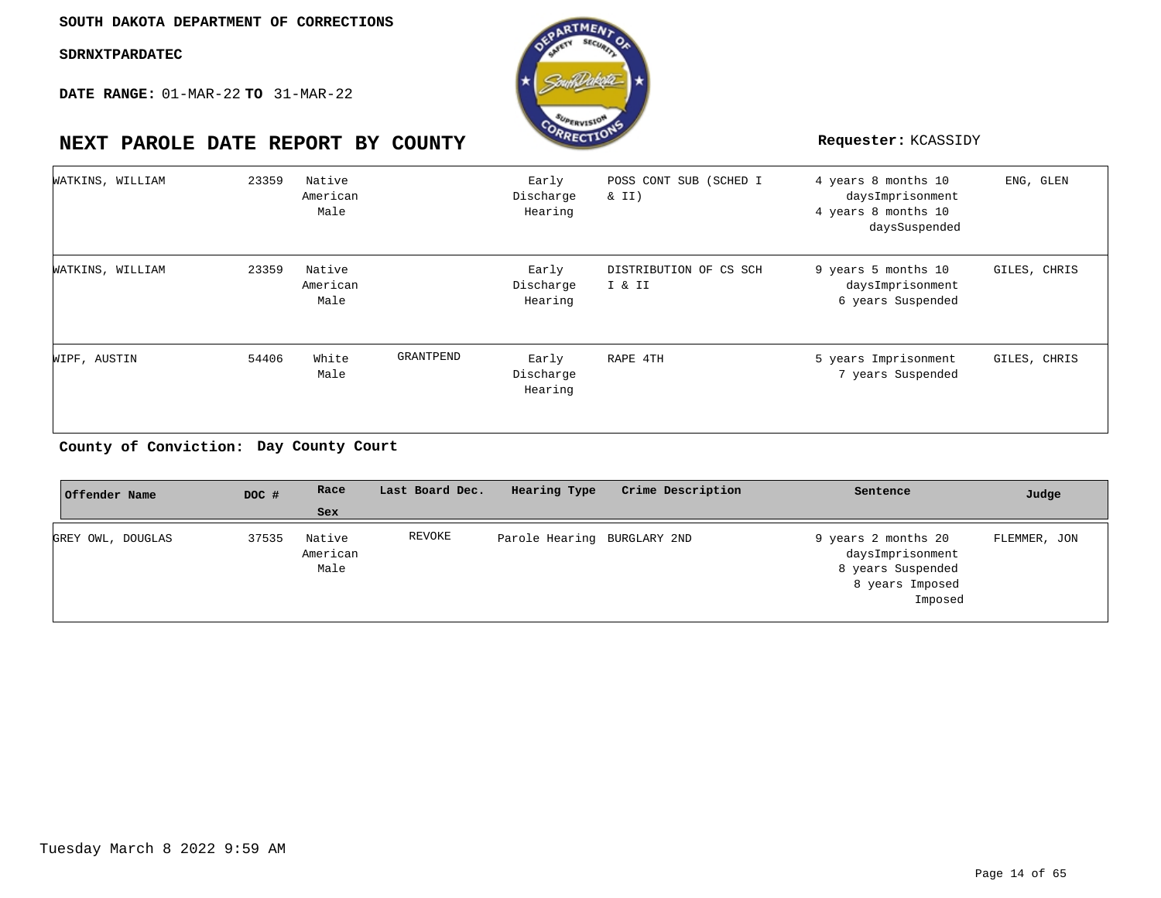**DATE RANGE:** 01-MAR-22 **TO** 31-MAR-22



# **NEXT PAROLE DATE REPORT BY COUNTY Requester:** KCASSIDY

| WATKINS, WILLIAM | 23359 | Native<br>American<br>Male |           | Early<br>Discharge<br>Hearing | POSS CONT SUB (SCHED I<br>$\&$ II) | 4 years 8 months 10<br>daysImprisonment<br>4 years 8 months 10<br>daysSuspended | ENG, GLEN    |
|------------------|-------|----------------------------|-----------|-------------------------------|------------------------------------|---------------------------------------------------------------------------------|--------------|
| WATKINS, WILLIAM | 23359 | Native<br>American<br>Male |           | Early<br>Discharge<br>Hearing | DISTRIBUTION OF CS SCH<br>I & II   | 9 years 5 months 10<br>daysImprisonment<br>6 years Suspended                    | GILES, CHRIS |
| WIPF, AUSTIN     | 54406 | White<br>Male              | GRANTPEND | Early<br>Discharge<br>Hearing | RAPE 4TH                           | 5 years Imprisonment<br>7 years Suspended                                       | GILES, CHRIS |

#### **Day County Court County of Conviction:**

| Offender Name     | DOC # | Race                       | Last Board Dec. | Hearing Type                | Crime Description | Sentence                                                                                   | Judge        |
|-------------------|-------|----------------------------|-----------------|-----------------------------|-------------------|--------------------------------------------------------------------------------------------|--------------|
|                   |       | <b>Sex</b>                 |                 |                             |                   |                                                                                            |              |
| GREY OWL, DOUGLAS | 37535 | Native<br>American<br>Male | REVOKE          | Parole Hearing BURGLARY 2ND |                   | 9 years 2 months 20<br>daysImprisonment<br>8 years Suspended<br>8 years Imposed<br>Imposed | FLEMMER, JON |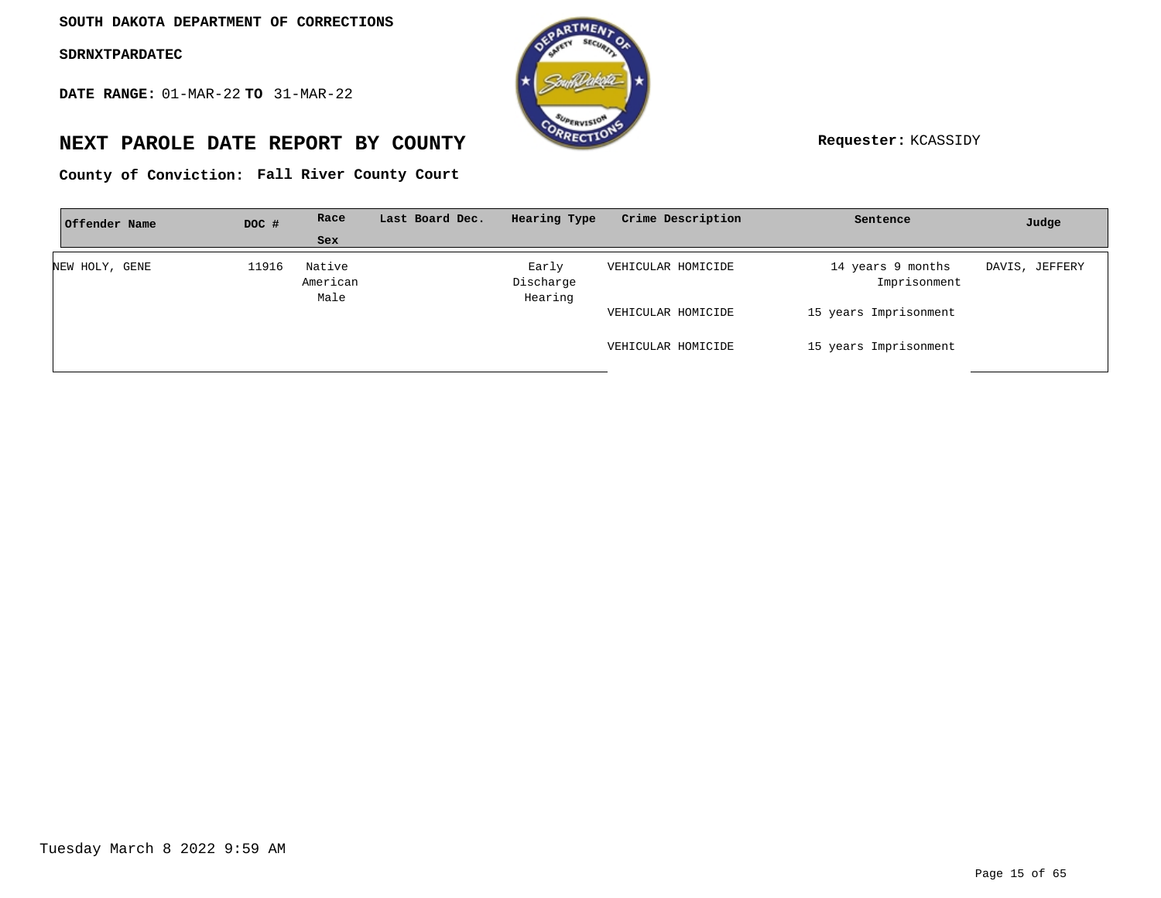**DATE RANGE:** 01-MAR-22 **TO** 31-MAR-22



# **NEXT PAROLE DATE REPORT BY COUNTY Requester:** KCASSIDY

**Fall River County Court County of Conviction:**

| Offender Name  | DOC # | Race                       | Last Board Dec. | Hearing Type                  | Crime Description  | Sentence                          | Judge          |
|----------------|-------|----------------------------|-----------------|-------------------------------|--------------------|-----------------------------------|----------------|
|                |       | Sex                        |                 |                               |                    |                                   |                |
| NEW HOLY, GENE | 11916 | Native<br>American<br>Male |                 | Early<br>Discharge<br>Hearing | VEHICULAR HOMICIDE | 14 years 9 months<br>Imprisonment | DAVIS, JEFFERY |
|                |       |                            |                 |                               | VEHICULAR HOMICIDE | 15 years Imprisonment             |                |
|                |       |                            |                 |                               | VEHICULAR HOMICIDE | 15 years Imprisonment             |                |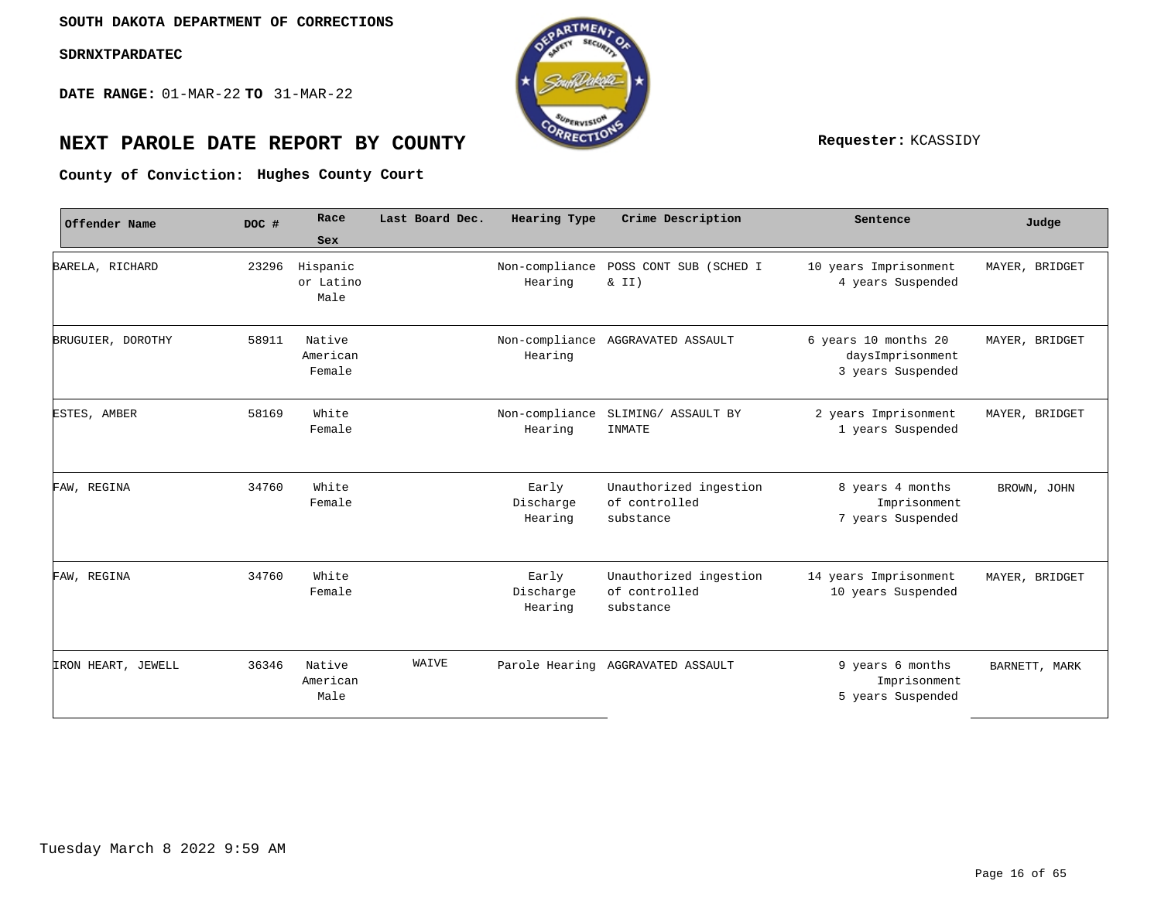**DATE RANGE:** 01-MAR-22 **TO** 31-MAR-22



# **NEXT PAROLE DATE REPORT BY COUNTY Requester:** KCASSIDY

**Hughes County Court County of Conviction:**

| Offender Name      | DOC # | Race<br>Sex                   | Last Board Dec. | Hearing Type                  | Crime Description                                    | Sentence                                                      | Judge          |
|--------------------|-------|-------------------------------|-----------------|-------------------------------|------------------------------------------------------|---------------------------------------------------------------|----------------|
| BARELA, RICHARD    | 23296 | Hispanic<br>or Latino<br>Male |                 | Non-compliance<br>Hearing     | POSS CONT SUB (SCHED I<br>$\&$ II)                   | 10 years Imprisonment<br>4 years Suspended                    | MAYER, BRIDGET |
| BRUGUIER, DOROTHY  | 58911 | Native<br>American<br>Female  |                 | Non-compliance<br>Hearing     | AGGRAVATED ASSAULT                                   | 6 years 10 months 20<br>daysImprisonment<br>3 years Suspended | MAYER, BRIDGET |
| ESTES, AMBER       | 58169 | White<br>Female               |                 | Non-compliance<br>Hearing     | SLIMING/ ASSAULT BY<br>INMATE                        | 2 years Imprisonment<br>1 years Suspended                     | MAYER, BRIDGET |
| FAW, REGINA        | 34760 | White<br>Female               |                 | Early<br>Discharge<br>Hearing | Unauthorized ingestion<br>of controlled<br>substance | 8 years 4 months<br>Imprisonment<br>7 years Suspended         | BROWN, JOHN    |
| FAW, REGINA        | 34760 | White<br>Female               |                 | Early<br>Discharge<br>Hearing | Unauthorized ingestion<br>of controlled<br>substance | 14 years Imprisonment<br>10 years Suspended                   | MAYER, BRIDGET |
| IRON HEART, JEWELL | 36346 | Native<br>American<br>Male    | WAIVE           |                               | Parole Hearing AGGRAVATED ASSAULT                    | 9 years 6 months<br>Imprisonment<br>5 years Suspended         | BARNETT, MARK  |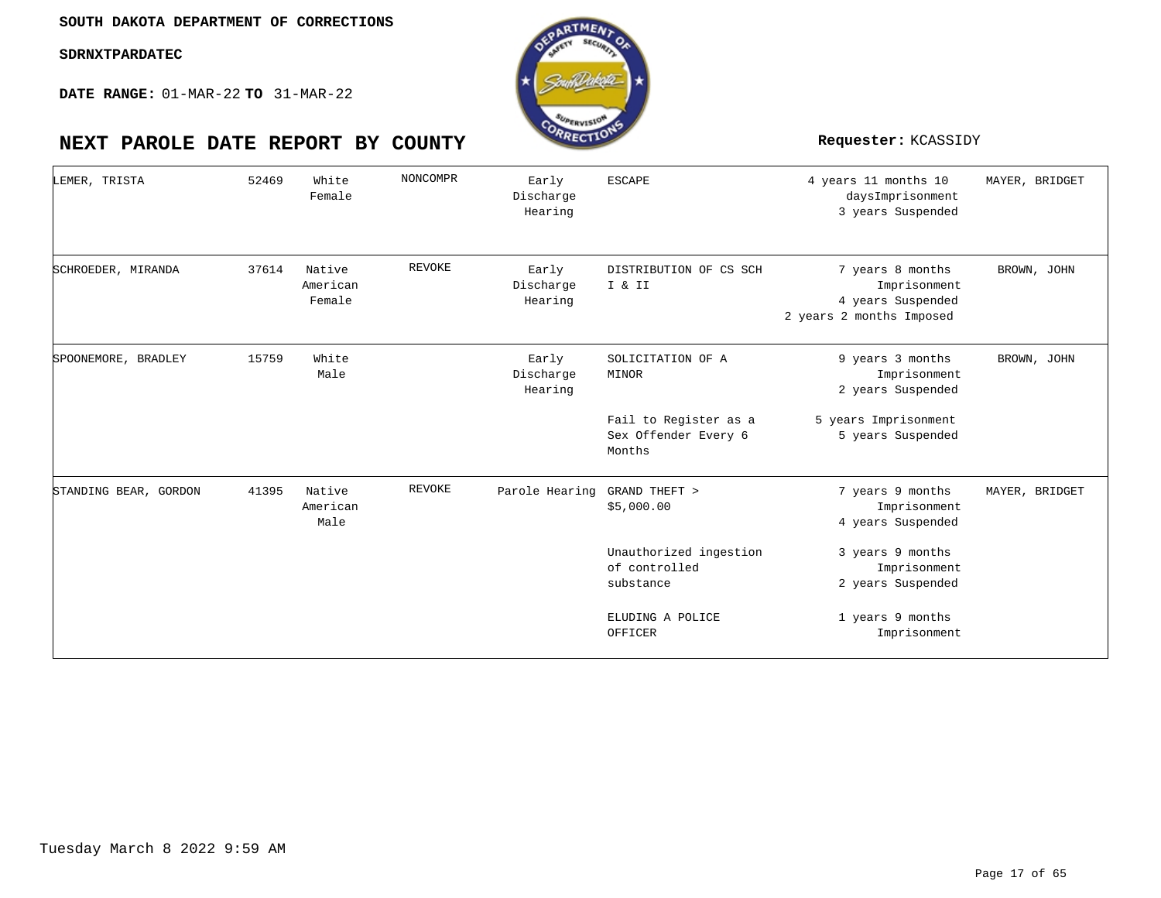**DATE RANGE:** 01-MAR-22 **TO** 31-MAR-22

| LEMER, TRISTA         | 52469 | White<br>Female              | NONCOMPR      | Early<br>Discharge<br>Hearing | <b>ESCAPE</b>                                           | 4 years 11 months 10<br>daysImprisonment<br>3 years Suspended                     | MAYER, BRIDGET |
|-----------------------|-------|------------------------------|---------------|-------------------------------|---------------------------------------------------------|-----------------------------------------------------------------------------------|----------------|
| SCHROEDER, MIRANDA    | 37614 | Native<br>American<br>Female | <b>REVOKE</b> | Early<br>Discharge<br>Hearing | DISTRIBUTION OF CS SCH<br>I & II                        | 7 years 8 months<br>Imprisonment<br>4 years Suspended<br>2 years 2 months Imposed | BROWN, JOHN    |
| SPOONEMORE, BRADLEY   | 15759 | White<br>Male                |               | Early<br>Discharge<br>Hearing | SOLICITATION OF A<br>MINOR                              | 9 years 3 months<br>Imprisonment<br>2 years Suspended                             | BROWN, JOHN    |
|                       |       |                              |               |                               | Fail to Register as a<br>Sex Offender Every 6<br>Months | 5 years Imprisonment<br>5 years Suspended                                         |                |
| STANDING BEAR, GORDON | 41395 | Native<br>American<br>Male   | <b>REVOKE</b> | Parole Hearing                | GRAND THEFT ><br>\$5,000.00                             | 7 years 9 months<br>Imprisonment<br>4 years Suspended                             | MAYER, BRIDGET |
|                       |       |                              |               |                               | Unauthorized ingestion<br>of controlled<br>substance    | 3 years 9 months<br>Imprisonment<br>2 years Suspended                             |                |
|                       |       |                              |               |                               | ELUDING A POLICE<br>OFFICER                             | 1 years 9 months<br>Imprisonment                                                  |                |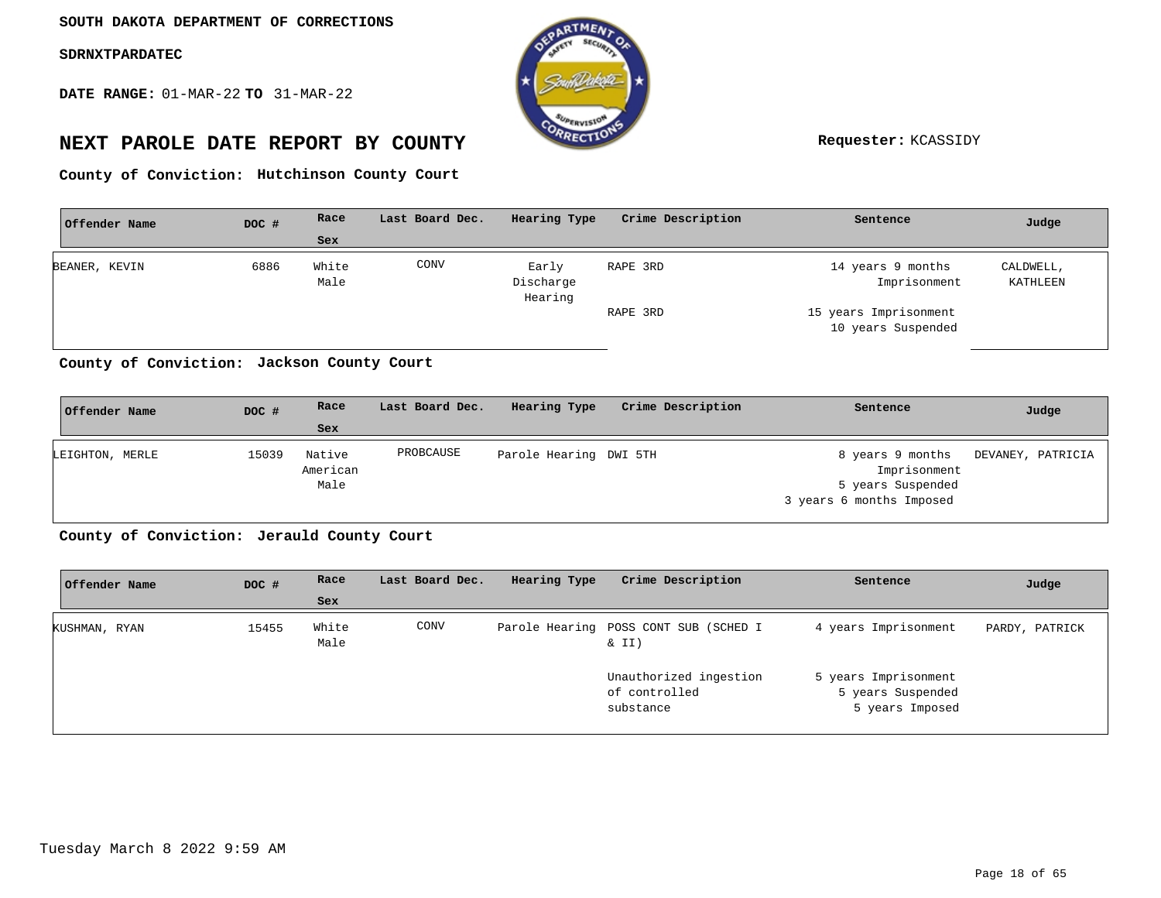**DATE RANGE:** 01-MAR-22 **TO** 31-MAR-22



# **NEXT PAROLE DATE REPORT BY COUNTY Requester:** KCASSIDY

**Hutchinson County Court County of Conviction:**

| Offender Name | DOC # | Race          | Last Board Dec. | Hearing Type                  | Crime Description | Sentence                                    | Judge                 |
|---------------|-------|---------------|-----------------|-------------------------------|-------------------|---------------------------------------------|-----------------------|
|               |       | <b>Sex</b>    |                 |                               |                   |                                             |                       |
| BEANER, KEVIN | 6886  | White<br>Male | CONV            | Early<br>Discharge<br>Hearing | RAPE 3RD          | 14 years 9 months<br>Imprisonment           | CALDWELL,<br>KATHLEEN |
|               |       |               |                 |                               | RAPE 3RD          | 15 years Imprisonment<br>10 years Suspended |                       |

**Jackson County Court County of Conviction:**

| Offender Name   | DOC # | Race                       | Last Board Dec. | Hearing Type           | Crime Description | Sentence                                                                          | Judge             |
|-----------------|-------|----------------------------|-----------------|------------------------|-------------------|-----------------------------------------------------------------------------------|-------------------|
|                 |       | Sex                        |                 |                        |                   |                                                                                   |                   |
| LEIGHTON, MERLE | 15039 | Native<br>American<br>Male | PROBCAUSE       | Parole Hearing DWI 5TH |                   | 8 years 9 months<br>Imprisonment<br>5 years Suspended<br>3 years 6 months Imposed | DEVANEY, PATRICIA |

County of Conviction: Jerauld County Court

| Offender Name | DOC # | Race          | Last Board Dec. | Hearing Type | Crime Description                                    | Sentence                                                     | Judge          |
|---------------|-------|---------------|-----------------|--------------|------------------------------------------------------|--------------------------------------------------------------|----------------|
|               |       | Sex           |                 |              |                                                      |                                                              |                |
| KUSHMAN, RYAN | 15455 | White<br>Male | CONV            |              | Parole Hearing POSS CONT SUB (SCHED I<br>& II)       | 4 years Imprisonment                                         | PARDY, PATRICK |
|               |       |               |                 |              | Unauthorized ingestion<br>of controlled<br>substance | 5 years Imprisonment<br>5 years Suspended<br>5 years Imposed |                |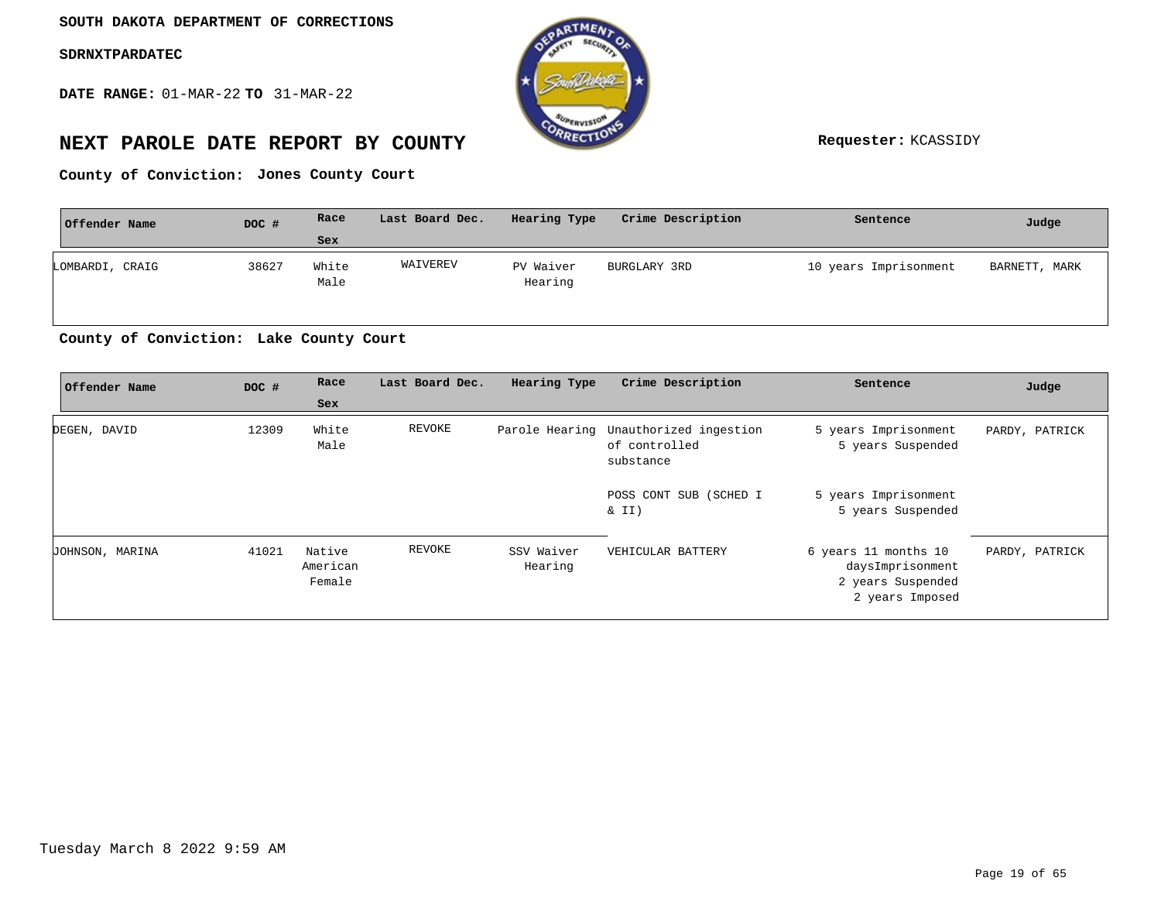**DATE RANGE:** 01-MAR-22 **TO** 31-MAR-22



# **NEXT PAROLE DATE REPORT BY COUNTY Requester:** KCASSIDY

**Jones County Court County of Conviction:**

| Offender Name   | DOC # | Race          | Last Board Dec. | Hearing Type         | Crime Description | Sentence              | Judge         |
|-----------------|-------|---------------|-----------------|----------------------|-------------------|-----------------------|---------------|
|                 |       | Sex           |                 |                      |                   |                       |               |
| LOMBARDI, CRAIG | 38627 | White<br>Male | WAIVEREV        | PV Waiver<br>Hearing | BURGLARY 3RD      | 10 years Imprisonment | BARNETT, MARK |

#### **Lake County Court County of Conviction:**

| Offender Name   | DOC # | Race                         | Last Board Dec. | Hearing Type          | Crime Description                                                   | Sentence                                                                         | Judge          |
|-----------------|-------|------------------------------|-----------------|-----------------------|---------------------------------------------------------------------|----------------------------------------------------------------------------------|----------------|
|                 |       | Sex                          |                 |                       |                                                                     |                                                                                  |                |
| DEGEN, DAVID    | 12309 | White<br>Male                | REVOKE          |                       | Parole Hearing Unauthorized ingestion<br>of controlled<br>substance | 5 years Imprisonment<br>5 years Suspended                                        | PARDY, PATRICK |
|                 |       |                              |                 |                       | POSS CONT SUB (SCHED I<br>$\&$ II)                                  | 5 years Imprisonment<br>5 years Suspended                                        |                |
| JOHNSON, MARINA | 41021 | Native<br>American<br>Female | REVOKE          | SSV Waiver<br>Hearing | VEHICULAR BATTERY                                                   | 6 years 11 months 10<br>daysImprisonment<br>2 years Suspended<br>2 years Imposed | PARDY, PATRICK |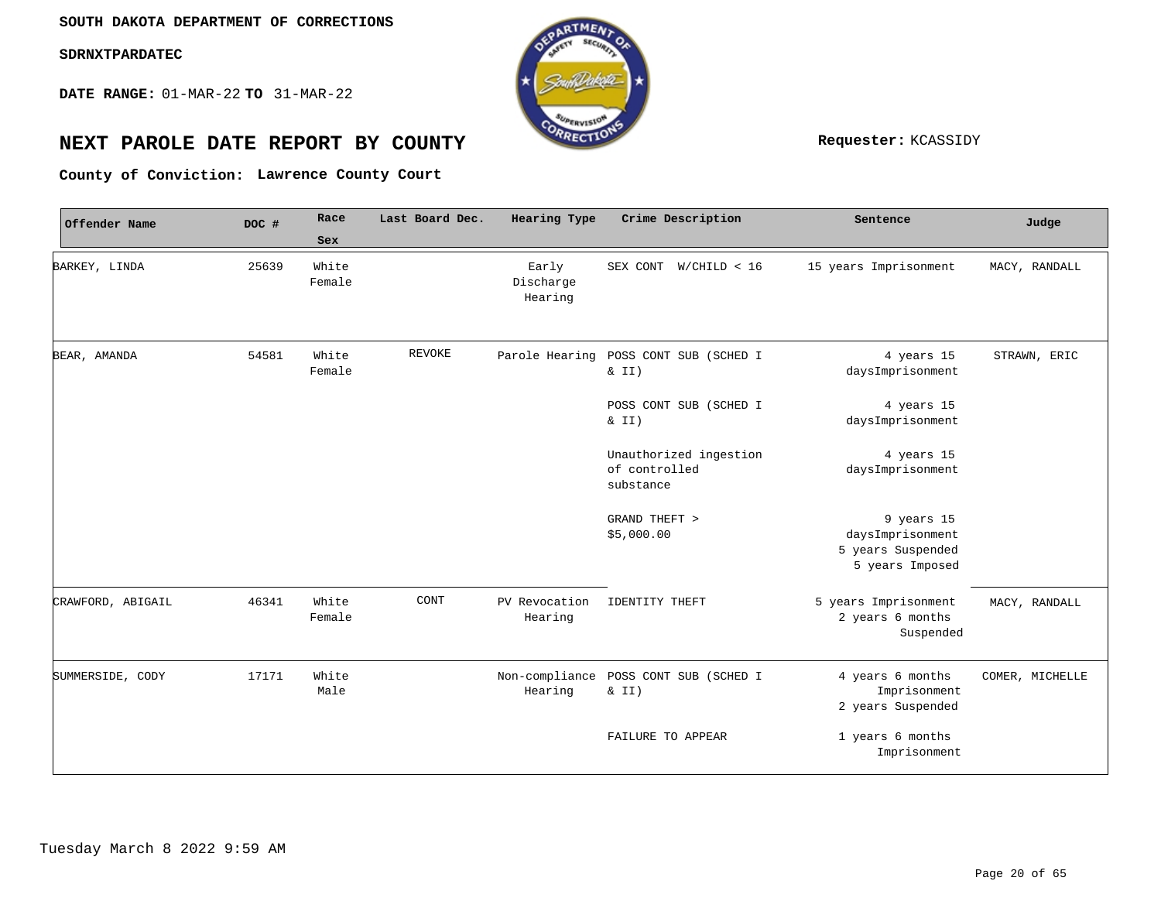**DATE RANGE:** 01-MAR-22 **TO** 31-MAR-22



# **NEXT PAROLE DATE REPORT BY COUNTY Requester:** KCASSIDY

**Lawrence County Court County of Conviction:**

| Offender Name     | DOC # | Race            | Last Board Dec. | Hearing Type                  | Crime Description                                    | Sentence                                                               | Judge           |
|-------------------|-------|-----------------|-----------------|-------------------------------|------------------------------------------------------|------------------------------------------------------------------------|-----------------|
|                   |       | Sex             |                 |                               |                                                      |                                                                        |                 |
| BARKEY, LINDA     | 25639 | White<br>Female |                 | Early<br>Discharge<br>Hearing | SEX CONT W/CHILD < 16                                | 15 years Imprisonment                                                  | MACY, RANDALL   |
| BEAR, AMANDA      | 54581 | White<br>Female | REVOKE          | Parole Hearing                | POSS CONT SUB (SCHED I<br>& II)                      | 4 years 15<br>daysImprisonment                                         | STRAWN, ERIC    |
|                   |       |                 |                 |                               | POSS CONT SUB (SCHED I<br>$\&$ II)                   | 4 years 15<br>daysImprisonment                                         |                 |
|                   |       |                 |                 |                               | Unauthorized ingestion<br>of controlled<br>substance | 4 years 15<br>daysImprisonment                                         |                 |
|                   |       |                 |                 |                               | GRAND THEFT ><br>\$5,000.00                          | 9 years 15<br>daysImprisonment<br>5 years Suspended<br>5 years Imposed |                 |
| CRAWFORD, ABIGAIL | 46341 | White<br>Female | CONT            | PV Revocation<br>Hearing      | IDENTITY THEFT                                       | 5 years Imprisonment<br>2 years 6 months<br>Suspended                  | MACY, RANDALL   |
| SUMMERSIDE, CODY  | 17171 | White<br>Male   |                 | Hearing                       | Non-compliance POSS CONT SUB (SCHED I<br>& II)       | 4 years 6 months<br>Imprisonment<br>2 years Suspended                  | COMER, MICHELLE |
|                   |       |                 |                 |                               | <b>FAILURE TO APPEAR</b>                             | 1 years 6 months<br>Imprisonment                                       |                 |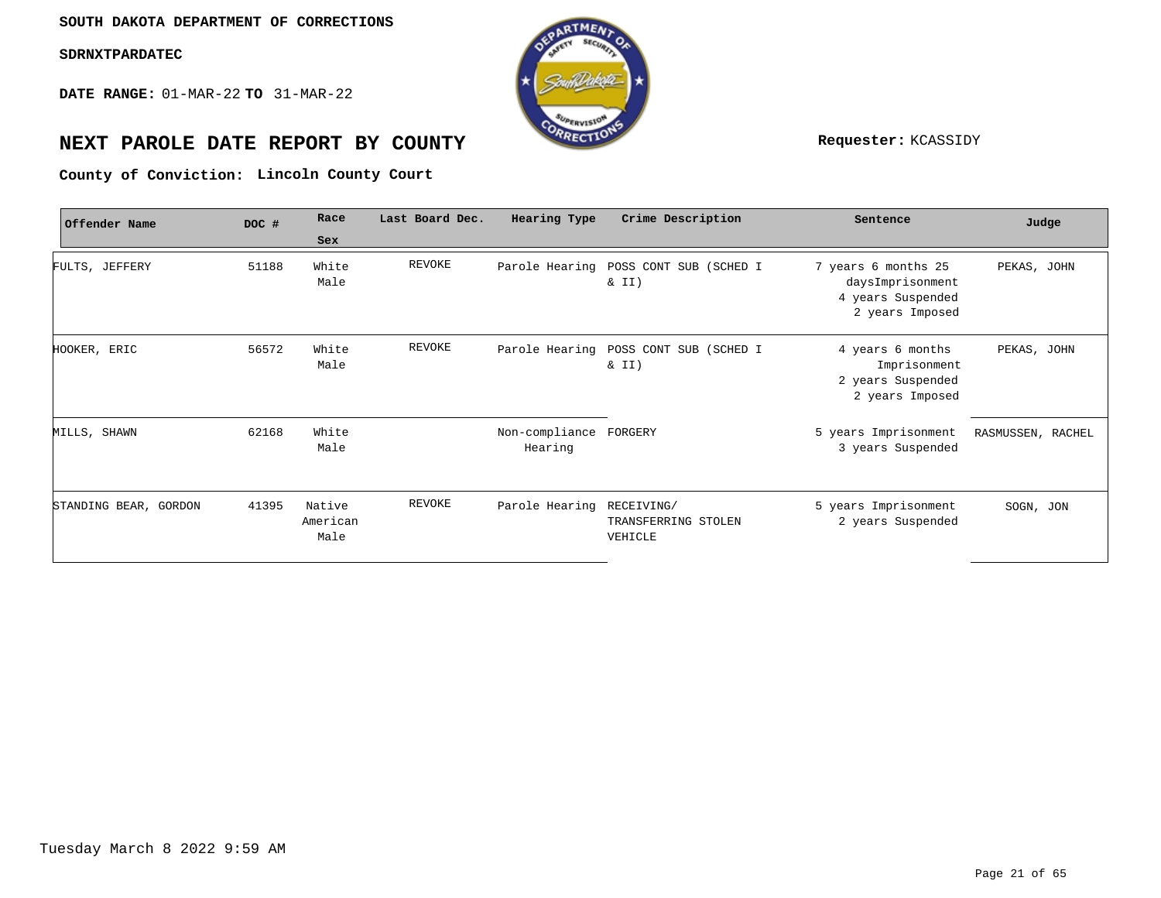**DATE RANGE:** 01-MAR-22 **TO** 31-MAR-22



# **NEXT PAROLE DATE REPORT BY COUNTY Requester:** KCASSIDY

**Lincoln County Court County of Conviction:**

| Offender Name         | DOC # | Race                       | Last Board Dec. | Hearing Type              | Crime Description                            | Sentence                                                                        | Judge             |
|-----------------------|-------|----------------------------|-----------------|---------------------------|----------------------------------------------|---------------------------------------------------------------------------------|-------------------|
|                       |       | Sex                        |                 |                           |                                              |                                                                                 |                   |
| FULTS, JEFFERY        | 51188 | White<br>Male              | REVOKE          | Parole Hearing            | POSS CONT SUB (SCHED I<br>$\&$ II)           | 7 years 6 months 25<br>daysImprisonment<br>4 years Suspended<br>2 years Imposed | PEKAS, JOHN       |
| HOOKER, ERIC          | 56572 | White<br>Male              | REVOKE          | Parole Hearing            | POSS CONT SUB (SCHED I<br>$\&$ II)           | 4 years 6 months<br>Imprisonment<br>2 years Suspended<br>2 years Imposed        | PEKAS, JOHN       |
| MILLS, SHAWN          | 62168 | White<br>Male              |                 | Non-compliance<br>Hearing | FORGERY                                      | 5 years Imprisonment<br>3 years Suspended                                       | RASMUSSEN, RACHEL |
| STANDING BEAR, GORDON | 41395 | Native<br>American<br>Male | REVOKE          | Parole Hearing            | RECEIVING/<br>TRANSFERRING STOLEN<br>VEHICLE | 5 years Imprisonment<br>2 years Suspended                                       | SOGN, JON         |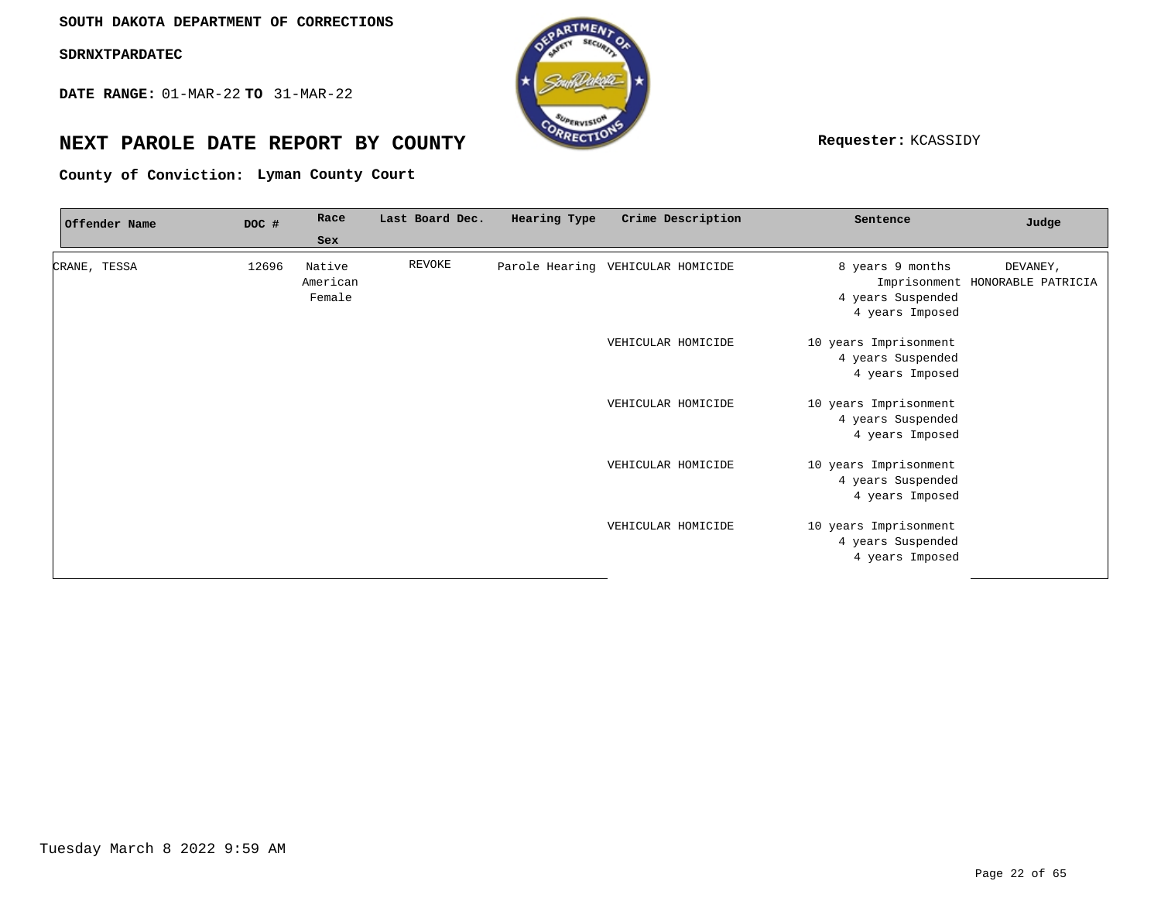**DATE RANGE:** 01-MAR-22 **TO** 31-MAR-22



# **NEXT PAROLE DATE REPORT BY COUNTY REPORT BY ALL PROPERTY REQUESTER:** KCASSIDY

**Lyman County Court County of Conviction:**

| Offender Name | DOC # | Race               | Last Board Dec. | Hearing Type | Crime Description                 | Sentence              | Judge                                       |
|---------------|-------|--------------------|-----------------|--------------|-----------------------------------|-----------------------|---------------------------------------------|
|               |       | Sex                |                 |              |                                   |                       |                                             |
| CRANE, TESSA  | 12696 | Native<br>American | REVOKE          |              | Parole Hearing VEHICULAR HOMICIDE | 8 years 9 months      | DEVANEY,<br>Imprisonment HONORABLE PATRICIA |
|               |       | Female             |                 |              |                                   | 4 years Suspended     |                                             |
|               |       |                    |                 |              |                                   | 4 years Imposed       |                                             |
|               |       |                    |                 |              | VEHICULAR HOMICIDE                | 10 years Imprisonment |                                             |
|               |       |                    |                 |              |                                   | 4 years Suspended     |                                             |
|               |       |                    |                 |              |                                   | 4 years Imposed       |                                             |
|               |       |                    |                 |              | VEHICULAR HOMICIDE                | 10 years Imprisonment |                                             |
|               |       |                    |                 |              |                                   | 4 years Suspended     |                                             |
|               |       |                    |                 |              |                                   | 4 years Imposed       |                                             |
|               |       |                    |                 |              | VEHICULAR HOMICIDE                | 10 years Imprisonment |                                             |
|               |       |                    |                 |              |                                   | 4 years Suspended     |                                             |
|               |       |                    |                 |              |                                   | 4 years Imposed       |                                             |
|               |       |                    |                 |              | VEHICULAR HOMICIDE                | 10 years Imprisonment |                                             |
|               |       |                    |                 |              |                                   | 4 years Suspended     |                                             |
|               |       |                    |                 |              |                                   | 4 years Imposed       |                                             |
|               |       |                    |                 |              |                                   |                       |                                             |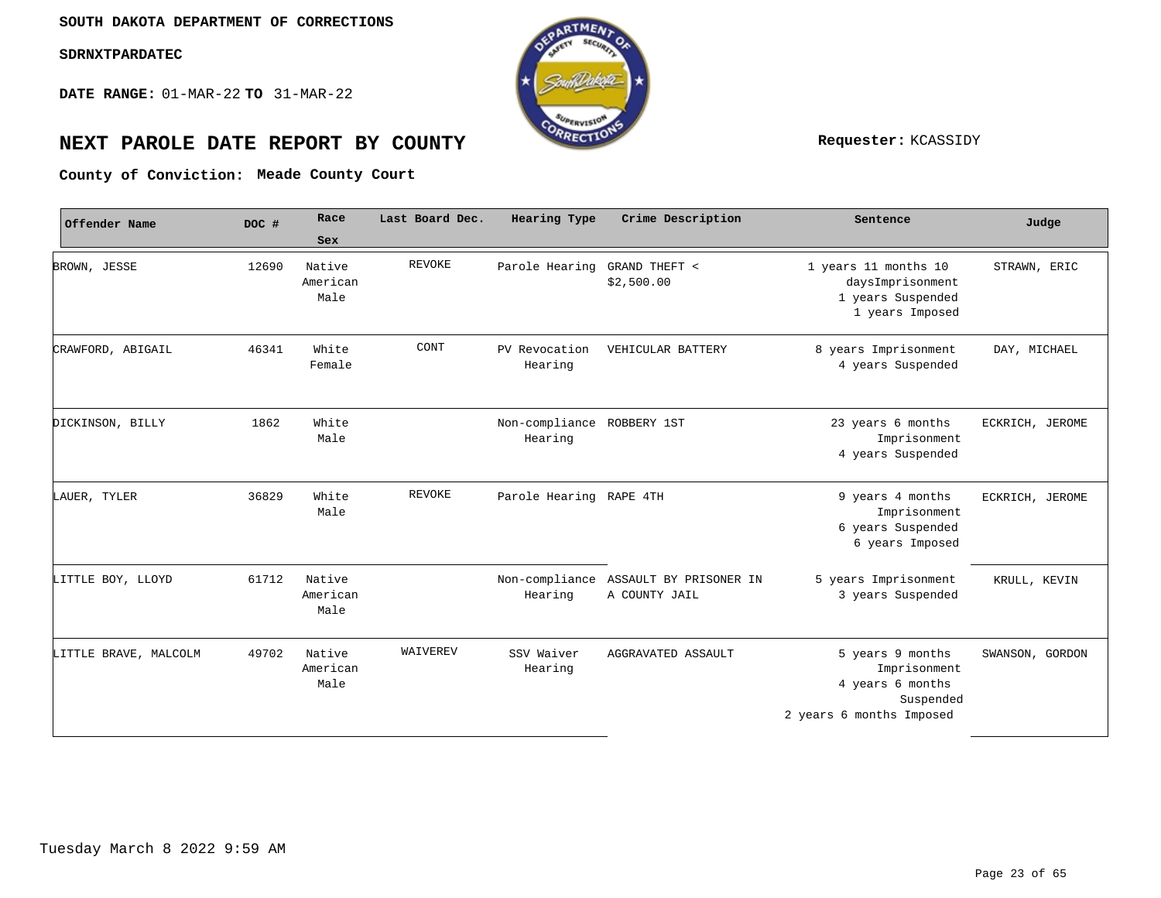**DATE RANGE:** 01-MAR-22 **TO** 31-MAR-22



# **NEXT PAROLE DATE REPORT BY COUNTY Requester:** KCASSIDY

**Meade County Court County of Conviction:**

| Offender Name         | DOC # | Race                       | Last Board Dec. | Hearing Type              | Crime Description                                      | Sentence                                                                                      | Judge           |
|-----------------------|-------|----------------------------|-----------------|---------------------------|--------------------------------------------------------|-----------------------------------------------------------------------------------------------|-----------------|
|                       |       | Sex                        |                 |                           |                                                        |                                                                                               |                 |
| BROWN, JESSE          | 12690 | Native<br>American<br>Male | <b>REVOKE</b>   | Parole Hearing            | GRAND THEFT <<br>\$2,500.00                            | 1 years 11 months 10<br>daysImprisonment<br>1 years Suspended<br>1 years Imposed              | STRAWN, ERIC    |
| CRAWFORD, ABIGAIL     | 46341 | White<br>Female            | CONT            | PV Revocation<br>Hearing  | VEHICULAR BATTERY                                      | 8 years Imprisonment<br>4 years Suspended                                                     | DAY, MICHAEL    |
| DICKINSON, BILLY      | 1862  | White<br>Male              |                 | Non-compliance<br>Hearing | ROBBERY 1ST                                            | 23 years 6 months<br>Imprisonment<br>4 years Suspended                                        | ECKRICH, JEROME |
| LAUER, TYLER          | 36829 | White<br>Male              | <b>REVOKE</b>   | Parole Hearing RAPE 4TH   |                                                        | 9 years 4 months<br>Imprisonment<br>6 years Suspended<br>6 years Imposed                      | ECKRICH, JEROME |
| LITTLE BOY, LLOYD     | 61712 | Native<br>American<br>Male |                 | Hearing                   | Non-compliance ASSAULT BY PRISONER IN<br>A COUNTY JAIL | 5 years Imprisonment<br>3 years Suspended                                                     | KRULL, KEVIN    |
| LITTLE BRAVE, MALCOLM | 49702 | Native<br>American<br>Male | WAIVEREV        | SSV Waiver<br>Hearing     | AGGRAVATED ASSAULT                                     | 5 years 9 months<br>Imprisonment<br>4 years 6 months<br>Suspended<br>2 years 6 months Imposed | SWANSON, GORDON |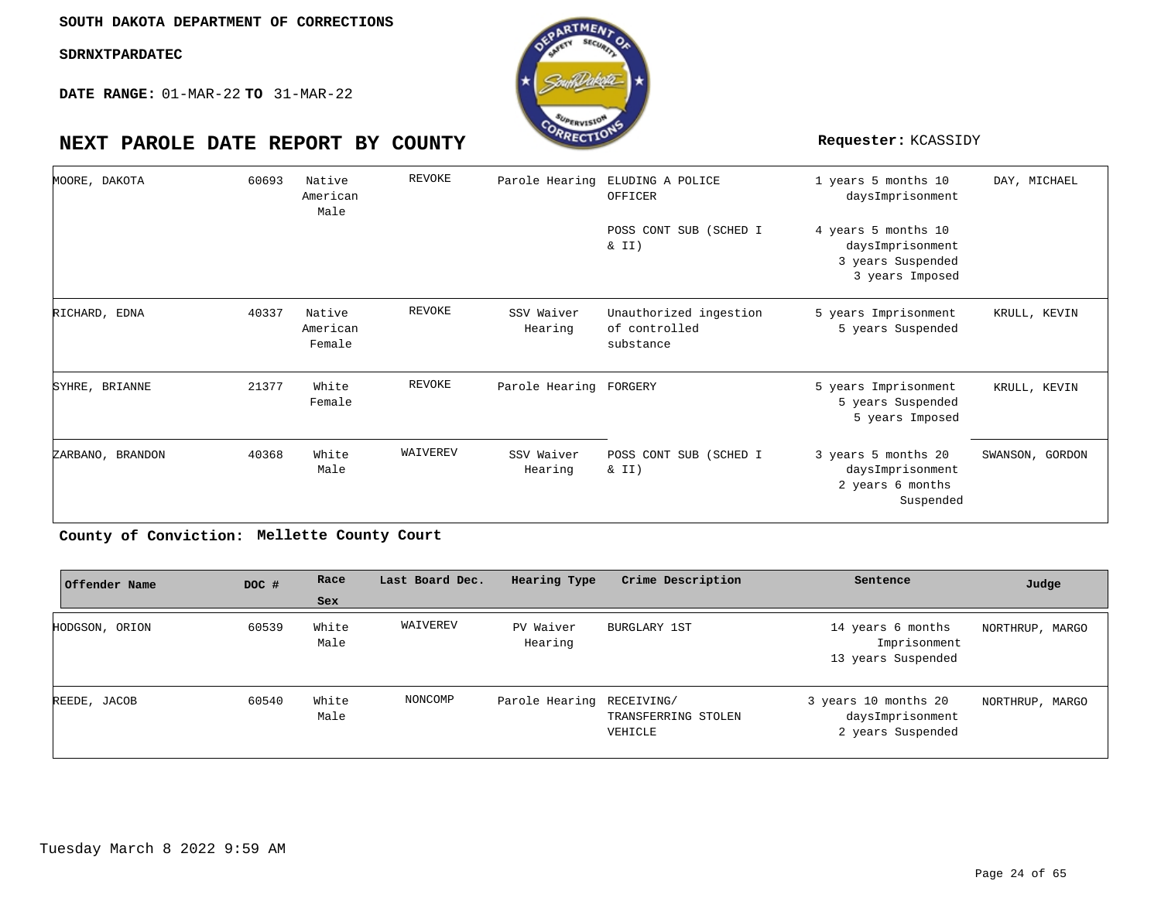**DATE RANGE:** 01-MAR-22 **TO** 31-MAR-22



| MOORE, DAKOTA    | 60693 | Native<br>American<br>Male   | REVOKE   | Parole Hearing         | ELUDING A POLICE<br>OFFICER                          | 1 years 5 months 10<br>daysImprisonment                                         | DAY, MICHAEL    |
|------------------|-------|------------------------------|----------|------------------------|------------------------------------------------------|---------------------------------------------------------------------------------|-----------------|
|                  |       |                              |          |                        | POSS CONT SUB (SCHED I<br>& II)                      | 4 years 5 months 10<br>daysImprisonment<br>3 years Suspended<br>3 years Imposed |                 |
| RICHARD, EDNA    | 40337 | Native<br>American<br>Female | REVOKE   | SSV Waiver<br>Hearing  | Unauthorized ingestion<br>of controlled<br>substance | 5 years Imprisonment<br>5 years Suspended                                       | KRULL, KEVIN    |
| SYHRE, BRIANNE   | 21377 | White<br>Female              | REVOKE   | Parole Hearing FORGERY |                                                      | 5 years Imprisonment<br>5 years Suspended<br>5 years Imposed                    | KRULL, KEVIN    |
| ZARBANO, BRANDON | 40368 | White<br>Male                | WAIVEREV | SSV Waiver<br>Hearing  | POSS CONT SUB (SCHED I<br>& II)                      | 3 years 5 months 20<br>daysImprisonment<br>2 years 6 months<br>Suspended        | SWANSON, GORDON |

**Mellette County Court County of Conviction:**

| Offender Name  | DOC # | Race          | Last Board Dec. | Hearing Type              | Crime Description              | Sentence                                                      | Judge           |
|----------------|-------|---------------|-----------------|---------------------------|--------------------------------|---------------------------------------------------------------|-----------------|
|                |       | Sex           |                 |                           |                                |                                                               |                 |
| HODGSON, ORION | 60539 | White<br>Male | WAIVEREV        | PV Waiver<br>Hearing      | BURGLARY 1ST                   | 14 years 6 months<br>Imprisonment<br>13 years Suspended       | NORTHRUP, MARGO |
| REEDE, JACOB   | 60540 | White<br>Male | NONCOMP         | Parole Hearing RECEIVING/ | TRANSFERRING STOLEN<br>VEHICLE | 3 years 10 months 20<br>daysImprisonment<br>2 years Suspended | NORTHRUP, MARGO |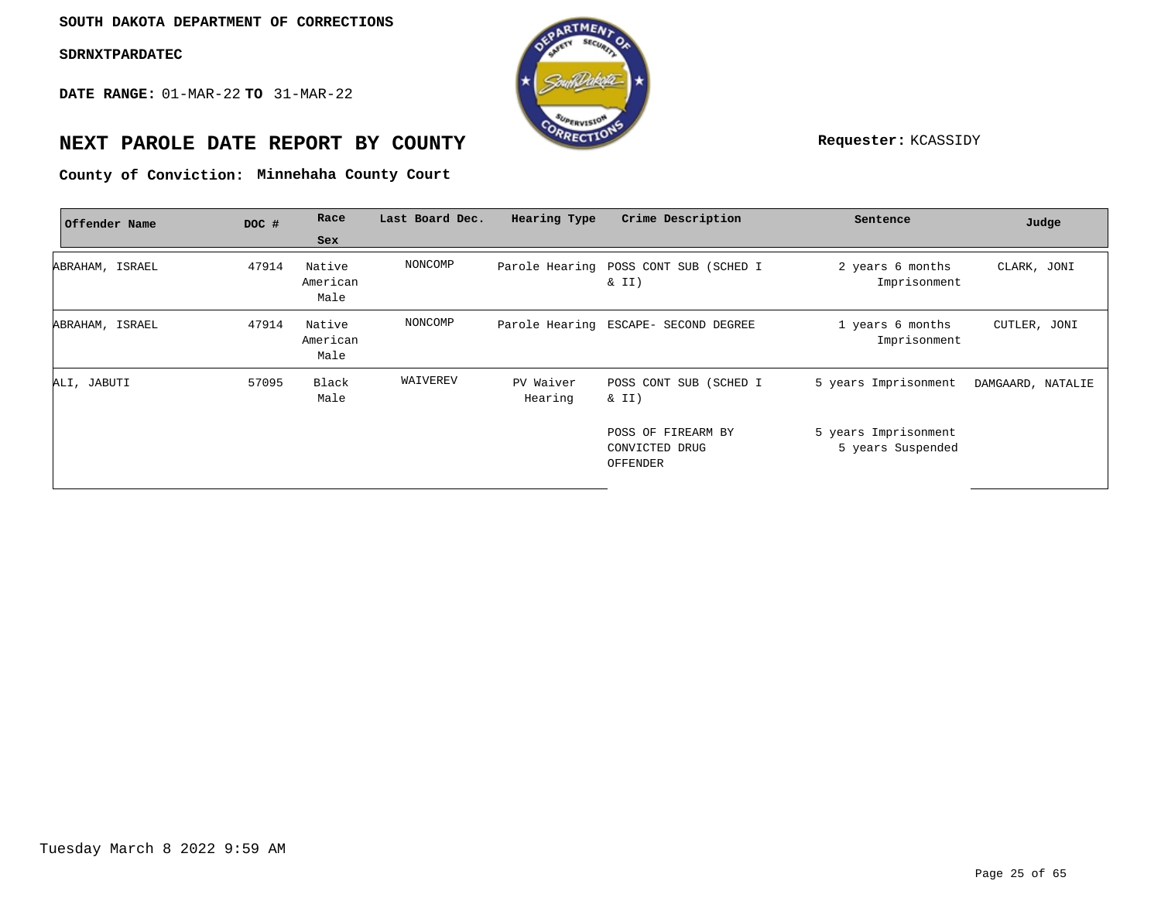**DATE RANGE:** 01-MAR-22 **TO** 31-MAR-22



# **NEXT PAROLE DATE REPORT BY COUNTY Requester:** KCASSIDY

**Minnehaha County Court County of Conviction:**

| Offender Name   | DOC # | Race                       | Last Board Dec. | Hearing Type         | Crime Description                                 | Sentence                                  | Judge             |
|-----------------|-------|----------------------------|-----------------|----------------------|---------------------------------------------------|-------------------------------------------|-------------------|
|                 |       | Sex                        |                 |                      |                                                   |                                           |                   |
| ABRAHAM, ISRAEL | 47914 | Native<br>American<br>Male | NONCOMP         |                      | Parole Hearing POSS CONT SUB (SCHED I<br>$\&$ II) | 2 years 6 months<br>Imprisonment          | CLARK, JONI       |
| ABRAHAM, ISRAEL | 47914 | Native<br>American<br>Male | NONCOMP         |                      | Parole Hearing ESCAPE- SECOND DEGREE              | 1 years 6 months<br>Imprisonment          | CUTLER, JONI      |
| ALI, JABUTI     | 57095 | Black<br>Male              | WAIVEREV        | PV Waiver<br>Hearing | POSS CONT SUB (SCHED I<br>& II)                   | 5 years Imprisonment                      | DAMGAARD, NATALIE |
|                 |       |                            |                 |                      | POSS OF FIREARM BY<br>CONVICTED DRUG<br>OFFENDER  | 5 years Imprisonment<br>5 years Suspended |                   |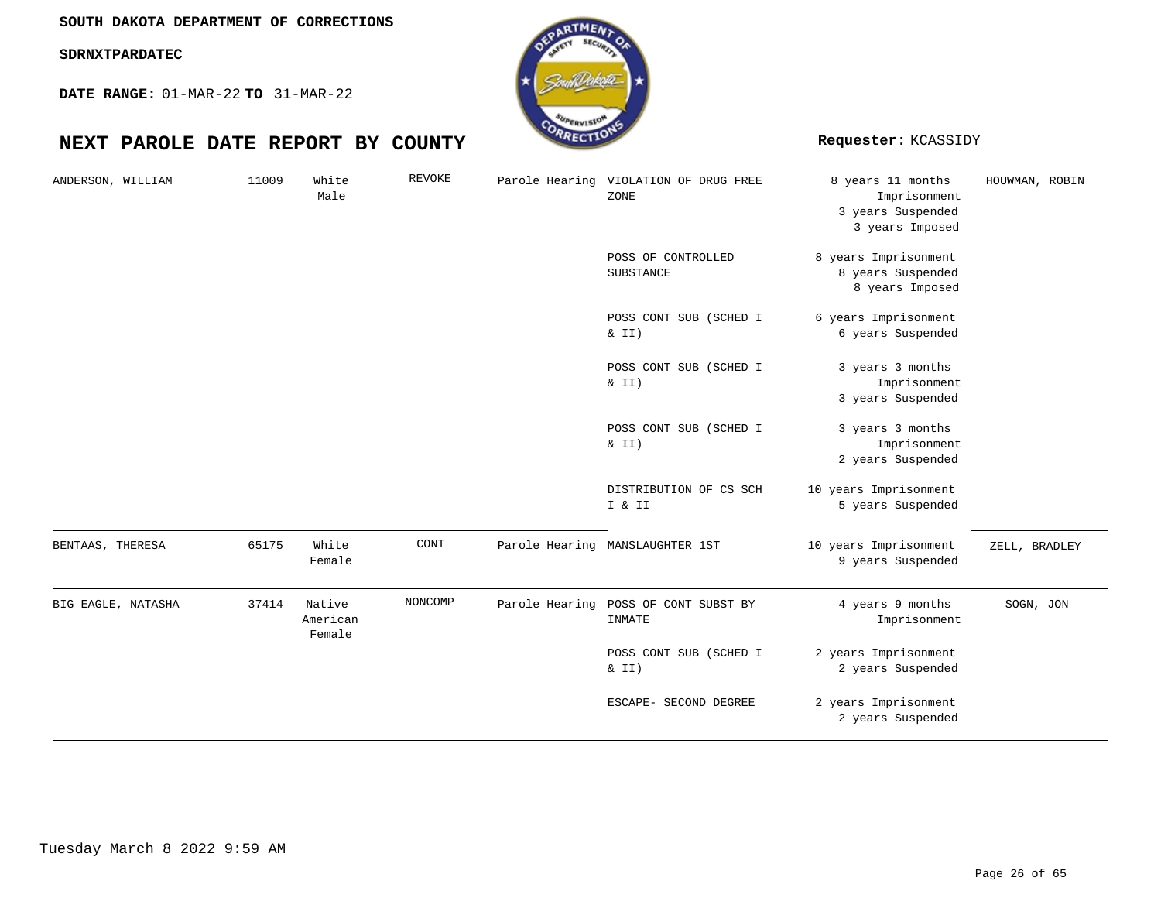**DATE RANGE:** 01-MAR-22 **TO** 31-MAR-22



| ANDERSON, WILLIAM  | 11009 | White<br>Male                | REVOKE  | Parole Hearing VIOLATION OF DRUG FREE<br>ZONE  | 8 years 11 months<br>Imprisonment<br>3 years Suspended<br>3 years Imposed | HOUWMAN, ROBIN |
|--------------------|-------|------------------------------|---------|------------------------------------------------|---------------------------------------------------------------------------|----------------|
|                    |       |                              |         | POSS OF CONTROLLED<br>SUBSTANCE                | 8 years Imprisonment<br>8 years Suspended<br>8 years Imposed              |                |
|                    |       |                              |         | POSS CONT SUB (SCHED I<br>& II)                | 6 years Imprisonment<br>6 years Suspended                                 |                |
|                    |       |                              |         | POSS CONT SUB (SCHED I<br>& II)                | 3 years 3 months<br>Imprisonment<br>3 years Suspended                     |                |
|                    |       |                              |         | POSS CONT SUB (SCHED I<br>$\&$ II)             | 3 years 3 months<br>Imprisonment<br>2 years Suspended                     |                |
|                    |       |                              |         | DISTRIBUTION OF CS SCH<br>I & II               | 10 years Imprisonment<br>5 years Suspended                                |                |
| BENTAAS, THERESA   | 65175 | White<br>Female              | CONT    | Parole Hearing MANSLAUGHTER 1ST                | 10 years Imprisonment<br>9 years Suspended                                | ZELL, BRADLEY  |
| BIG EAGLE, NATASHA | 37414 | Native<br>American<br>Female | NONCOMP | Parole Hearing POSS OF CONT SUBST BY<br>INMATE | 4 years 9 months<br>Imprisonment                                          | SOGN, JON      |
|                    |       |                              |         | POSS CONT SUB (SCHED I<br>$\&$ II)             | 2 years Imprisonment<br>2 years Suspended                                 |                |
|                    |       |                              |         | ESCAPE- SECOND DEGREE                          | 2 years Imprisonment<br>2 years Suspended                                 |                |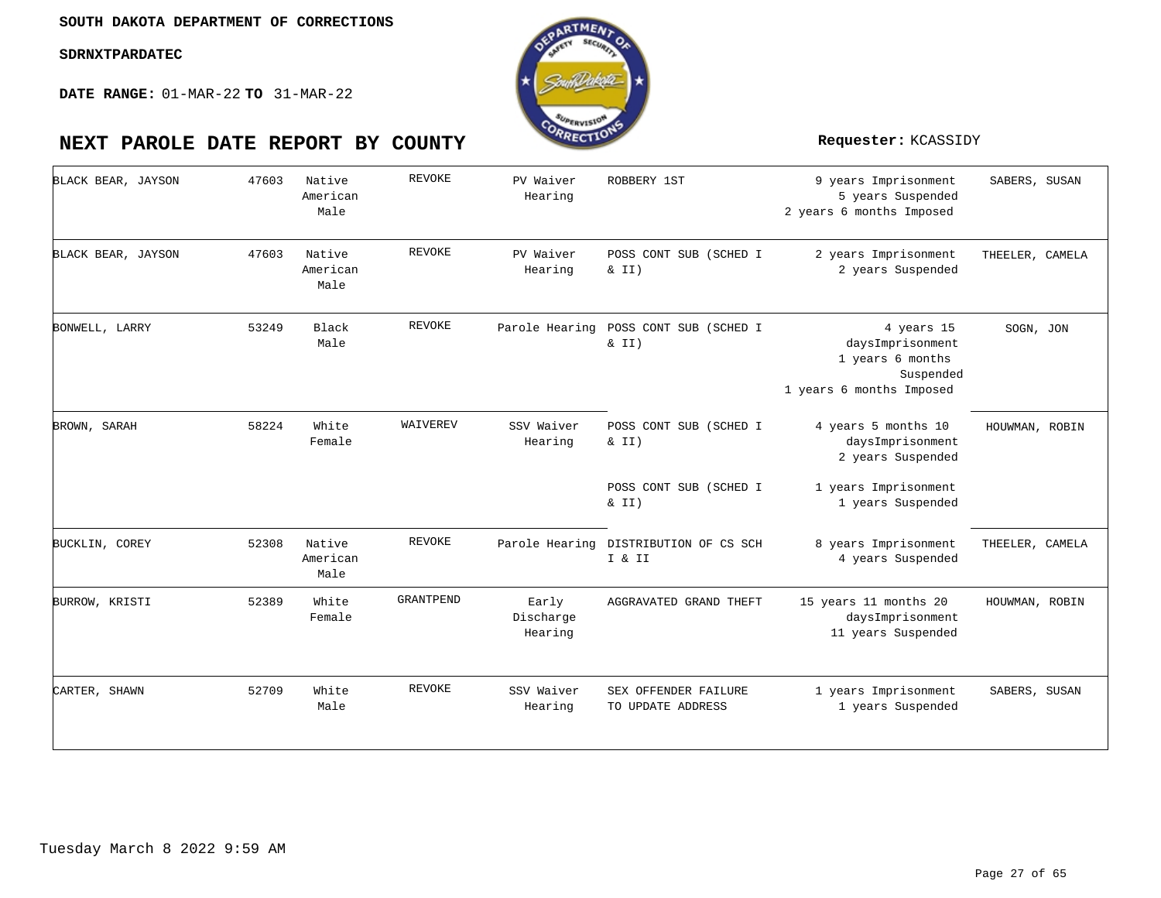

| BLACK BEAR, JAYSON | 47603 | Native<br>American<br>Male | <b>REVOKE</b> | PV Waiver<br>Hearing          | ROBBERY 1ST                                     | 9 years Imprisonment<br>5 years Suspended<br>2 years 6 months Imposed                       | SABERS, SUSAN   |
|--------------------|-------|----------------------------|---------------|-------------------------------|-------------------------------------------------|---------------------------------------------------------------------------------------------|-----------------|
| BLACK BEAR, JAYSON | 47603 | Native<br>American<br>Male | <b>REVOKE</b> | PV Waiver<br>Hearing          | POSS CONT SUB (SCHED I<br>$\&$ II)              | 2 years Imprisonment<br>2 years Suspended                                                   | THEELER, CAMELA |
| BONWELL, LARRY     | 53249 | Black<br>Male              | <b>REVOKE</b> | Parole Hearing                | POSS CONT SUB (SCHED I<br>& II)                 | 4 years 15<br>daysImprisonment<br>1 years 6 months<br>Suspended<br>1 years 6 months Imposed | SOGN, JON       |
| BROWN, SARAH       | 58224 | White<br>Female            | WAIVEREV      | SSV Waiver<br>Hearing         | POSS CONT SUB (SCHED I<br>& II)                 | 4 years 5 months 10<br>daysImprisonment<br>2 years Suspended                                | HOUWMAN, ROBIN  |
|                    |       |                            |               |                               | POSS CONT SUB (SCHED I<br>& II)                 | 1 years Imprisonment<br>1 years Suspended                                                   |                 |
| BUCKLIN, COREY     | 52308 | Native<br>American<br>Male | REVOKE        |                               | Parole Hearing DISTRIBUTION OF CS SCH<br>I & II | 8 years Imprisonment<br>4 years Suspended                                                   | THEELER, CAMELA |
| BURROW, KRISTI     | 52389 | White<br>Female            | GRANTPEND     | Early<br>Discharge<br>Hearing | AGGRAVATED GRAND THEFT                          | 15 years 11 months 20<br>daysImprisonment<br>11 years Suspended                             | HOUWMAN, ROBIN  |
| CARTER, SHAWN      | 52709 | White<br>Male              | <b>REVOKE</b> | SSV Waiver<br>Hearing         | SEX OFFENDER FAILURE<br>TO UPDATE ADDRESS       | 1 years Imprisonment<br>1 years Suspended                                                   | SABERS, SUSAN   |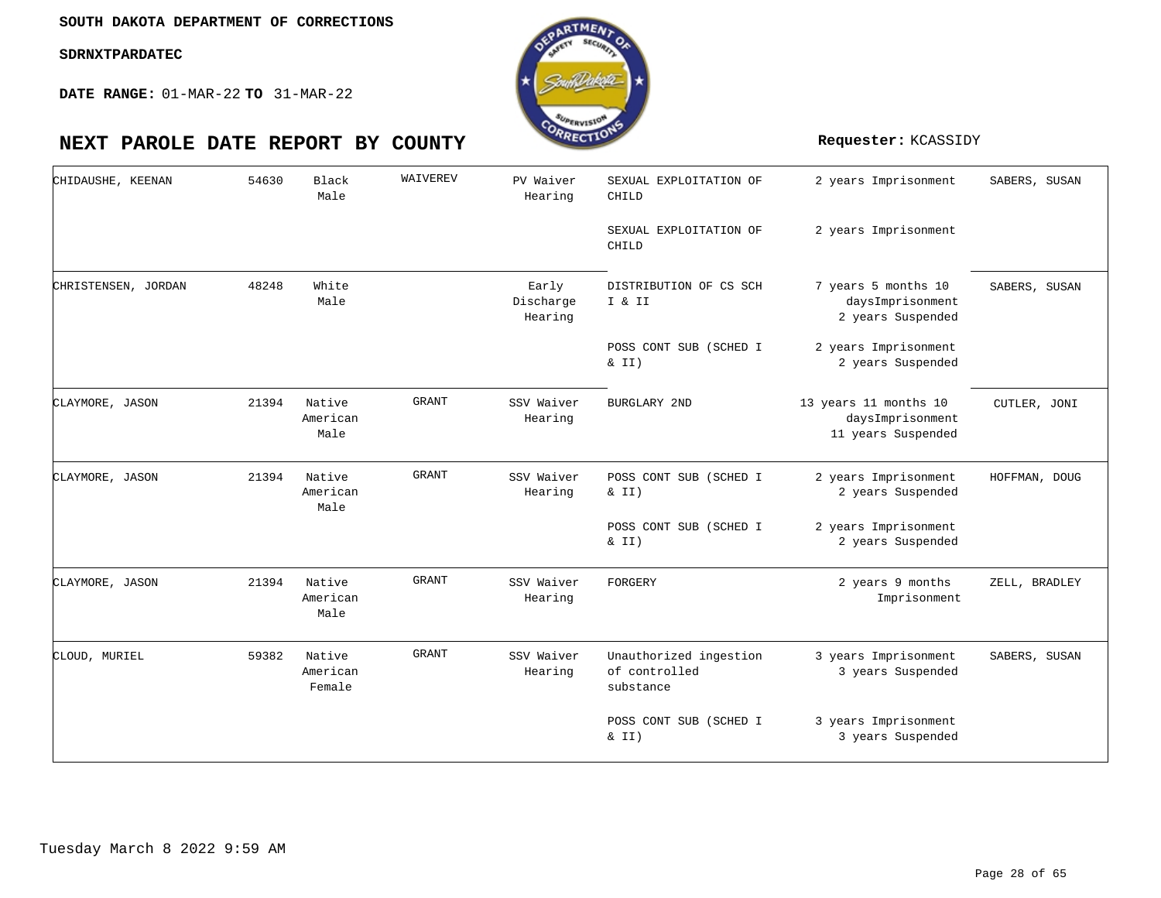**DATE RANGE:** 01-MAR-22 **TO** 31-MAR-22



#### 2 years Imprisonment 2 years Imprisonment 7 years 5 months 10 daysImprisonment 2 years Suspended 2 years Imprisonment 2 years Suspended 13 years 11 months 10 daysImprisonment 11 years Suspended 2 years Imprisonment 2 years Suspended 2 years Imprisonment 2 years Suspended 2 years 9 months Imprisonment 3 years Imprisonment 3 years Suspended 3 years Imprisonment 3 years Suspended SEXUAL EXPLOITATION OF CHILD SEXUAL EXPLOITATION OF CHILD DISTRIBUTION OF CS SCH I & II POSS CONT SUB (SCHED I  $& II)$ BURGLARY 2ND POSS CONT SUB (SCHED I  $& II)$ POSS CONT SUB (SCHED I & II) FORGERY Unauthorized ingestion of controlled substance POSS CONT SUB (SCHED I & II) Black White Native American Native American Native American Native American Male Male Male Male Male Female 54630 48248 21394 21394 21394 59382 CHIDAUSHE, KEENAN CHRISTENSEN, JORDAN CLAYMORE, JASON CLAYMORE, JASON CLAYMORE, JASON CLOUD, MURIEL WAIVEREV GRANT GRANT GRANT GRANT PV Waiver Hearing Early Discharge Hearing SSV Waiver Hearing SSV Waiver Hearing SSV Waiver Hearing SSV Waiver Hearing SABERS, SUSAN SABERS, SUSAN CUTLER, JONI HOFFMAN, DOUG ZELL, BRADLEY SABERS, SUSAN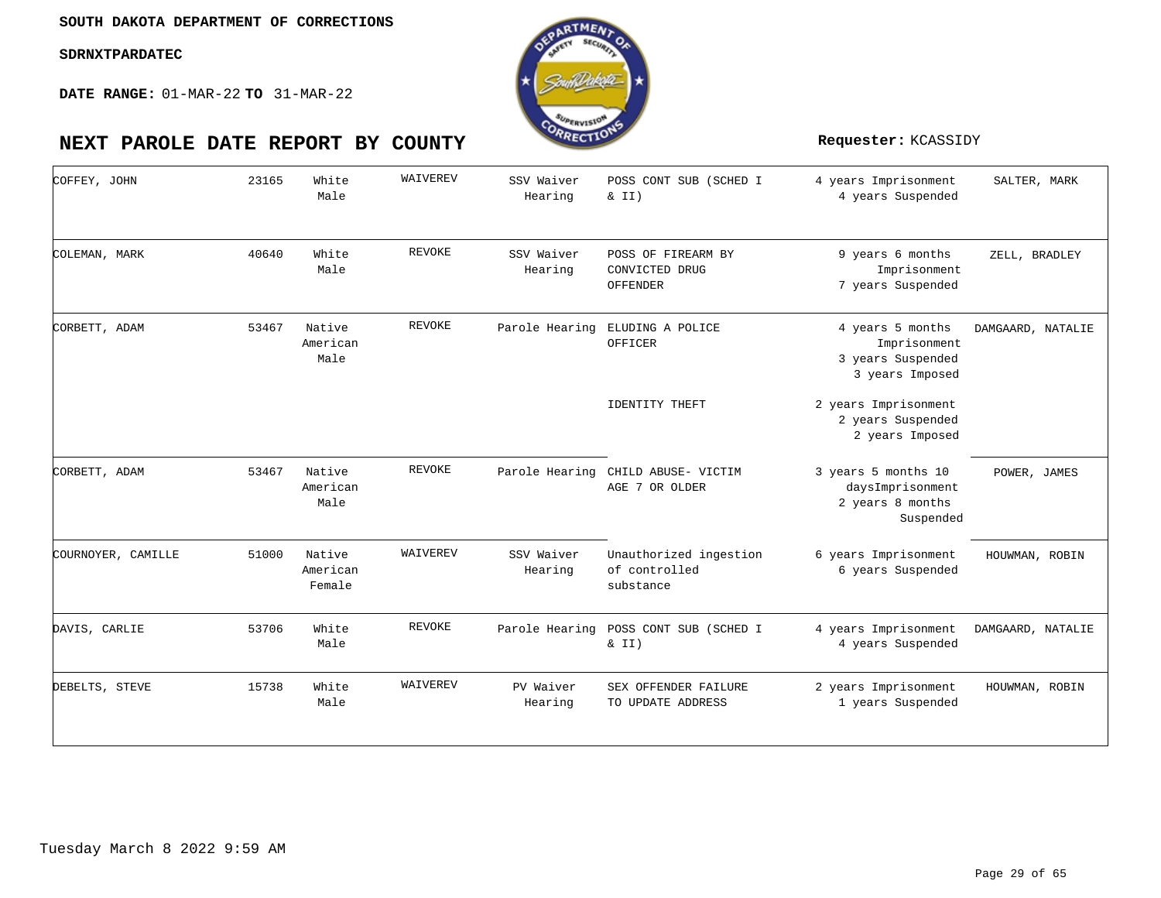**DATE RANGE:** 01-MAR-22 **TO** 31-MAR-22



| COFFEY, JOHN       | 23165 | White<br>Male                | WAIVEREV      | SSV Waiver<br>Hearing | POSS CONT SUB (SCHED I<br>$\&$ II)                   | 4 years Imprisonment<br>4 years Suspended                                | SALTER, MARK      |
|--------------------|-------|------------------------------|---------------|-----------------------|------------------------------------------------------|--------------------------------------------------------------------------|-------------------|
| COLEMAN, MARK      | 40640 | White<br>Male                | <b>REVOKE</b> | SSV Waiver<br>Hearing | POSS OF FIREARM BY<br>CONVICTED DRUG<br>OFFENDER     | 9 years 6 months<br>Imprisonment<br>7 years Suspended                    | ZELL, BRADLEY     |
| CORBETT, ADAM      | 53467 | Native<br>American<br>Male   | <b>REVOKE</b> | Parole Hearing        | ELUDING A POLICE<br>OFFICER                          | 4 years 5 months<br>Imprisonment<br>3 years Suspended<br>3 years Imposed | DAMGAARD, NATALIE |
|                    |       |                              |               |                       | IDENTITY THEFT                                       | 2 years Imprisonment<br>2 years Suspended<br>2 years Imposed             |                   |
| CORBETT, ADAM      | 53467 | Native<br>American<br>Male   | <b>REVOKE</b> |                       | Parole Hearing CHILD ABUSE- VICTIM<br>AGE 7 OR OLDER | 3 years 5 months 10<br>daysImprisonment<br>2 years 8 months<br>Suspended | POWER, JAMES      |
| COURNOYER, CAMILLE | 51000 | Native<br>American<br>Female | WAIVEREV      | SSV Waiver<br>Hearing | Unauthorized ingestion<br>of controlled<br>substance | 6 years Imprisonment<br>6 years Suspended                                | HOUWMAN, ROBIN    |
| DAVIS, CARLIE      | 53706 | White<br>Male                | REVOKE        | Parole Hearing        | POSS CONT SUB (SCHED I<br>$\&$ II)                   | 4 years Imprisonment<br>4 years Suspended                                | DAMGAARD, NATALIE |
| DEBELTS, STEVE     | 15738 | White<br>Male                | WAIVEREV      | PV Waiver<br>Hearing  | SEX OFFENDER FAILURE<br>TO UPDATE ADDRESS            | 2 years Imprisonment<br>1 years Suspended                                | HOUWMAN, ROBIN    |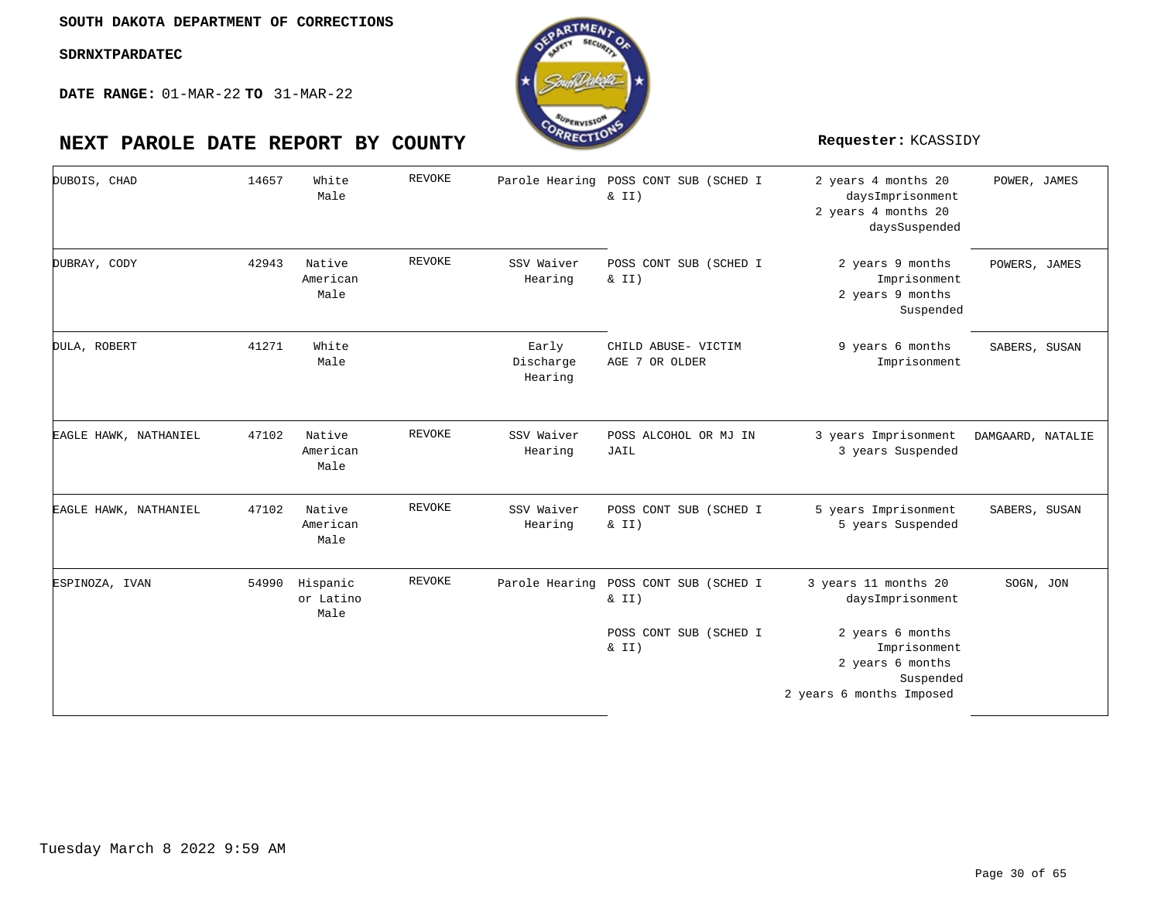

| DUBOIS, CHAD          | 14657 | White<br>Male                 | REVOKE        |                               | Parole Hearing POSS CONT SUB (SCHED I<br>& II)                                    | 2 years 4 months 20<br>daysImprisonment<br>2 years 4 months 20<br>daysSuspended                                                           | POWER, JAMES      |
|-----------------------|-------|-------------------------------|---------------|-------------------------------|-----------------------------------------------------------------------------------|-------------------------------------------------------------------------------------------------------------------------------------------|-------------------|
| DUBRAY, CODY          | 42943 | Native<br>American<br>Male    | <b>REVOKE</b> | SSV Waiver<br>Hearing         | POSS CONT SUB (SCHED I<br>$\&$ II)                                                | 2 years 9 months<br>Imprisonment<br>2 years 9 months<br>Suspended                                                                         | POWERS, JAMES     |
| DULA, ROBERT          | 41271 | White<br>Male                 |               | Early<br>Discharge<br>Hearing | CHILD ABUSE- VICTIM<br>AGE 7 OR OLDER                                             | 9 years 6 months<br>Imprisonment                                                                                                          | SABERS, SUSAN     |
| EAGLE HAWK, NATHANIEL | 47102 | Native<br>American<br>Male    | <b>REVOKE</b> | SSV Waiver<br>Hearing         | POSS ALCOHOL OR MJ IN<br>JAIL                                                     | 3 years Imprisonment<br>3 years Suspended                                                                                                 | DAMGAARD, NATALIE |
| EAGLE HAWK, NATHANIEL | 47102 | Native<br>American<br>Male    | <b>REVOKE</b> | SSV Waiver<br>Hearing         | POSS CONT SUB (SCHED I<br>& II)                                                   | 5 years Imprisonment<br>5 years Suspended                                                                                                 | SABERS, SUSAN     |
| ESPINOZA, IVAN        | 54990 | Hispanic<br>or Latino<br>Male | REVOKE        |                               | Parole Hearing POSS CONT SUB (SCHED I<br>& II)<br>POSS CONT SUB (SCHED I<br>& II) | 3 years 11 months 20<br>daysImprisonment<br>2 years 6 months<br>Imprisonment<br>2 years 6 months<br>Suspended<br>2 years 6 months Imposed | SOGN, JON         |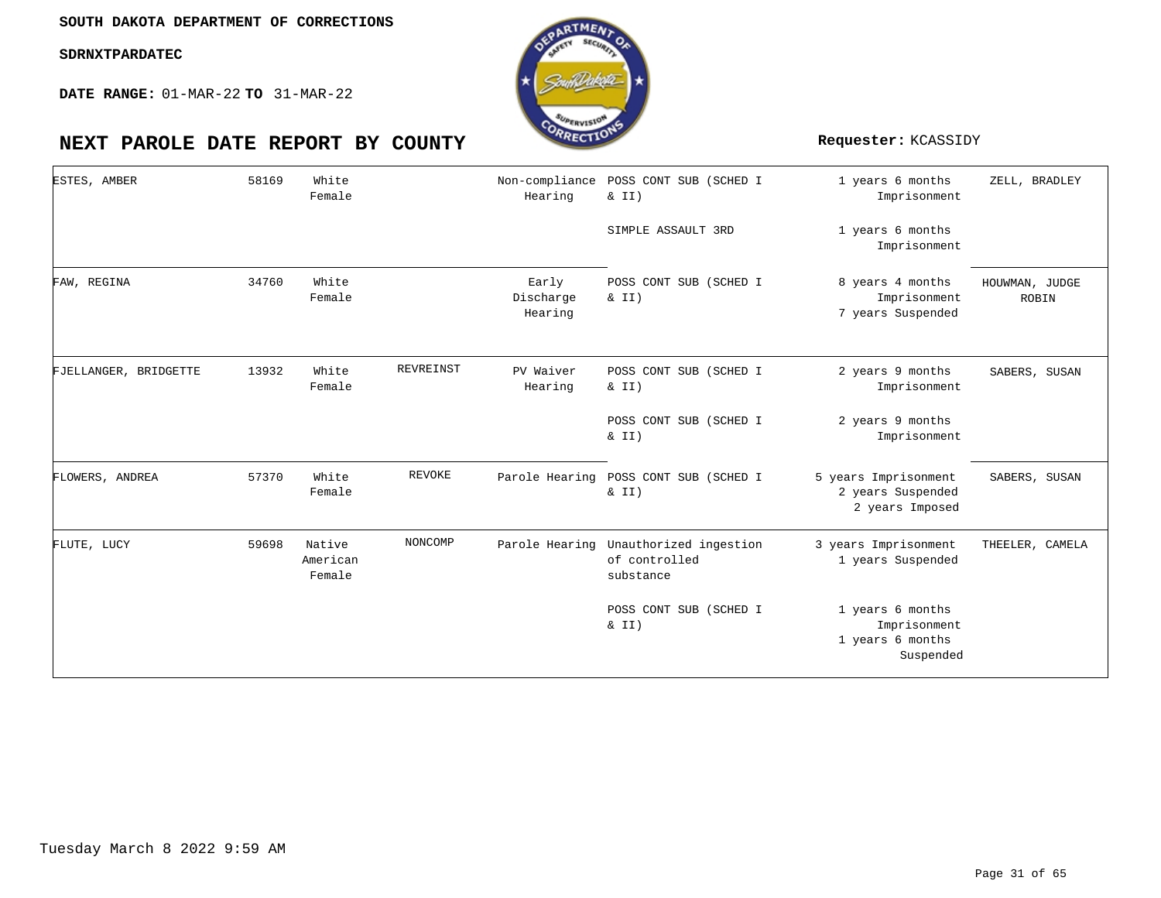

| ESTES, AMBER          | 58169 | White<br>Female              |               | Non-compliance<br>Hearing     | POSS CONT SUB (SCHED I<br>& II)                      | 1 years 6 months<br>Imprisonment                                  | ZELL, BRADLEY           |
|-----------------------|-------|------------------------------|---------------|-------------------------------|------------------------------------------------------|-------------------------------------------------------------------|-------------------------|
|                       |       |                              |               |                               | SIMPLE ASSAULT 3RD                                   | 1 years 6 months<br>Imprisonment                                  |                         |
| FAW, REGINA           | 34760 | White<br>Female              |               | Early<br>Discharge<br>Hearing | POSS CONT SUB (SCHED I<br>$\&$ II)                   | 8 years 4 months<br>Imprisonment<br>7 years Suspended             | HOUWMAN, JUDGE<br>ROBIN |
| FJELLANGER, BRIDGETTE | 13932 | White<br>Female              | REVREINST     | PV Waiver<br>Hearing          | POSS CONT SUB (SCHED I<br>& II)                      | 2 years 9 months<br>Imprisonment                                  | SABERS, SUSAN           |
|                       |       |                              |               |                               | POSS CONT SUB (SCHED I<br>& II)                      | 2 years 9 months<br>Imprisonment                                  |                         |
| FLOWERS, ANDREA       | 57370 | White<br>Female              | <b>REVOKE</b> | Parole Hearing                | POSS CONT SUB (SCHED I<br>& II)                      | 5 years Imprisonment<br>2 years Suspended<br>2 years Imposed      | SABERS, SUSAN           |
| FLUTE, LUCY           | 59698 | Native<br>American<br>Female | NONCOMP       | Parole Hearing                | Unauthorized ingestion<br>of controlled<br>substance | 3 years Imprisonment<br>1 years Suspended                         | THEELER, CAMELA         |
|                       |       |                              |               |                               | POSS CONT SUB (SCHED I<br>& II)                      | 1 years 6 months<br>Imprisonment<br>1 years 6 months<br>Suspended |                         |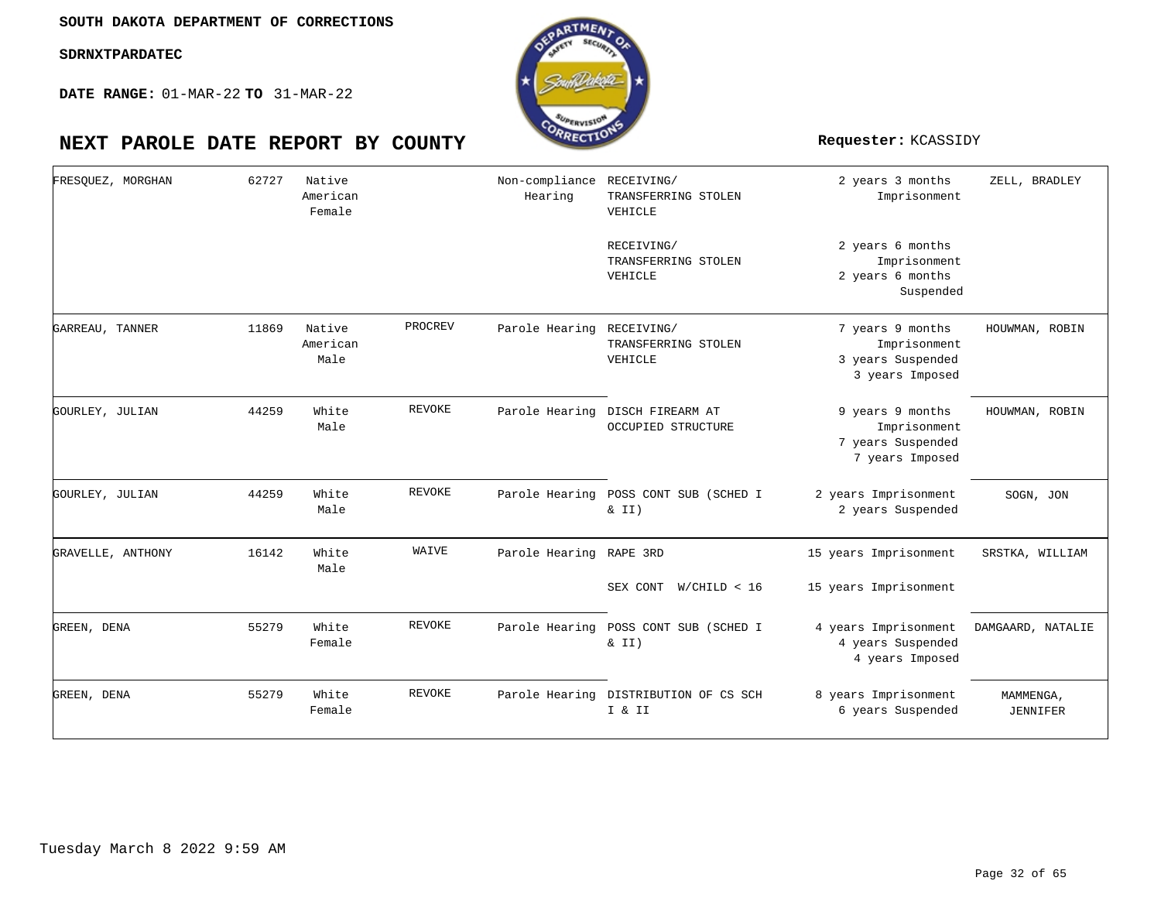

| FRESOUEZ, MORGHAN | 62727 | Native<br>American<br>Female |               | Non-compliance RECEIVING/<br>Hearing | TRANSFERRING STOLEN<br>VEHICLE                | 2 years 3 months<br>Imprisonment                                         | ZELL, BRADLEY         |
|-------------------|-------|------------------------------|---------------|--------------------------------------|-----------------------------------------------|--------------------------------------------------------------------------|-----------------------|
|                   |       |                              |               |                                      | RECEIVING/<br>TRANSFERRING STOLEN<br>VEHICLE  | 2 years 6 months<br>Imprisonment<br>2 years 6 months<br>Suspended        |                       |
| GARREAU, TANNER   | 11869 | Native<br>American<br>Male   | PROCREV       | Parole Hearing                       | RECEIVING/<br>TRANSFERRING STOLEN<br>VEHICLE  | 7 years 9 months<br>Imprisonment<br>3 years Suspended<br>3 years Imposed | HOUWMAN, ROBIN        |
| GOURLEY, JULIAN   | 44259 | White<br>Male                | REVOKE        | Parole Hearing                       | DISCH FIREARM AT<br><b>OCCUPIED STRUCTURE</b> | 9 years 9 months<br>Imprisonment<br>7 years Suspended<br>7 years Imposed | HOUWMAN, ROBIN        |
| GOURLEY, JULIAN   | 44259 | White<br>Male                | REVOKE        | Parole Hearing                       | POSS CONT SUB (SCHED I<br>& II)               | 2 years Imprisonment<br>2 years Suspended                                | SOGN, JON             |
| GRAVELLE, ANTHONY | 16142 | White<br>Male                | WAIVE         | Parole Hearing                       | RAPE 3RD<br>SEX CONT W/CHILD < 16             | 15 years Imprisonment<br>15 years Imprisonment                           | SRSTKA, WILLIAM       |
| GREEN, DENA       | 55279 | White<br>Female              | REVOKE        | Parole Hearing                       | POSS CONT SUB (SCHED I<br>$\&$ II)            | 4 years Imprisonment<br>4 years Suspended<br>4 years Imposed             | DAMGAARD, NATALIE     |
| GREEN, DENA       | 55279 | White<br>Female              | <b>REVOKE</b> | Parole Hearing                       | DISTRIBUTION OF CS SCH<br>I & II              | 8 years Imprisonment<br>6 years Suspended                                | MAMMENGA,<br>JENNIFER |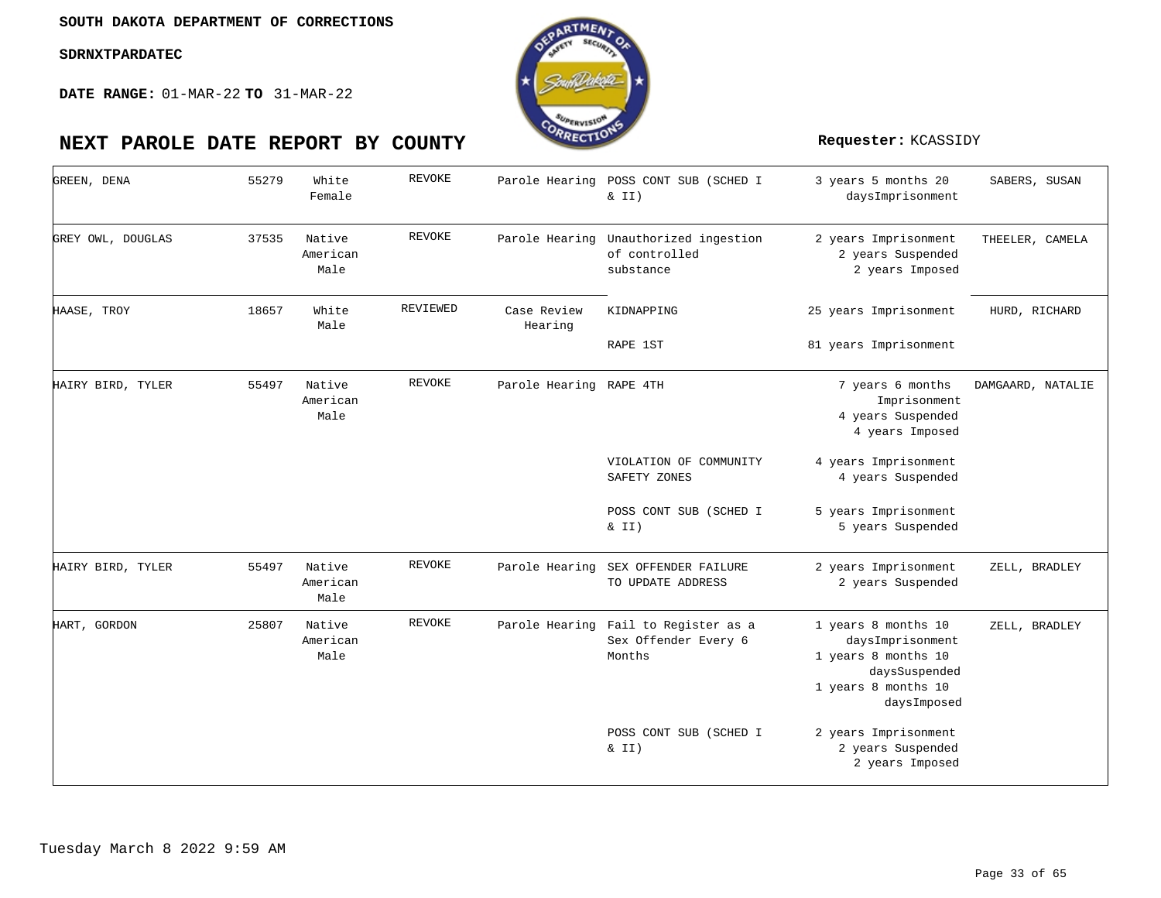

| GREEN, DENA       | 55279 | White<br>Female            | <b>REVOKE</b> | Parole Hearing          | POSS CONT SUB (SCHED I<br>$\&$ II)                                     | 3 years 5 months 20<br>daysImprisonment                                                                               | SABERS, SUSAN     |
|-------------------|-------|----------------------------|---------------|-------------------------|------------------------------------------------------------------------|-----------------------------------------------------------------------------------------------------------------------|-------------------|
| GREY OWL, DOUGLAS | 37535 | Native<br>American<br>Male | <b>REVOKE</b> | Parole Hearing          | Unauthorized ingestion<br>of controlled<br>substance                   | 2 years Imprisonment<br>2 years Suspended<br>2 years Imposed                                                          | THEELER, CAMELA   |
| HAASE, TROY       | 18657 | White<br>Male              | REVIEWED      | Case Review<br>Hearing  | KIDNAPPING                                                             | 25 years Imprisonment                                                                                                 | HURD, RICHARD     |
|                   |       |                            |               |                         | RAPE 1ST                                                               | 81 years Imprisonment                                                                                                 |                   |
| HAIRY BIRD, TYLER | 55497 | Native<br>American<br>Male | <b>REVOKE</b> | Parole Hearing RAPE 4TH |                                                                        | 7 years 6 months<br>Imprisonment<br>4 years Suspended<br>4 years Imposed                                              | DAMGAARD, NATALIE |
|                   |       |                            |               |                         | VIOLATION OF COMMUNITY<br>SAFETY ZONES                                 | 4 years Imprisonment<br>4 years Suspended                                                                             |                   |
|                   |       |                            |               |                         | POSS CONT SUB (SCHED I<br>$\&$ II)                                     | 5 years Imprisonment<br>5 years Suspended                                                                             |                   |
| HAIRY BIRD, TYLER | 55497 | Native<br>American<br>Male | <b>REVOKE</b> |                         | Parole Hearing SEX OFFENDER FAILURE<br>TO UPDATE ADDRESS               | 2 years Imprisonment<br>2 years Suspended                                                                             | ZELL, BRADLEY     |
| HART, GORDON      | 25807 | Native<br>American<br>Male | <b>REVOKE</b> |                         | Parole Hearing Fail to Register as a<br>Sex Offender Every 6<br>Months | 1 years 8 months 10<br>daysImprisonment<br>1 years 8 months 10<br>daysSuspended<br>1 years 8 months 10<br>daysImposed | ZELL, BRADLEY     |
|                   |       |                            |               |                         | POSS CONT SUB (SCHED I<br>$\&$ II)                                     | 2 years Imprisonment<br>2 years Suspended<br>2 years Imposed                                                          |                   |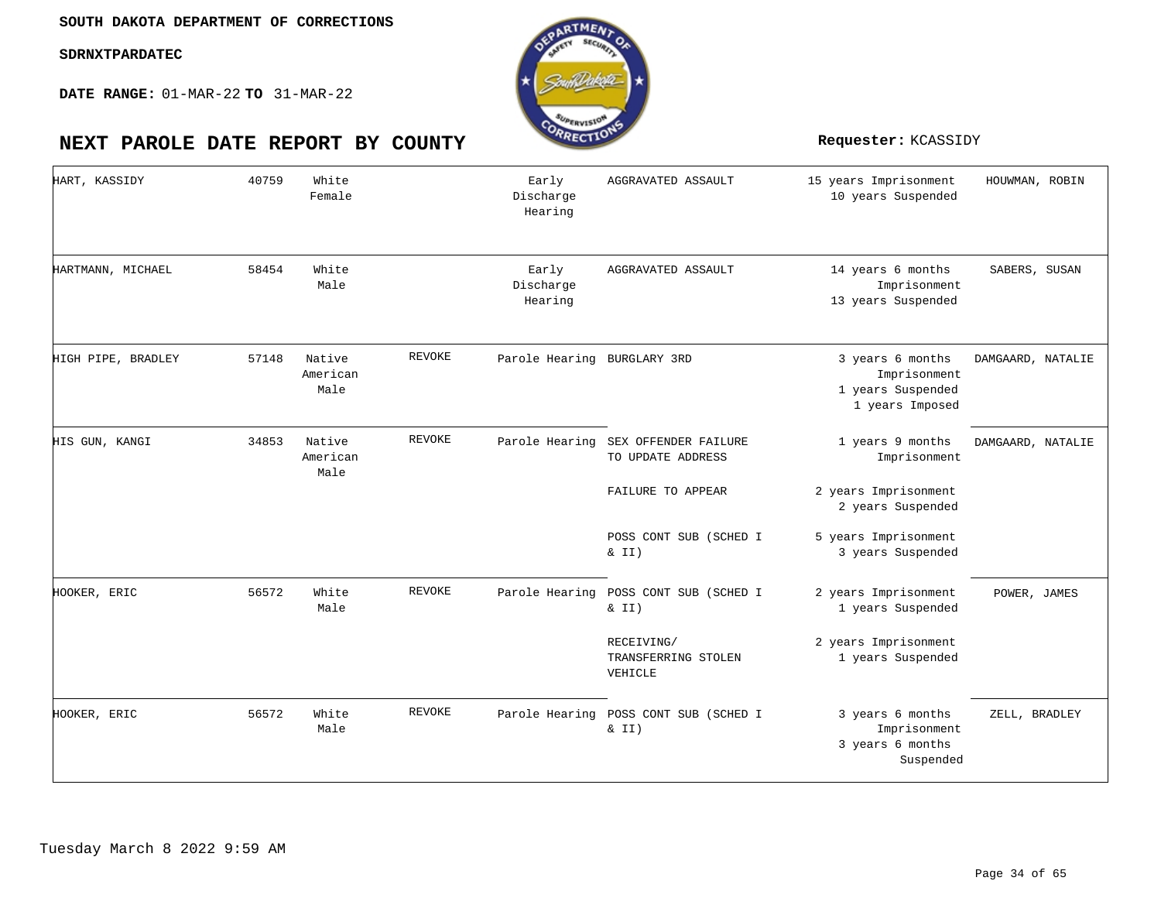**DATE RANGE:** 01-MAR-22 **TO** 31-MAR-22

| HART, KASSIDY      | 40759 | White<br>Female            |               | Early<br>Discharge<br>Hearing | AGGRAVATED ASSAULT                                | 15 years Imprisonment<br>10 years Suspended                              | HOUWMAN, ROBIN    |
|--------------------|-------|----------------------------|---------------|-------------------------------|---------------------------------------------------|--------------------------------------------------------------------------|-------------------|
| HARTMANN, MICHAEL  | 58454 | White<br>Male              |               | Early<br>Discharge<br>Hearing | AGGRAVATED ASSAULT                                | 14 years 6 months<br>Imprisonment<br>13 years Suspended                  | SABERS, SUSAN     |
| HIGH PIPE, BRADLEY | 57148 | Native<br>American<br>Male | REVOKE        | Parole Hearing BURGLARY 3RD   |                                                   | 3 years 6 months<br>Imprisonment<br>1 years Suspended<br>1 years Imposed | DAMGAARD, NATALIE |
| HIS GUN, KANGI     | 34853 | Native<br>American<br>Male | <b>REVOKE</b> | Parole Hearing                | SEX OFFENDER FAILURE<br>TO UPDATE ADDRESS         | 1 years 9 months<br>Imprisonment                                         | DAMGAARD, NATALIE |
|                    |       |                            |               |                               | FAILURE TO APPEAR                                 | 2 years Imprisonment<br>2 years Suspended                                |                   |
|                    |       |                            |               |                               | POSS CONT SUB (SCHED I<br>& II)                   | 5 years Imprisonment<br>3 years Suspended                                |                   |
| HOOKER, ERIC       | 56572 | White<br>Male              | REVOKE        | Parole Hearing                | POSS CONT SUB (SCHED I<br>$\&$ II)                | 2 years Imprisonment<br>1 years Suspended                                | POWER, JAMES      |
|                    |       |                            |               |                               | RECEIVING/<br>TRANSFERRING STOLEN<br>VEHICLE      | 2 years Imprisonment<br>1 years Suspended                                |                   |
| HOOKER, ERIC       | 56572 | White<br>Male              | REVOKE        |                               | Parole Hearing POSS CONT SUB (SCHED I<br>$\&$ II) | 3 years 6 months<br>Imprisonment<br>3 years 6 months<br>Suspended        | ZELL, BRADLEY     |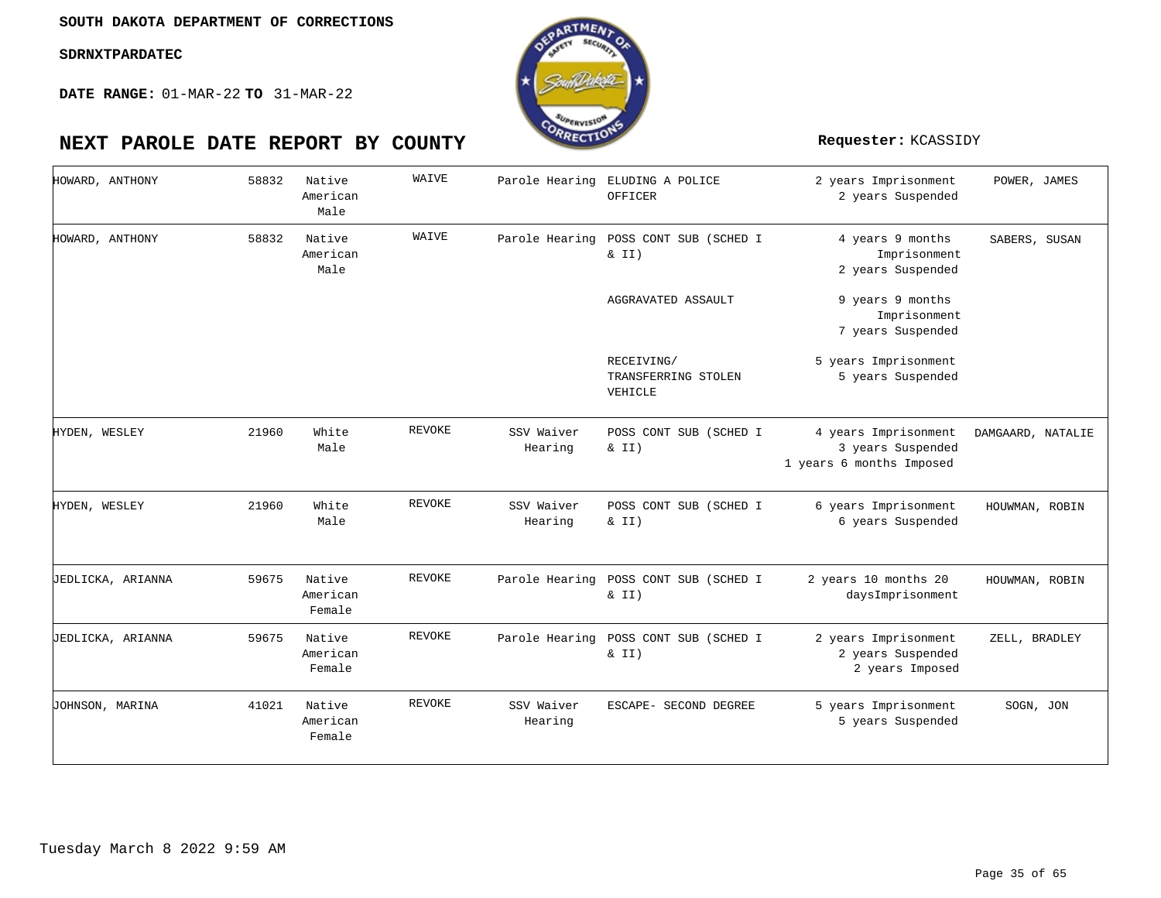

| HOWARD, ANTHONY   | 58832 | Native<br>American<br>Male   | WAIVE  | Parole Hearing        | ELUDING A POLICE<br>OFFICER                       | 2 years Imprisonment<br>2 years Suspended                             | POWER, JAMES      |
|-------------------|-------|------------------------------|--------|-----------------------|---------------------------------------------------|-----------------------------------------------------------------------|-------------------|
| HOWARD, ANTHONY   | 58832 | Native<br>American<br>Male   | WAIVE  |                       | Parole Hearing POSS CONT SUB (SCHED I<br>& II)    | 4 years 9 months<br>Imprisonment<br>2 years Suspended                 | SABERS, SUSAN     |
|                   |       |                              |        |                       | AGGRAVATED ASSAULT                                | 9 years 9 months<br>Imprisonment<br>7 years Suspended                 |                   |
|                   |       |                              |        |                       | RECEIVING/<br>TRANSFERRING STOLEN<br>VEHICLE      | 5 years Imprisonment<br>5 years Suspended                             |                   |
| HYDEN, WESLEY     | 21960 | White<br>Male                | REVOKE | SSV Waiver<br>Hearing | POSS CONT SUB (SCHED I<br>$\&$ II)                | 4 years Imprisonment<br>3 years Suspended<br>1 years 6 months Imposed | DAMGAARD, NATALIE |
| HYDEN, WESLEY     | 21960 | White<br>Male                | REVOKE | SSV Waiver<br>Hearing | POSS CONT SUB (SCHED I<br>& II)                   | 6 years Imprisonment<br>6 years Suspended                             | HOUWMAN, ROBIN    |
| JEDLICKA, ARIANNA | 59675 | Native<br>American<br>Female | REVOKE |                       | Parole Hearing POSS CONT SUB (SCHED I<br>$\&$ II) | 2 years 10 months 20<br>daysImprisonment                              | HOUWMAN, ROBIN    |
| JEDLICKA, ARIANNA | 59675 | Native<br>American<br>Female | REVOKE |                       | Parole Hearing POSS CONT SUB (SCHED I<br>& II)    | 2 years Imprisonment<br>2 years Suspended<br>2 years Imposed          | ZELL, BRADLEY     |
| JOHNSON, MARINA   | 41021 | Native<br>American<br>Female | REVOKE | SSV Waiver<br>Hearing | ESCAPE- SECOND DEGREE                             | 5 years Imprisonment<br>5 years Suspended                             | SOGN, JON         |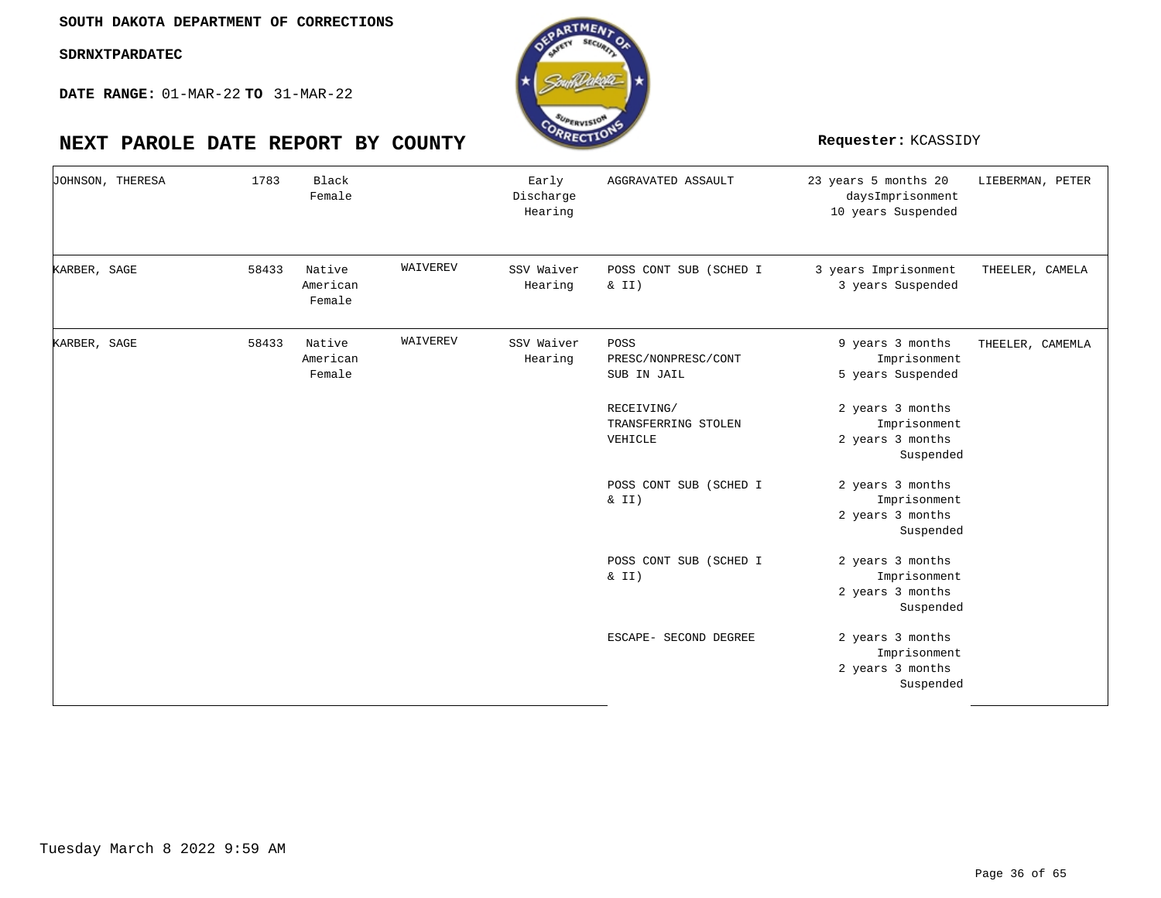

| JOHNSON, THERESA | 1783  | Black<br>Female              |          | Early<br>Discharge<br>Hearing | AGGRAVATED ASSAULT                           | 23 years 5 months 20<br>daysImprisonment<br>10 years Suspended    | LIEBERMAN, PETER |
|------------------|-------|------------------------------|----------|-------------------------------|----------------------------------------------|-------------------------------------------------------------------|------------------|
| KARBER, SAGE     | 58433 | Native<br>American<br>Female | WAIVEREV | SSV Waiver<br>Hearing         | POSS CONT SUB (SCHED I<br>& II)              | 3 years Imprisonment<br>3 years Suspended                         | THEELER, CAMELA  |
| KARBER, SAGE     | 58433 | Native<br>American<br>Female | WAIVEREV | SSV Waiver<br>Hearing         | POSS<br>PRESC/NONPRESC/CONT<br>SUB IN JAIL   | 9 years 3 months<br>Imprisonment<br>5 years Suspended             | THEELER, CAMEMLA |
|                  |       |                              |          |                               | RECEIVING/<br>TRANSFERRING STOLEN<br>VEHICLE | 2 years 3 months<br>Imprisonment<br>2 years 3 months<br>Suspended |                  |
|                  |       |                              |          |                               | POSS CONT SUB (SCHED I<br>& II)              | 2 years 3 months<br>Imprisonment<br>2 years 3 months<br>Suspended |                  |
|                  |       |                              |          |                               | POSS CONT SUB (SCHED I<br>& II)              | 2 years 3 months<br>Imprisonment<br>2 years 3 months<br>Suspended |                  |
|                  |       |                              |          |                               | ESCAPE- SECOND DEGREE                        | 2 years 3 months<br>Imprisonment<br>2 years 3 months<br>Suspended |                  |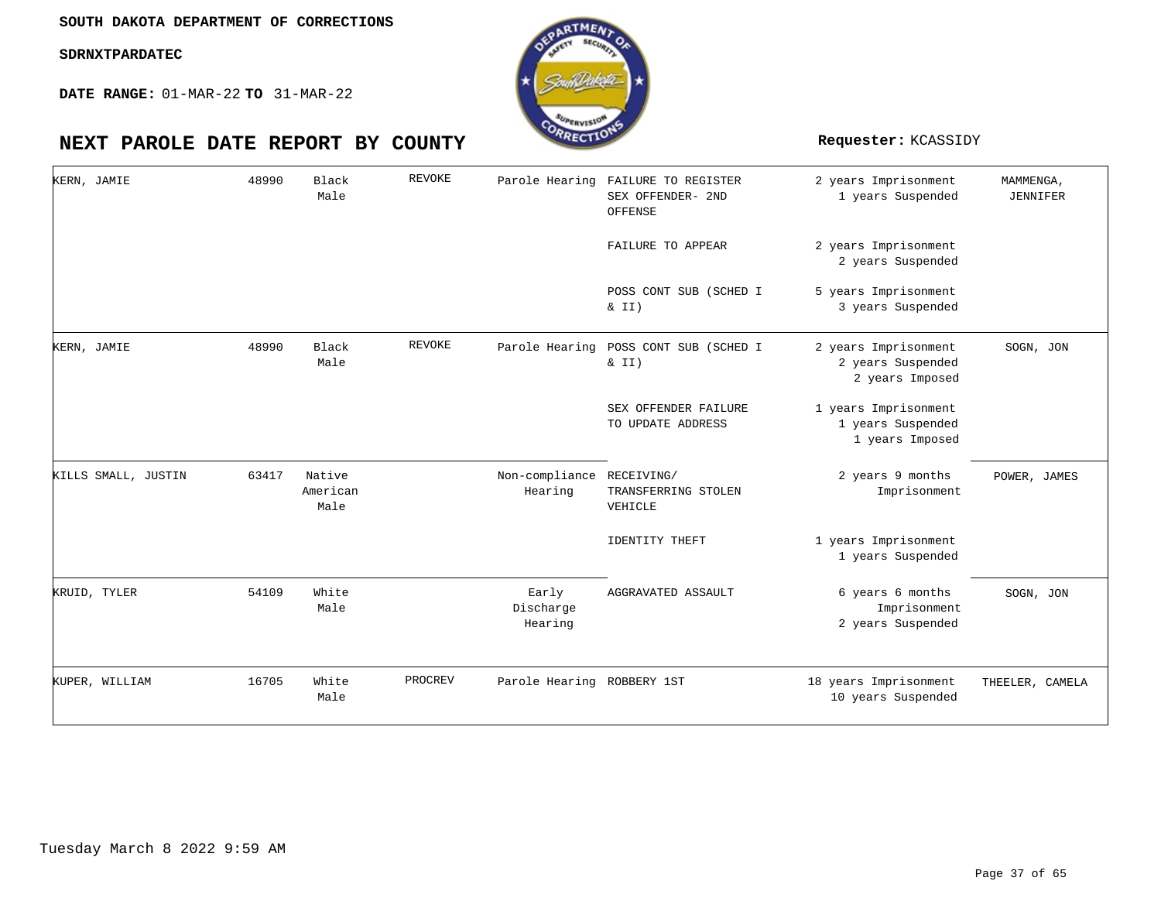

| KERN, JAMIE         | 48990 | Black<br>Male              | REVOKE  | Parole Hearing                | FAILURE TO REGISTER<br>SEX OFFENDER- 2ND<br>OFFENSE | 2 years Imprisonment<br>1 years Suspended                    | MAMMENGA,<br><b>JENNIFER</b> |
|---------------------|-------|----------------------------|---------|-------------------------------|-----------------------------------------------------|--------------------------------------------------------------|------------------------------|
|                     |       |                            |         |                               | FAILURE TO APPEAR                                   | 2 years Imprisonment<br>2 years Suspended                    |                              |
|                     |       |                            |         |                               | POSS CONT SUB (SCHED I<br>$\&$ II)                  | 5 years Imprisonment<br>3 years Suspended                    |                              |
| KERN, JAMIE         | 48990 | Black<br>Male              | REVOKE  | Parole Hearing                | POSS CONT SUB (SCHED I<br>& II)                     | 2 years Imprisonment<br>2 years Suspended<br>2 years Imposed | SOGN, JON                    |
|                     |       |                            |         |                               | SEX OFFENDER FAILURE<br>TO UPDATE ADDRESS           | 1 years Imprisonment<br>1 years Suspended<br>1 years Imposed |                              |
| KILLS SMALL, JUSTIN | 63417 | Native<br>American<br>Male |         | Non-compliance<br>Hearing     | RECEIVING/<br>TRANSFERRING STOLEN<br>VEHICLE        | 2 years 9 months<br>Imprisonment                             | POWER, JAMES                 |
|                     |       |                            |         |                               | <b>IDENTITY THEFT</b>                               | 1 years Imprisonment<br>1 years Suspended                    |                              |
| KRUID, TYLER        | 54109 | White<br>Male              |         | Early<br>Discharge<br>Hearing | AGGRAVATED ASSAULT                                  | 6 years 6 months<br>Imprisonment<br>2 years Suspended        | SOGN, JON                    |
| KUPER, WILLIAM      | 16705 | White<br>Male              | PROCREV | Parole Hearing ROBBERY 1ST    |                                                     | 18 years Imprisonment<br>10 years Suspended                  | THEELER, CAMELA              |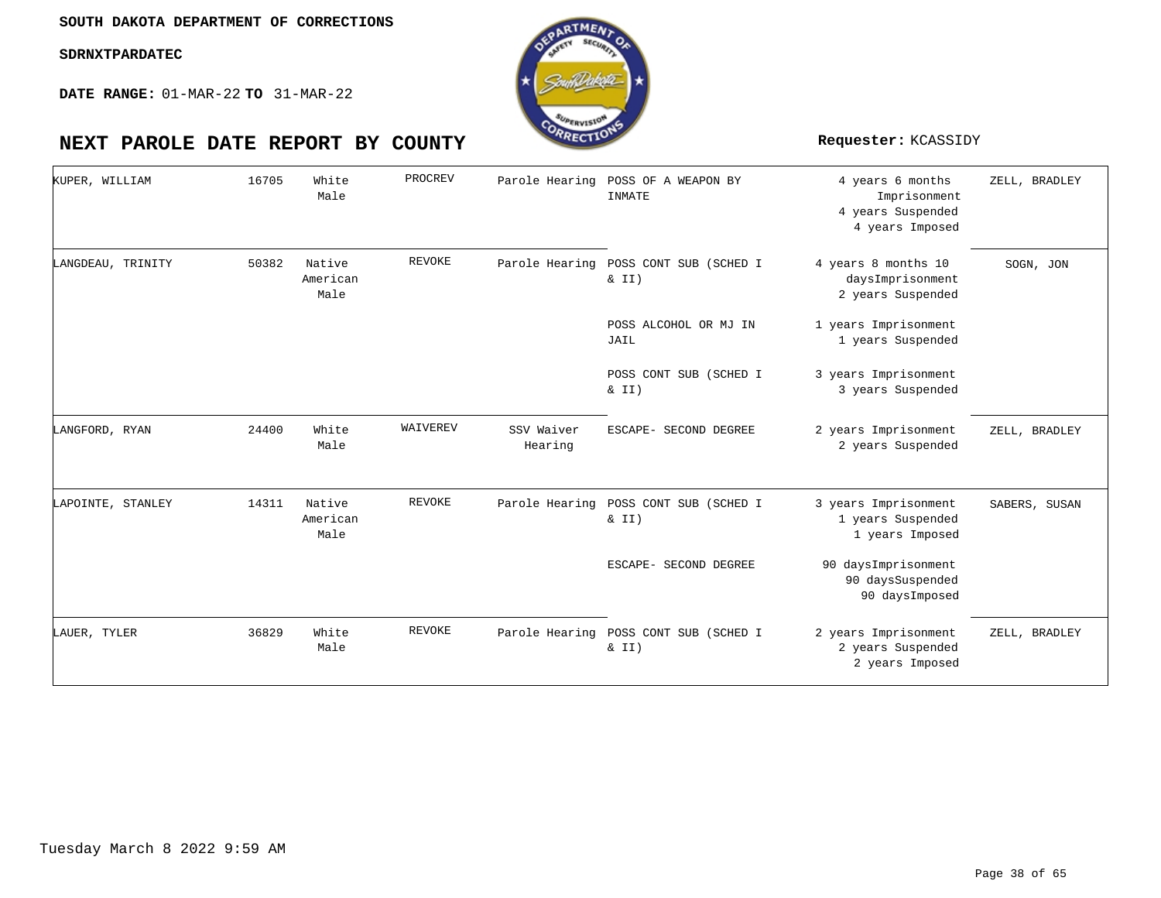**DATE RANGE:** 01-MAR-22 **TO** 31-MAR-22

| KUPER, WILLIAM    | 16705 | White<br>Male              | PROCREV       | Parole Hearing        | POSS OF A WEAPON BY<br>INMATE                     | 4 years 6 months<br>Imprisonment<br>4 years Suspended<br>4 years Imposed | ZELL, BRADLEY |
|-------------------|-------|----------------------------|---------------|-----------------------|---------------------------------------------------|--------------------------------------------------------------------------|---------------|
| LANGDEAU, TRINITY | 50382 | Native<br>American<br>Male | <b>REVOKE</b> | Parole Hearing        | POSS CONT SUB (SCHED I<br>& II)                   | 4 years 8 months 10<br>daysImprisonment<br>2 years Suspended             | SOGN, JON     |
|                   |       |                            |               |                       | POSS ALCOHOL OR MJ IN<br>JAIL                     | 1 years Imprisonment<br>1 years Suspended                                |               |
|                   |       |                            |               |                       | POSS CONT SUB (SCHED I<br>& II)                   | 3 years Imprisonment<br>3 years Suspended                                |               |
| LANGFORD, RYAN    | 24400 | White<br>Male              | WAIVEREV      | SSV Waiver<br>Hearing | ESCAPE- SECOND DEGREE                             | 2 years Imprisonment<br>2 years Suspended                                | ZELL, BRADLEY |
| LAPOINTE, STANLEY | 14311 | Native<br>American<br>Male | <b>REVOKE</b> | Parole Hearing        | POSS CONT SUB (SCHED I<br>& II)                   | 3 years Imprisonment<br>1 years Suspended<br>1 years Imposed             | SABERS, SUSAN |
|                   |       |                            |               |                       | ESCAPE- SECOND DEGREE                             | 90 daysImprisonment<br>90 daysSuspended<br>90 daysImposed                |               |
| LAUER, TYLER      | 36829 | White<br>Male              | REVOKE        |                       | Parole Hearing POSS CONT SUB (SCHED I<br>$\& II)$ | 2 years Imprisonment<br>2 years Suspended<br>2 years Imposed             | ZELL, BRADLEY |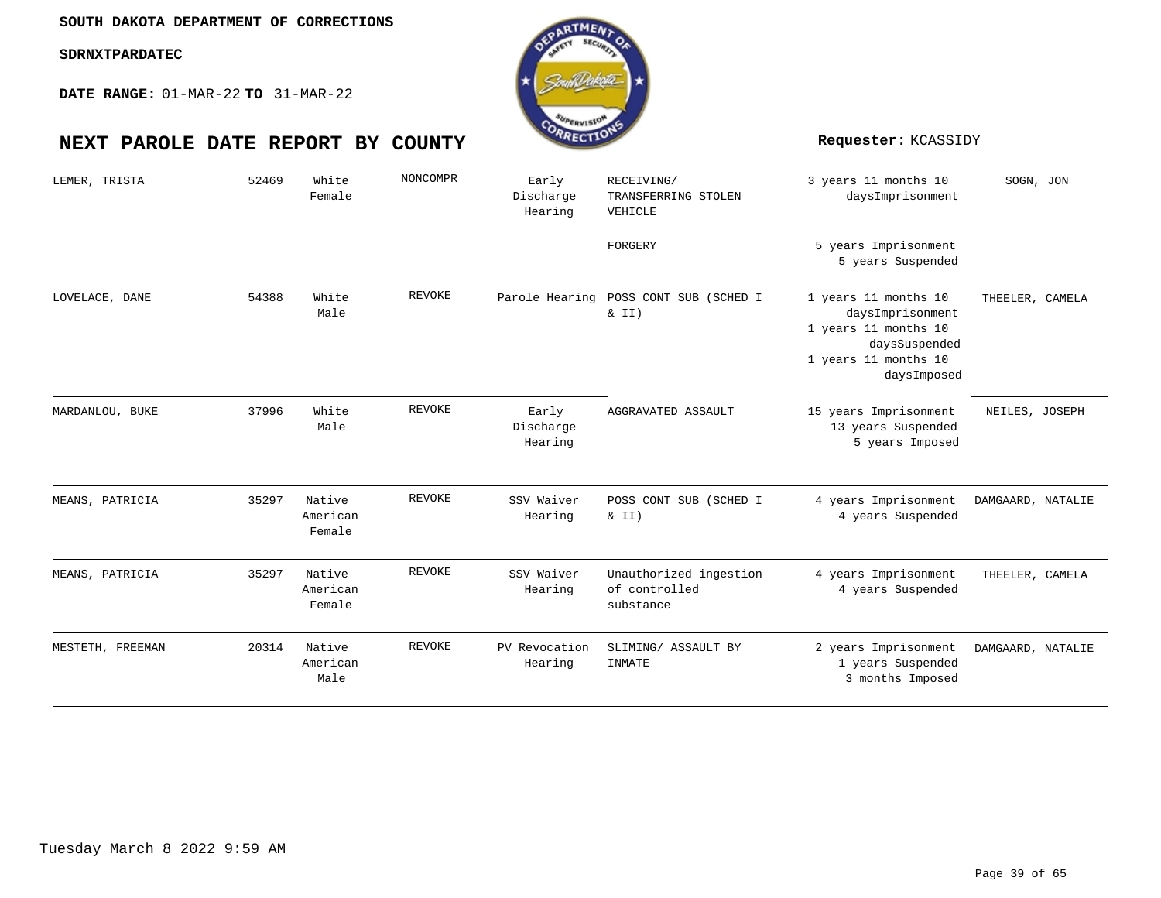**DATE RANGE:** 01-MAR-22 **TO** 31-MAR-22

| LEMER, TRISTA    | 52469 | White<br>Female              | <b>NONCOMPR</b> | Early<br>Discharge<br>Hearing | RECEIVING/<br>TRANSFERRING STOLEN<br>VEHICLE         | 3 years 11 months 10<br>daysImprisonment                                                                                 | SOGN, JON         |
|------------------|-------|------------------------------|-----------------|-------------------------------|------------------------------------------------------|--------------------------------------------------------------------------------------------------------------------------|-------------------|
|                  |       |                              |                 |                               | FORGERY                                              | 5 years Imprisonment<br>5 years Suspended                                                                                |                   |
| LOVELACE, DANE   | 54388 | White<br>Male                | <b>REVOKE</b>   | Parole Hearing                | POSS CONT SUB (SCHED I<br>$\&$ II)                   | 1 years 11 months 10<br>daysImprisonment<br>1 years 11 months 10<br>daysSuspended<br>1 years 11 months 10<br>daysImposed | THEELER, CAMELA   |
| MARDANLOU, BUKE  | 37996 | White<br>Male                | <b>REVOKE</b>   | Early<br>Discharge<br>Hearing | AGGRAVATED ASSAULT                                   | 15 years Imprisonment<br>13 years Suspended<br>5 years Imposed                                                           | NEILES, JOSEPH    |
| MEANS, PATRICIA  | 35297 | Native<br>American<br>Female | <b>REVOKE</b>   | SSV Waiver<br>Hearing         | POSS CONT SUB (SCHED I<br>& II)                      | 4 years Imprisonment<br>4 years Suspended                                                                                | DAMGAARD, NATALIE |
| MEANS, PATRICIA  | 35297 | Native<br>American<br>Female | <b>REVOKE</b>   | SSV Waiver<br>Hearing         | Unauthorized ingestion<br>of controlled<br>substance | 4 years Imprisonment<br>4 years Suspended                                                                                | THEELER, CAMELA   |
| MESTETH, FREEMAN | 20314 | Native<br>American<br>Male   | <b>REVOKE</b>   | PV Revocation<br>Hearing      | SLIMING/ ASSAULT BY<br>INMATE                        | 2 years Imprisonment<br>1 years Suspended<br>3 months Imposed                                                            | DAMGAARD, NATALIE |

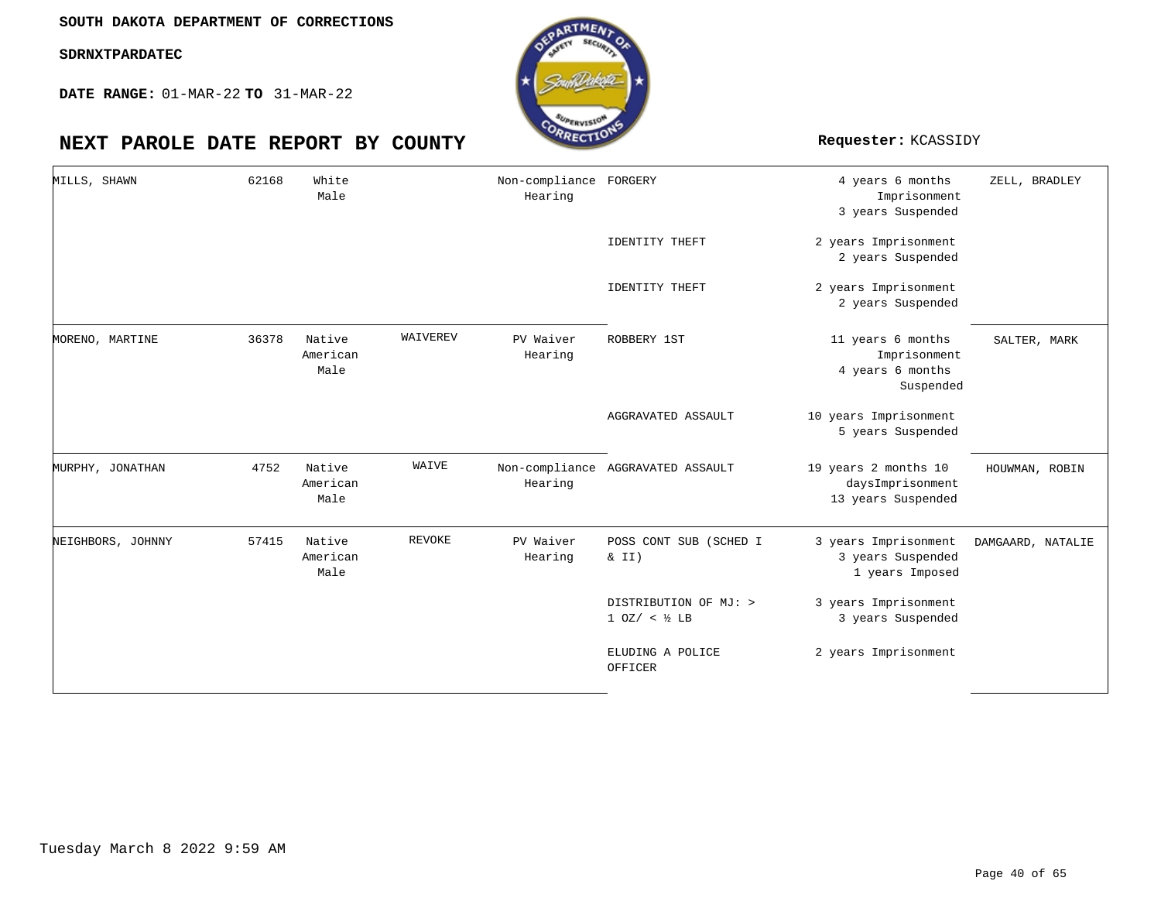

| MILLS, SHAWN      | 62168 | White<br>Male              |               | Non-compliance FORGERY<br>Hearing |                                                     | 4 years 6 months<br>Imprisonment<br>3 years Suspended              | ZELL, BRADLEY     |
|-------------------|-------|----------------------------|---------------|-----------------------------------|-----------------------------------------------------|--------------------------------------------------------------------|-------------------|
|                   |       |                            |               |                                   | IDENTITY THEFT                                      | 2 years Imprisonment<br>2 years Suspended                          |                   |
|                   |       |                            |               |                                   | <b>IDENTITY THEFT</b>                               | 2 years Imprisonment<br>2 years Suspended                          |                   |
| MORENO, MARTINE   | 36378 | Native<br>American<br>Male | WAIVEREV      | PV Waiver<br>Hearing              | ROBBERY 1ST                                         | 11 years 6 months<br>Imprisonment<br>4 years 6 months<br>Suspended | SALTER, MARK      |
|                   |       |                            |               |                                   | AGGRAVATED ASSAULT                                  | 10 years Imprisonment<br>5 years Suspended                         |                   |
| MURPHY, JONATHAN  | 4752  | Native<br>American<br>Male | WAIVE         | Hearing                           | Non-compliance AGGRAVATED ASSAULT                   | 19 years 2 months 10<br>daysImprisonment<br>13 years Suspended     | HOUWMAN, ROBIN    |
| NEIGHBORS, JOHNNY | 57415 | Native<br>American<br>Male | <b>REVOKE</b> | PV Waiver<br>Hearing              | POSS CONT SUB (SCHED I<br>& II)                     | 3 years Imprisonment<br>3 years Suspended<br>1 years Imposed       | DAMGAARD, NATALIE |
|                   |       |                            |               |                                   | DISTRIBUTION OF MJ: ><br>$1$ OZ/ < $\frac{1}{2}$ LB | 3 years Imprisonment<br>3 years Suspended                          |                   |
|                   |       |                            |               |                                   | ELUDING A POLICE<br>OFFICER                         | 2 years Imprisonment                                               |                   |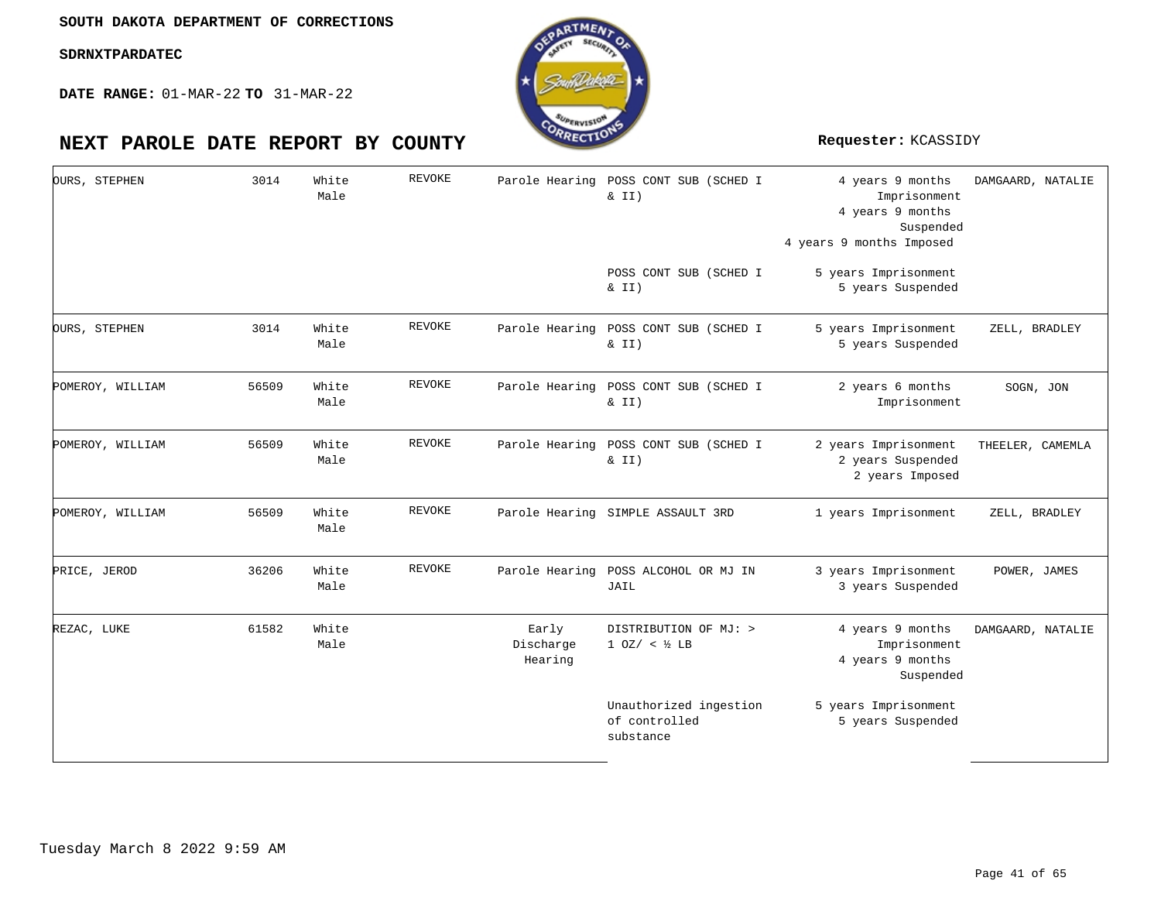

| OURS, STEPHEN    | 3014  | White<br>Male | <b>REVOKE</b> |                               | Parole Hearing POSS CONT SUB (SCHED I<br>& II)       | 4 years 9 months<br>Imprisonment<br>4 years 9 months<br>Suspended<br>4 years 9 months Imposed | DAMGAARD, NATALIE |
|------------------|-------|---------------|---------------|-------------------------------|------------------------------------------------------|-----------------------------------------------------------------------------------------------|-------------------|
|                  |       |               |               |                               | POSS CONT SUB (SCHED I<br>& II)                      | 5 years Imprisonment<br>5 years Suspended                                                     |                   |
| OURS, STEPHEN    | 3014  | White<br>Male | REVOKE        |                               | Parole Hearing POSS CONT SUB (SCHED I<br>& II)       | 5 years Imprisonment<br>5 years Suspended                                                     | ZELL, BRADLEY     |
| POMEROY, WILLIAM | 56509 | White<br>Male | <b>REVOKE</b> |                               | Parole Hearing POSS CONT SUB (SCHED I<br>& II)       | 2 years 6 months<br>Imprisonment                                                              | SOGN, JON         |
| POMEROY, WILLIAM | 56509 | White<br>Male | REVOKE        |                               | Parole Hearing POSS CONT SUB (SCHED I<br>& II)       | 2 years Imprisonment<br>2 years Suspended<br>2 years Imposed                                  | THEELER, CAMEMLA  |
| POMEROY, WILLIAM | 56509 | White<br>Male | REVOKE        |                               | Parole Hearing SIMPLE ASSAULT 3RD                    | 1 years Imprisonment                                                                          | ZELL, BRADLEY     |
| PRICE, JEROD     | 36206 | White<br>Male | REVOKE        |                               | Parole Hearing POSS ALCOHOL OR MJ IN<br>JAIL         | 3 years Imprisonment<br>3 years Suspended                                                     | POWER, JAMES      |
| REZAC, LUKE      | 61582 | White<br>Male |               | Early<br>Discharge<br>Hearing | DISTRIBUTION OF MJ: ><br>$10Z / < 1/2$ LB            | 4 years 9 months<br>Imprisonment<br>4 years 9 months<br>Suspended                             | DAMGAARD, NATALIE |
|                  |       |               |               |                               | Unauthorized ingestion<br>of controlled<br>substance | 5 years Imprisonment<br>5 years Suspended                                                     |                   |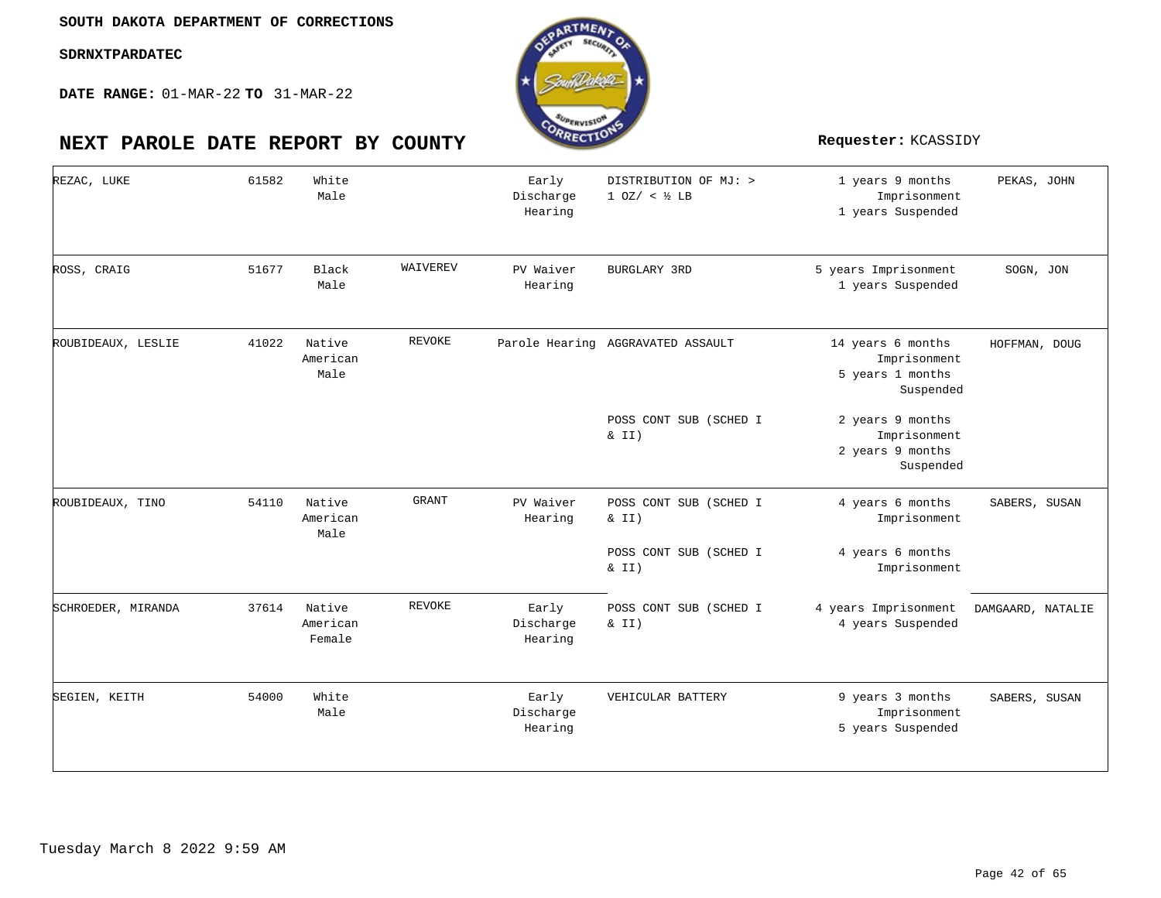**DATE RANGE:** 01-MAR-22 **TO** 31-MAR-22

| REZAC, LUKE        | 61582 | White<br>Male                |               | Early<br>Discharge<br>Hearing | DISTRIBUTION OF MJ: ><br>$1 0Z / <$ $\frac{1}{2}$ LB | 1 years 9 months<br>Imprisonment<br>1 years Suspended              | PEKAS, JOHN       |
|--------------------|-------|------------------------------|---------------|-------------------------------|------------------------------------------------------|--------------------------------------------------------------------|-------------------|
| ROSS, CRAIG        | 51677 | Black<br>Male                | WAIVEREV      | PV Waiver<br>Hearing          | <b>BURGLARY 3RD</b>                                  | 5 years Imprisonment<br>1 years Suspended                          | SOGN, JON         |
| ROUBIDEAUX, LESLIE | 41022 | Native<br>American<br>Male   | <b>REVOKE</b> |                               | Parole Hearing AGGRAVATED ASSAULT                    | 14 years 6 months<br>Imprisonment<br>5 years 1 months<br>Suspended | HOFFMAN, DOUG     |
|                    |       |                              |               |                               | POSS CONT SUB (SCHED I<br>& II)                      | 2 years 9 months<br>Imprisonment<br>2 years 9 months<br>Suspended  |                   |
| ROUBIDEAUX, TINO   | 54110 | Native<br>American<br>Male   | <b>GRANT</b>  | PV Waiver<br>Hearing          | POSS CONT SUB (SCHED I<br>$\&$ II)                   | 4 years 6 months<br>Imprisonment                                   | SABERS, SUSAN     |
|                    |       |                              |               |                               | POSS CONT SUB (SCHED I<br>$\&$ II)                   | 4 years 6 months<br>Imprisonment                                   |                   |
| SCHROEDER, MIRANDA | 37614 | Native<br>American<br>Female | <b>REVOKE</b> | Early<br>Discharge<br>Hearing | POSS CONT SUB (SCHED I<br>$\&$ II)                   | 4 years Imprisonment<br>4 years Suspended                          | DAMGAARD, NATALIE |
| SEGIEN, KEITH      | 54000 | White<br>Male                |               | Early<br>Discharge<br>Hearing | VEHICULAR BATTERY                                    | 9 years 3 months<br>Imprisonment<br>5 years Suspended              | SABERS, SUSAN     |

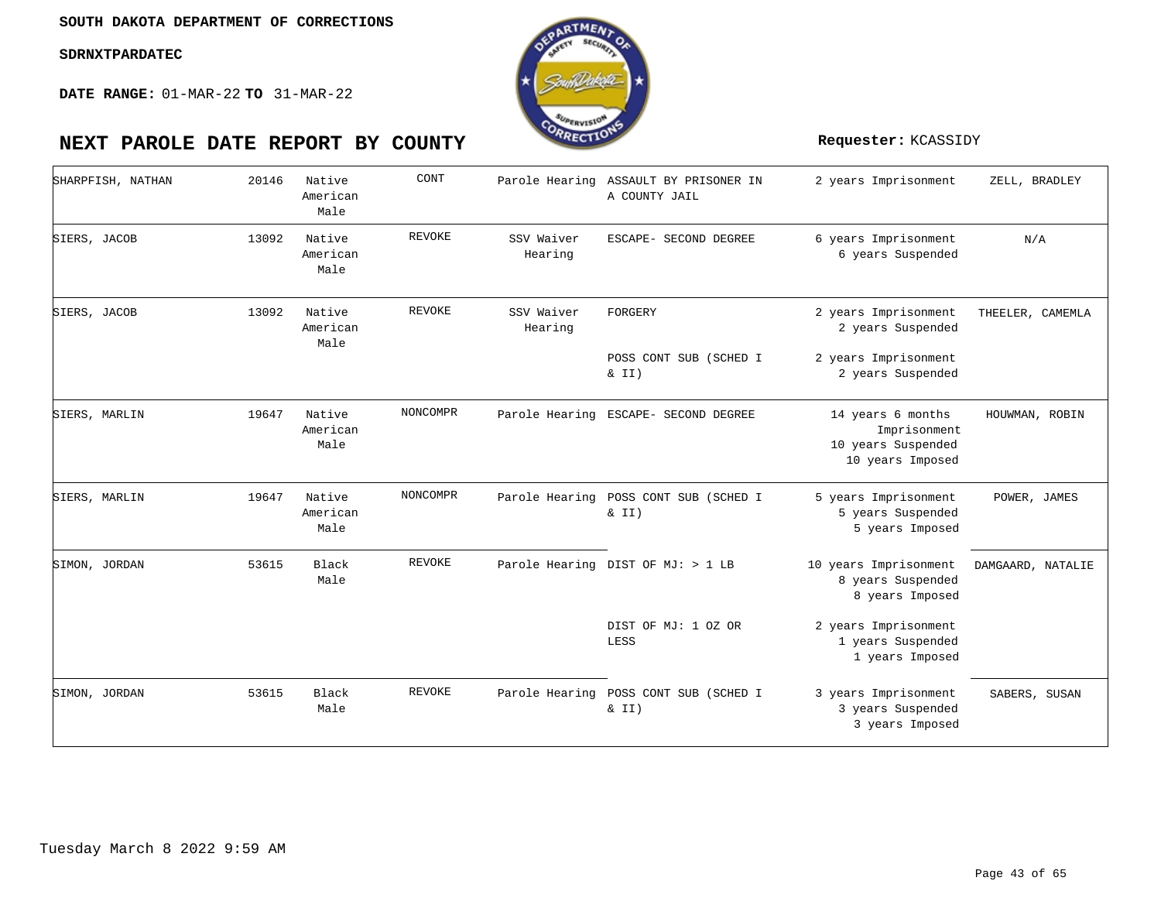

| SHARPFISH, NATHAN | 20146 | Native<br>American<br>Male | CONT          |                       | Parole Hearing ASSAULT BY PRISONER IN<br>A COUNTY JAIL | 2 years Imprisonment                                                        | ZELL, BRADLEY     |
|-------------------|-------|----------------------------|---------------|-----------------------|--------------------------------------------------------|-----------------------------------------------------------------------------|-------------------|
| SIERS, JACOB      | 13092 | Native<br>American<br>Male | <b>REVOKE</b> | SSV Waiver<br>Hearing | ESCAPE- SECOND DEGREE                                  | 6 years Imprisonment<br>6 years Suspended                                   | N/A               |
| SIERS, JACOB      | 13092 | Native<br>American<br>Male | <b>REVOKE</b> | SSV Waiver<br>Hearing | FORGERY                                                | 2 years Imprisonment<br>2 years Suspended                                   | THEELER, CAMEMLA  |
|                   |       |                            |               |                       | POSS CONT SUB (SCHED I<br>$\&$ II)                     | 2 years Imprisonment<br>2 years Suspended                                   |                   |
| SIERS, MARLIN     | 19647 | Native<br>American<br>Male | NONCOMPR      |                       | Parole Hearing ESCAPE- SECOND DEGREE                   | 14 years 6 months<br>Imprisonment<br>10 years Suspended<br>10 years Imposed | HOUWMAN, ROBIN    |
| SIERS, MARLIN     | 19647 | Native<br>American<br>Male | NONCOMPR      |                       | Parole Hearing POSS CONT SUB (SCHED I<br>$\&$ II)      | 5 years Imprisonment<br>5 years Suspended<br>5 years Imposed                | POWER, JAMES      |
| SIMON, JORDAN     | 53615 | Black<br>Male              | REVOKE        |                       | Parole Hearing DIST OF MJ: > 1 LB                      | 10 years Imprisonment<br>8 years Suspended<br>8 years Imposed               | DAMGAARD, NATALIE |
|                   |       |                            |               |                       | DIST OF MJ: 1 OZ OR<br>LESS                            | 2 years Imprisonment<br>1 years Suspended<br>1 years Imposed                |                   |
| SIMON, JORDAN     | 53615 | Black<br>Male              | <b>REVOKE</b> |                       | Parole Hearing POSS CONT SUB (SCHED I<br>$\&$ II)      | 3 years Imprisonment<br>3 years Suspended<br>3 years Imposed                | SABERS, SUSAN     |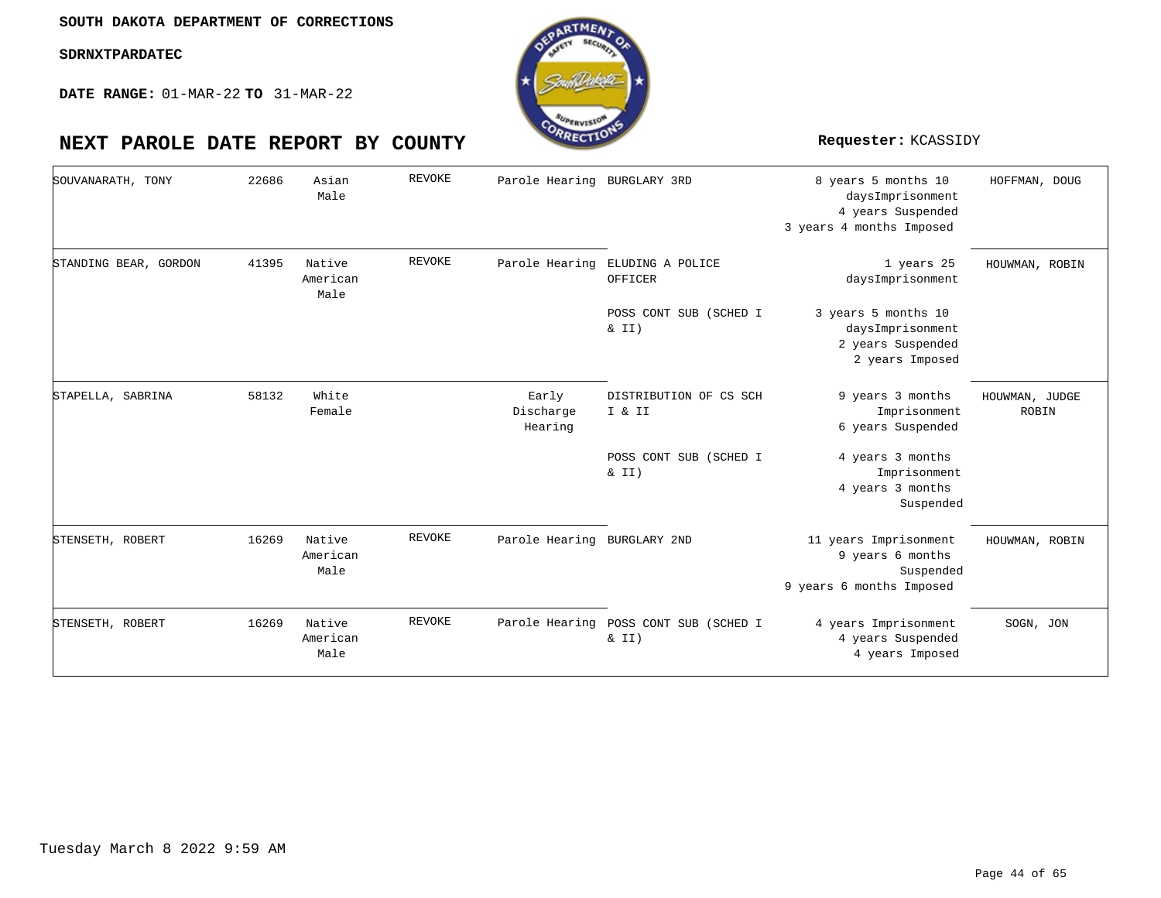**DATE RANGE:** 01-MAR-22 **TO** 31-MAR-22

| SOUVANARATH, TONY     | 22686 | Asian<br>Male              | REVOKE        | Parole Hearing                | BURGLARY 3RD                       | 8 years 5 months 10<br>daysImprisonment<br>4 years Suspended<br>3 years 4 months Imposed | HOFFMAN, DOUG           |
|-----------------------|-------|----------------------------|---------------|-------------------------------|------------------------------------|------------------------------------------------------------------------------------------|-------------------------|
| STANDING BEAR, GORDON | 41395 | Native<br>American<br>Male | <b>REVOKE</b> | Parole Hearing                | ELUDING A POLICE<br>OFFICER        | 1 years 25<br>daysImprisonment                                                           | HOUWMAN, ROBIN          |
|                       |       |                            |               |                               | POSS CONT SUB (SCHED I<br>$\&$ II) | 3 years 5 months 10<br>daysImprisonment<br>2 years Suspended<br>2 years Imposed          |                         |
| STAPELLA, SABRINA     | 58132 | White<br>Female            |               | Early<br>Discharge<br>Hearing | DISTRIBUTION OF CS SCH<br>I & II   | 9 years 3 months<br>Imprisonment<br>6 years Suspended                                    | HOUWMAN, JUDGE<br>ROBIN |
|                       |       |                            |               |                               | POSS CONT SUB (SCHED I<br>$\&$ II) | 4 years 3 months<br>Imprisonment<br>4 years 3 months<br>Suspended                        |                         |
| STENSETH, ROBERT      | 16269 | Native<br>American<br>Male | REVOKE        | Parole Hearing BURGLARY 2ND   |                                    | 11 years Imprisonment<br>9 years 6 months<br>Suspended<br>9 years 6 months Imposed       | HOUWMAN, ROBIN          |
| STENSETH, ROBERT      | 16269 | Native<br>American<br>Male | REVOKE        | Parole Hearing                | POSS CONT SUB (SCHED I<br>& II)    | 4 years Imprisonment<br>4 years Suspended<br>4 years Imposed                             | SOGN, JON               |

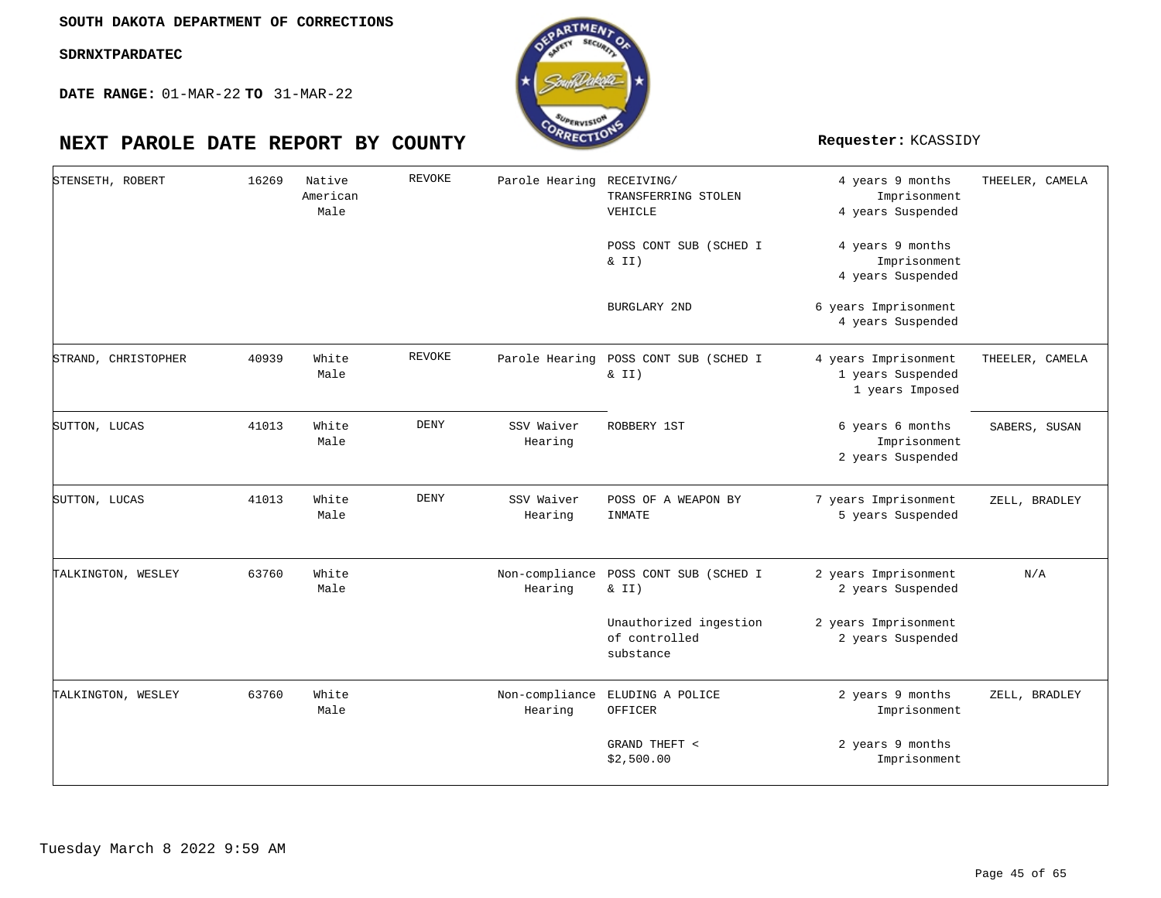

| STENSETH, ROBERT    | 16269 | Native<br>American<br>Male | <b>REVOKE</b> | Parole Hearing            | RECEIVING/<br>TRANSFERRING STOLEN<br>VEHICLE         | 4 years 9 months<br>Imprisonment<br>4 years Suspended        | THEELER, CAMELA |
|---------------------|-------|----------------------------|---------------|---------------------------|------------------------------------------------------|--------------------------------------------------------------|-----------------|
|                     |       |                            |               |                           | POSS CONT SUB (SCHED I<br>$\&$ II)                   | 4 years 9 months<br>Imprisonment<br>4 years Suspended        |                 |
|                     |       |                            |               |                           | <b>BURGLARY 2ND</b>                                  | 6 years Imprisonment<br>4 years Suspended                    |                 |
| STRAND, CHRISTOPHER | 40939 | White<br>Male              | <b>REVOKE</b> | Parole Hearing            | POSS CONT SUB (SCHED I<br>& II)                      | 4 years Imprisonment<br>1 years Suspended<br>1 years Imposed | THEELER, CAMELA |
| SUTTON, LUCAS       | 41013 | White<br>Male              | <b>DENY</b>   | SSV Waiver<br>Hearing     | ROBBERY 1ST                                          | 6 years 6 months<br>Imprisonment<br>2 years Suspended        | SABERS, SUSAN   |
| SUTTON, LUCAS       | 41013 | White<br>Male              | <b>DENY</b>   | SSV Waiver<br>Hearing     | POSS OF A WEAPON BY<br>INMATE                        | 7 years Imprisonment<br>5 years Suspended                    | ZELL, BRADLEY   |
| TALKINGTON, WESLEY  | 63760 | White<br>Male              |               | Non-compliance<br>Hearing | POSS CONT SUB (SCHED I<br>$\&$ II)                   | 2 years Imprisonment<br>2 years Suspended                    | N/A             |
|                     |       |                            |               |                           | Unauthorized ingestion<br>of controlled<br>substance | 2 years Imprisonment<br>2 years Suspended                    |                 |
| TALKINGTON, WESLEY  | 63760 | White<br>Male              |               | Hearing                   | Non-compliance ELUDING A POLICE<br>OFFICER           | 2 years 9 months<br>Imprisonment                             | ZELL, BRADLEY   |
|                     |       |                            |               |                           | GRAND THEFT <<br>\$2,500.00                          | 2 years 9 months<br>Imprisonment                             |                 |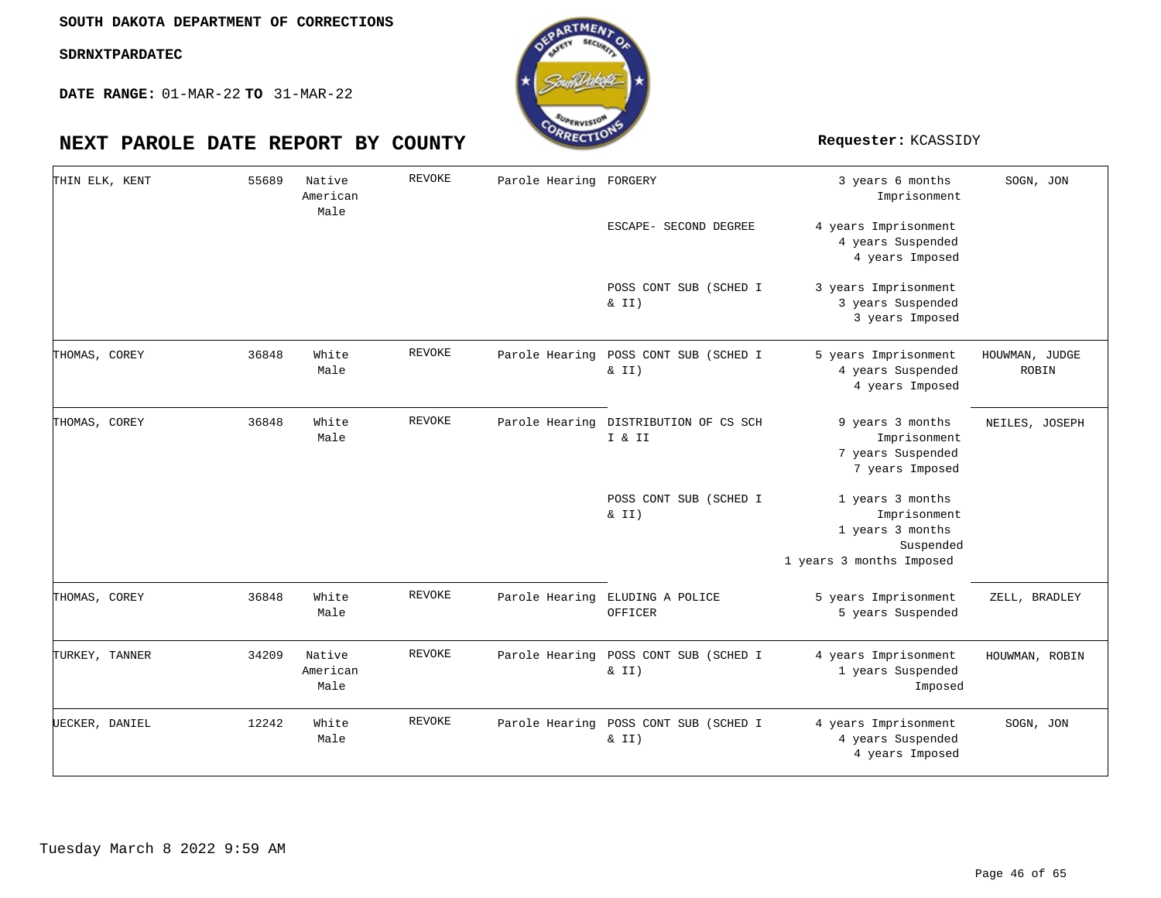**DATE RANGE:** 01-MAR-22 **TO** 31-MAR-22

# RTMEA

| THIN ELK, KENT | 55689 | Native<br>American<br>Male | <b>REVOKE</b> | Parole Hearing FORGERY |                                                   | 3 years 6 months<br>Imprisonment                                                              | SOGN, JON               |
|----------------|-------|----------------------------|---------------|------------------------|---------------------------------------------------|-----------------------------------------------------------------------------------------------|-------------------------|
|                |       |                            |               |                        | ESCAPE- SECOND DEGREE                             | 4 years Imprisonment<br>4 years Suspended<br>4 years Imposed                                  |                         |
|                |       |                            |               |                        | POSS CONT SUB (SCHED I<br>& II)                   | 3 years Imprisonment<br>3 years Suspended<br>3 years Imposed                                  |                         |
| THOMAS, COREY  | 36848 | White<br>Male              | <b>REVOKE</b> | Parole Hearing         | POSS CONT SUB (SCHED I<br>$\&$ II)                | 5 years Imprisonment<br>4 years Suspended<br>4 years Imposed                                  | HOUWMAN, JUDGE<br>ROBIN |
| THOMAS, COREY  | 36848 | White<br>Male              | <b>REVOKE</b> | Parole Hearing         | DISTRIBUTION OF CS SCH<br>I & II                  | 9 years 3 months<br>Imprisonment<br>7 years Suspended<br>7 years Imposed                      | NEILES, JOSEPH          |
|                |       |                            |               |                        | POSS CONT SUB (SCHED I<br>$\&$ II)                | 1 years 3 months<br>Imprisonment<br>1 years 3 months<br>Suspended<br>1 years 3 months Imposed |                         |
| THOMAS, COREY  | 36848 | White<br>Male              | REVOKE        |                        | Parole Hearing ELUDING A POLICE<br>OFFICER        | 5 years Imprisonment<br>5 years Suspended                                                     | ZELL, BRADLEY           |
| TURKEY, TANNER | 34209 | Native<br>American<br>Male | REVOKE        |                        | Parole Hearing POSS CONT SUB (SCHED I<br>$\&$ II) | 4 years Imprisonment<br>1 years Suspended<br>Imposed                                          | HOUWMAN, ROBIN          |
| UECKER, DANIEL | 12242 | White<br>Male              | REVOKE        | Parole Hearing         | POSS CONT SUB (SCHED I<br>& II)                   | 4 years Imprisonment<br>4 years Suspended<br>4 years Imposed                                  | SOGN, JON               |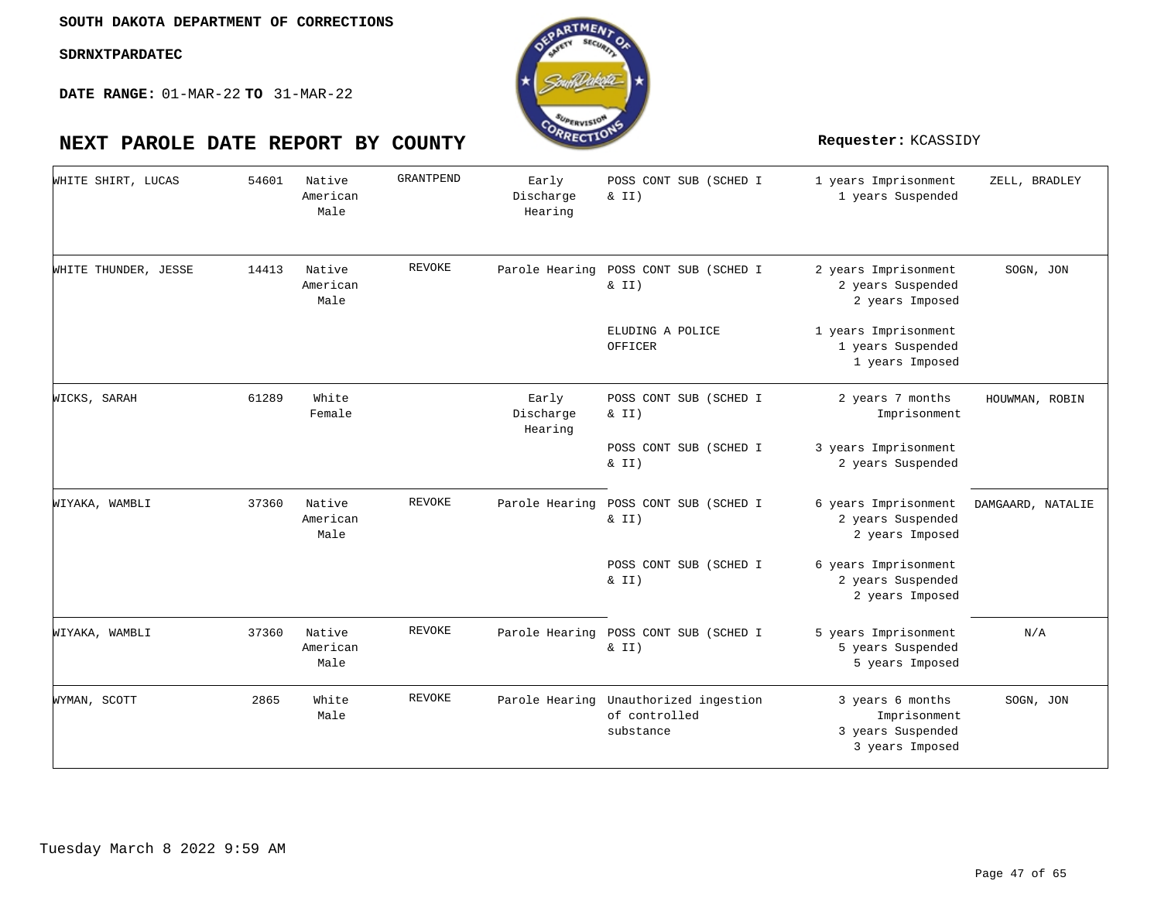**DATE RANGE:** 01-MAR-22 **TO** 31-MAR-22



| WHITE SHIRT, LUCAS   | 54601 | Native<br>American<br>Male | GRANTPEND     | Early<br>Discharge<br>Hearing | POSS CONT SUB (SCHED I<br>$\&$ II)                   | 1 years Imprisonment<br>1 years Suspended                                | ZELL, BRADLEY     |
|----------------------|-------|----------------------------|---------------|-------------------------------|------------------------------------------------------|--------------------------------------------------------------------------|-------------------|
| WHITE THUNDER, JESSE | 14413 | Native<br>American<br>Male | <b>REVOKE</b> | Parole Hearing                | POSS CONT SUB (SCHED I<br>$\&$ II)                   | 2 years Imprisonment<br>2 years Suspended<br>2 years Imposed             | SOGN, JON         |
|                      |       |                            |               |                               | ELUDING A POLICE<br>OFFICER                          | 1 years Imprisonment<br>1 years Suspended<br>1 years Imposed             |                   |
| WICKS, SARAH         | 61289 | White<br>Female            |               | Early<br>Discharge<br>Hearing | POSS CONT SUB (SCHED I<br>$\&$ II)                   | 2 years 7 months<br>Imprisonment                                         | HOUWMAN, ROBIN    |
|                      |       |                            |               |                               | POSS CONT SUB (SCHED I<br>& II)                      | 3 years Imprisonment<br>2 years Suspended                                |                   |
| WIYAKA, WAMBLI       | 37360 | Native<br>American<br>Male | REVOKE        | Parole Hearing                | POSS CONT SUB (SCHED I<br>& II)                      | 6 years Imprisonment<br>2 years Suspended<br>2 years Imposed             | DAMGAARD, NATALIE |
|                      |       |                            |               |                               | POSS CONT SUB (SCHED I<br>$\&$ II)                   | 6 years Imprisonment<br>2 years Suspended<br>2 years Imposed             |                   |
| WIYAKA, WAMBLI       | 37360 | Native<br>American<br>Male | REVOKE        | Parole Hearing                | POSS CONT SUB (SCHED I<br>$\&$ II)                   | 5 years Imprisonment<br>5 years Suspended<br>5 years Imposed             | N/A               |
| WYMAN, SCOTT         | 2865  | White<br>Male              | REVOKE        | Parole Hearing                | Unauthorized ingestion<br>of controlled<br>substance | 3 years 6 months<br>Imprisonment<br>3 years Suspended<br>3 years Imposed | SOGN, JON         |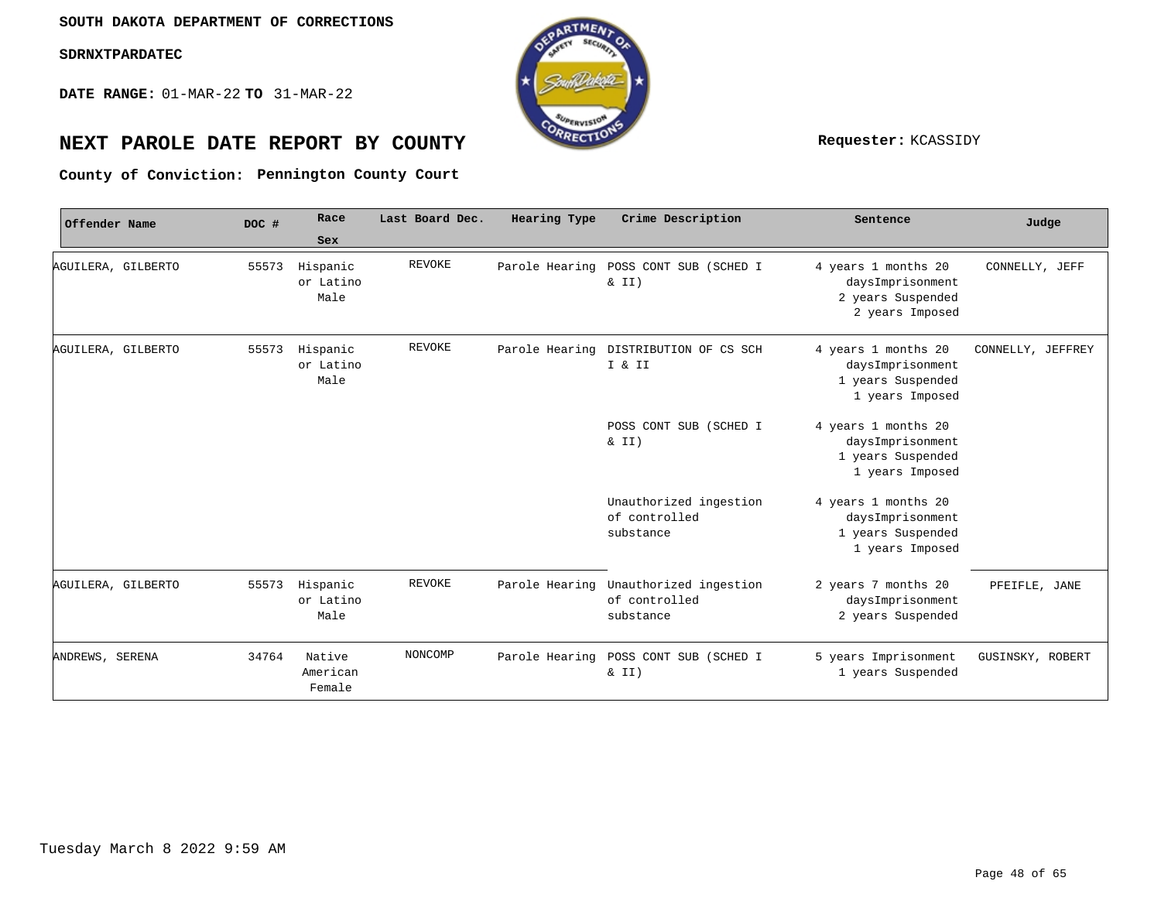**DATE RANGE:** 01-MAR-22 **TO** 31-MAR-22



# **NEXT PAROLE DATE REPORT BY COUNTY Requester:** KCASSIDY

**Pennington County Court County of Conviction:**

| Offender Name   |                    | DOC # | Race<br>Sex                   | Last Board Dec. | Hearing Type   | Crime Description                                    | Sentence                                                                        | Judge             |
|-----------------|--------------------|-------|-------------------------------|-----------------|----------------|------------------------------------------------------|---------------------------------------------------------------------------------|-------------------|
|                 | AGUILERA, GILBERTO | 55573 | Hispanic<br>or Latino<br>Male | REVOKE          | Parole Hearing | POSS CONT SUB (SCHED I<br>$\&$ II)                   | 4 years 1 months 20<br>daysImprisonment<br>2 years Suspended<br>2 years Imposed | CONNELLY, JEFF    |
|                 | AGUILERA, GILBERTO | 55573 | Hispanic<br>or Latino<br>Male | <b>REVOKE</b>   | Parole Hearing | DISTRIBUTION OF CS SCH<br>I & II                     | 4 years 1 months 20<br>daysImprisonment<br>1 years Suspended<br>1 years Imposed | CONNELLY, JEFFREY |
|                 |                    |       |                               |                 |                | POSS CONT SUB (SCHED I<br>$\&$ II)                   | 4 years 1 months 20<br>daysImprisonment<br>1 years Suspended<br>1 years Imposed |                   |
|                 |                    |       |                               |                 |                | Unauthorized ingestion<br>of controlled<br>substance | 4 years 1 months 20<br>daysImprisonment<br>1 years Suspended<br>1 years Imposed |                   |
|                 | AGUILERA, GILBERTO | 55573 | Hispanic<br>or Latino<br>Male | <b>REVOKE</b>   | Parole Hearing | Unauthorized ingestion<br>of controlled<br>substance | 2 years 7 months 20<br>daysImprisonment<br>2 years Suspended                    | PFEIFLE, JANE     |
| ANDREWS, SERENA |                    | 34764 | Native<br>American<br>Female  | NONCOMP         | Parole Hearing | POSS CONT SUB (SCHED I<br>& II)                      | 5 years Imprisonment<br>1 years Suspended                                       | GUSINSKY, ROBERT  |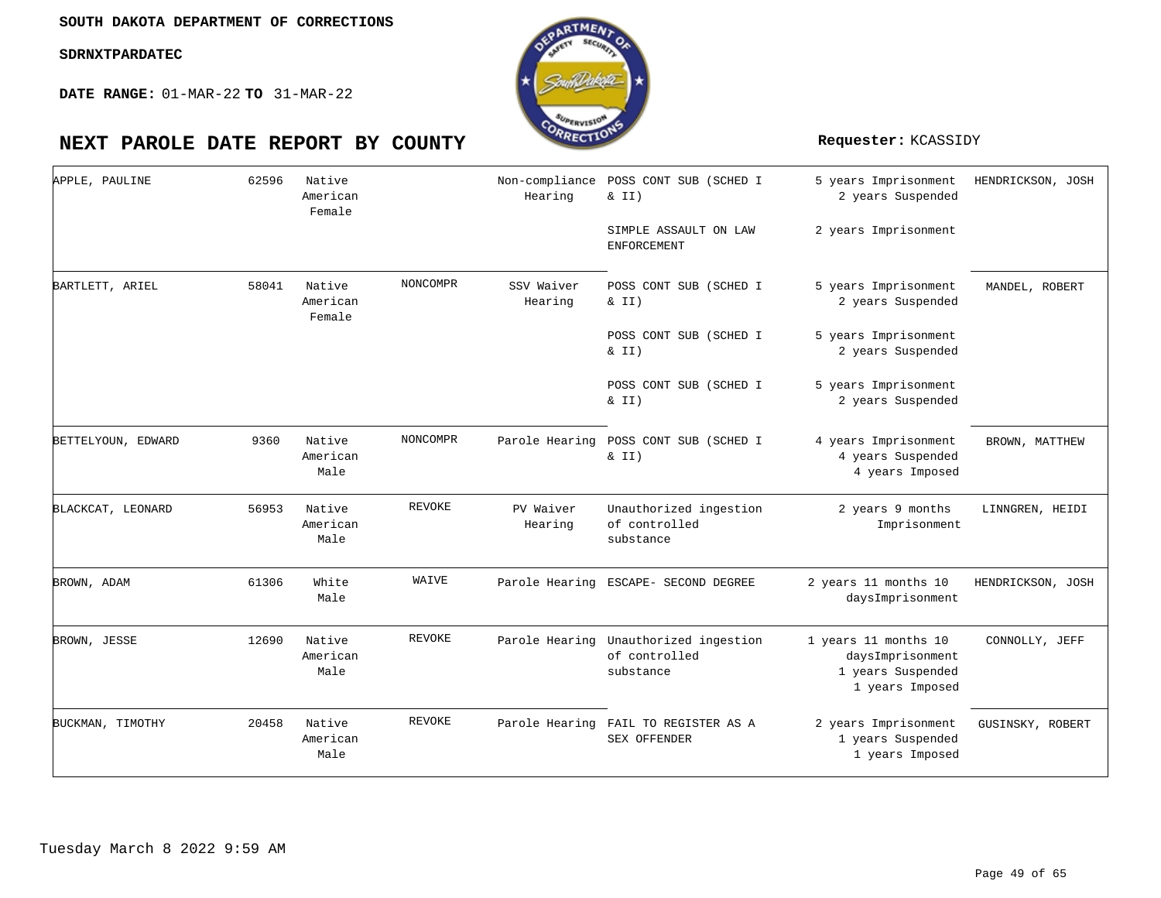

| APPLE, PAULINE     | 62596 | Native<br>American<br>Female |          | Non-compliance<br>Hearing | POSS CONT SUB (SCHED I<br>$& II$ )<br>SIMPLE ASSAULT ON LAW<br>ENFORCEMENT | 5 years Imprisonment<br>2 years Suspended<br>2 years Imprisonment                | HENDRICKSON, JOSH |
|--------------------|-------|------------------------------|----------|---------------------------|----------------------------------------------------------------------------|----------------------------------------------------------------------------------|-------------------|
| BARTLETT, ARIEL    | 58041 | Native<br>American<br>Female | NONCOMPR | SSV Waiver<br>Hearing     | POSS CONT SUB (SCHED I<br>& II)                                            | 5 years Imprisonment<br>2 years Suspended                                        | MANDEL, ROBERT    |
|                    |       |                              |          |                           | POSS CONT SUB (SCHED I<br>$\&$ II)                                         | 5 years Imprisonment<br>2 years Suspended                                        |                   |
|                    |       |                              |          |                           | POSS CONT SUB (SCHED I<br>& II)                                            | 5 years Imprisonment<br>2 years Suspended                                        |                   |
| BETTELYOUN, EDWARD | 9360  | Native<br>American<br>Male   | NONCOMPR | Parole Hearing            | POSS CONT SUB (SCHED I<br>& II)                                            | 4 years Imprisonment<br>4 years Suspended<br>4 years Imposed                     | BROWN, MATTHEW    |
| BLACKCAT, LEONARD  | 56953 | Native<br>American<br>Male   | REVOKE   | PV Waiver<br>Hearing      | Unauthorized ingestion<br>of controlled<br>substance                       | 2 years 9 months<br>Imprisonment                                                 | LINNGREN, HEIDI   |
| BROWN, ADAM        | 61306 | White<br>Male                | WAIVE    |                           | Parole Hearing ESCAPE- SECOND DEGREE                                       | 2 years 11 months 10<br>daysImprisonment                                         | HENDRICKSON, JOSH |
| BROWN, JESSE       | 12690 | Native<br>American<br>Male   | REVOKE   |                           | Parole Hearing Unauthorized ingestion<br>of controlled<br>substance        | 1 years 11 months 10<br>daysImprisonment<br>1 years Suspended<br>1 years Imposed | CONNOLLY, JEFF    |
| BUCKMAN, TIMOTHY   | 20458 | Native<br>American<br>Male   | REVOKE   | Parole Hearing            | FAIL TO REGISTER AS A<br><b>SEX OFFENDER</b>                               | 2 years Imprisonment<br>1 years Suspended<br>1 years Imposed                     | GUSINSKY, ROBERT  |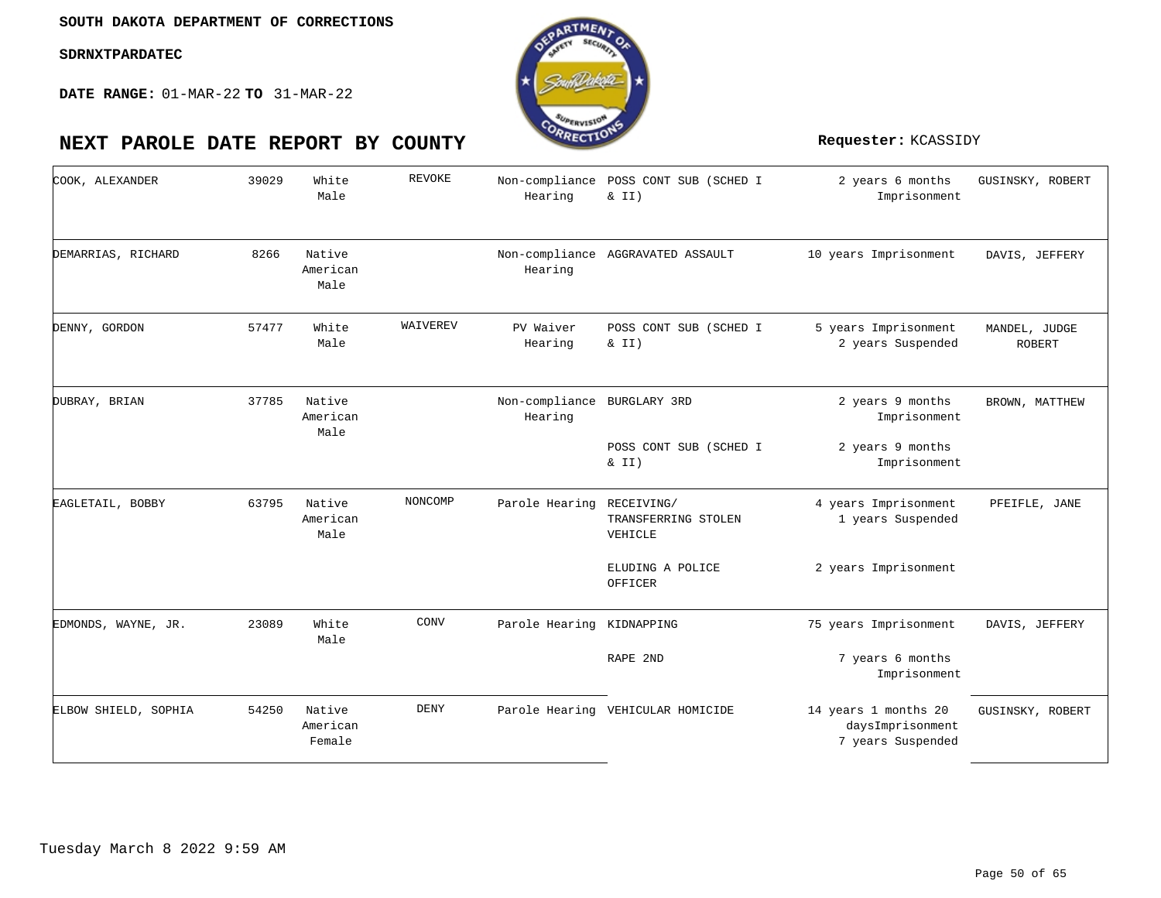

| COOK, ALEXANDER      | 39029 | White<br>Male                | REVOKE      | Hearing                                | Non-compliance POSS CONT SUB (SCHED I<br>& II) | 2 years 6 months<br>Imprisonment                              | GUSINSKY, ROBERT               |
|----------------------|-------|------------------------------|-------------|----------------------------------------|------------------------------------------------|---------------------------------------------------------------|--------------------------------|
| DEMARRIAS, RICHARD   | 8266  | Native<br>American<br>Male   |             | Hearing                                | Non-compliance AGGRAVATED ASSAULT              | 10 years Imprisonment                                         | DAVIS, JEFFERY                 |
| DENNY, GORDON        | 57477 | White<br>Male                | WAIVEREV    | PV Waiver<br>Hearing                   | POSS CONT SUB (SCHED I<br>& II)                | 5 years Imprisonment<br>2 years Suspended                     | MANDEL, JUDGE<br><b>ROBERT</b> |
| DUBRAY, BRIAN        | 37785 | Native<br>American<br>Male   |             | Non-compliance BURGLARY 3RD<br>Hearing |                                                | 2 years 9 months<br>Imprisonment                              | BROWN, MATTHEW                 |
|                      |       |                              |             |                                        | POSS CONT SUB (SCHED I<br>& II)                | 2 years 9 months<br>Imprisonment                              |                                |
| EAGLETAIL, BOBBY     | 63795 | Native<br>American<br>Male   | NONCOMP     | Parole Hearing RECEIVING/              | TRANSFERRING STOLEN<br>VEHICLE                 | 4 years Imprisonment<br>1 years Suspended                     | PFEIFLE, JANE                  |
|                      |       |                              |             |                                        | ELUDING A POLICE<br>OFFICER                    | 2 years Imprisonment                                          |                                |
| EDMONDS, WAYNE, JR.  | 23089 | White<br>Male                | CONV        | Parole Hearing KIDNAPPING              |                                                | 75 years Imprisonment                                         | DAVIS, JEFFERY                 |
|                      |       |                              |             |                                        | RAPE 2ND                                       | 7 years 6 months<br>Imprisonment                              |                                |
| ELBOW SHIELD, SOPHIA | 54250 | Native<br>American<br>Female | <b>DENY</b> |                                        | Parole Hearing VEHICULAR HOMICIDE              | 14 years 1 months 20<br>daysImprisonment<br>7 years Suspended | GUSINSKY, ROBERT               |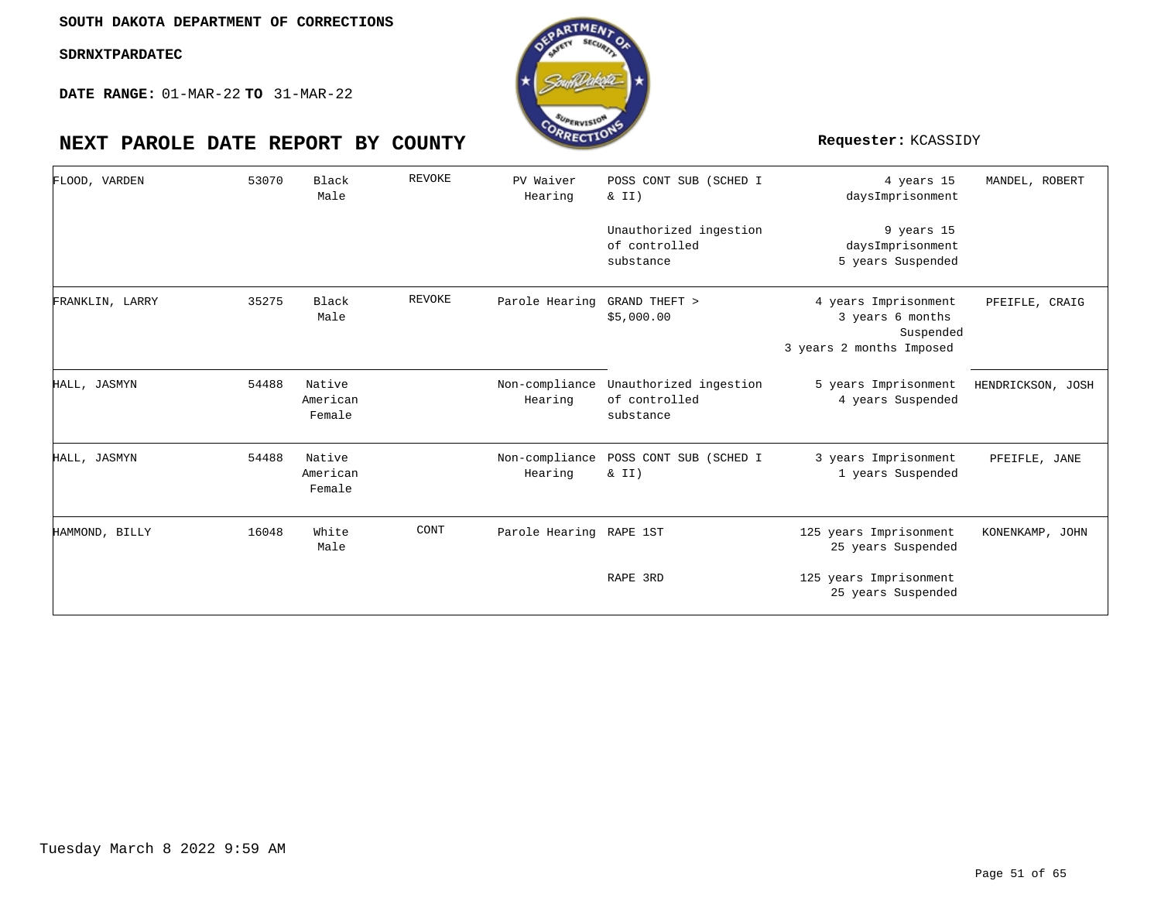**DATE RANGE:** 01-MAR-22 **TO** 31-MAR-22

| FLOOD, VARDEN   | 53070 | Black<br>Male                | <b>REVOKE</b> | PV Waiver<br>Hearing      | POSS CONT SUB (SCHED I<br>& II)                      | 4 years 15<br>daysImprisonment                                                    | MANDEL, ROBERT    |
|-----------------|-------|------------------------------|---------------|---------------------------|------------------------------------------------------|-----------------------------------------------------------------------------------|-------------------|
|                 |       |                              |               |                           | Unauthorized ingestion<br>of controlled<br>substance | 9 years 15<br>daysImprisonment<br>5 years Suspended                               |                   |
| FRANKLIN, LARRY | 35275 | Black<br>Male                | <b>REVOKE</b> | Parole Hearing            | GRAND THEFT ><br>\$5,000.00                          | 4 years Imprisonment<br>3 years 6 months<br>Suspended<br>3 years 2 months Imposed | PFEIFLE, CRAIG    |
| HALL, JASMYN    | 54488 | Native<br>American<br>Female |               | Non-compliance<br>Hearing | Unauthorized ingestion<br>of controlled<br>substance | 5 years Imprisonment<br>4 years Suspended                                         | HENDRICKSON, JOSH |
| HALL, JASMYN    | 54488 | Native<br>American<br>Female |               | Non-compliance<br>Hearing | POSS CONT SUB (SCHED I<br>& II)                      | 3 years Imprisonment<br>1 years Suspended                                         | PFEIFLE, JANE     |
| HAMMOND, BILLY  | 16048 | White<br>Male                | CONT          | Parole Hearing RAPE 1ST   |                                                      | 125 years Imprisonment<br>25 years Suspended                                      | KONENKAMP, JOHN   |
|                 |       |                              |               |                           | RAPE 3RD                                             | 125 years Imprisonment<br>25 years Suspended                                      |                   |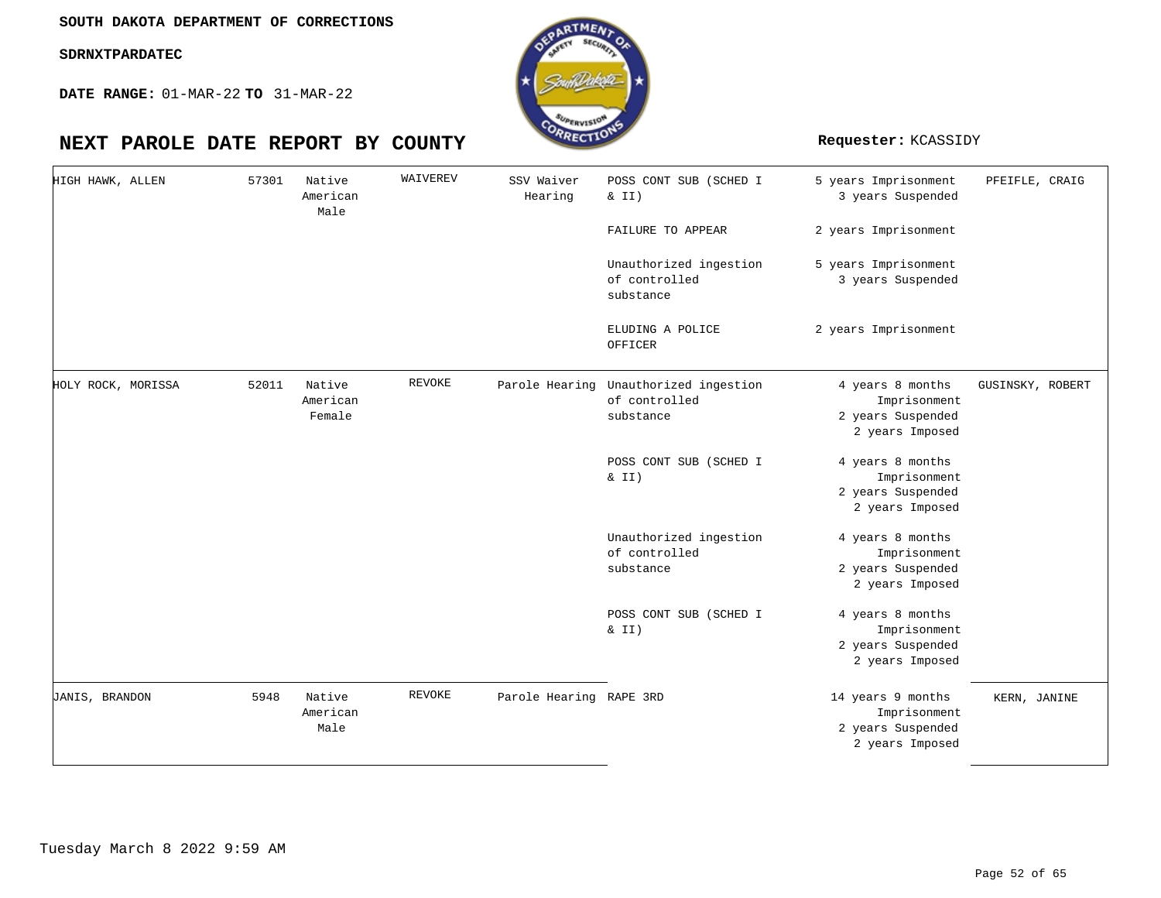**DATE RANGE:** 01-MAR-22 **TO** 31-MAR-22

| HIGH HAWK, ALLEN   | 57301 | Native<br>American<br>Male   | WAIVEREV      | SSV Waiver<br>Hearing   | POSS CONT SUB (SCHED I<br>& II)                                     | 5 years Imprisonment<br>3 years Suspended                                 | PFEIFLE, CRAIG   |
|--------------------|-------|------------------------------|---------------|-------------------------|---------------------------------------------------------------------|---------------------------------------------------------------------------|------------------|
|                    |       |                              |               |                         | FAILURE TO APPEAR                                                   | 2 years Imprisonment                                                      |                  |
|                    |       |                              |               |                         | Unauthorized ingestion<br>of controlled<br>substance                | 5 years Imprisonment<br>3 years Suspended                                 |                  |
|                    |       |                              |               |                         | ELUDING A POLICE<br>OFFICER                                         | 2 years Imprisonment                                                      |                  |
| HOLY ROCK, MORISSA | 52011 | Native<br>American<br>Female | <b>REVOKE</b> |                         | Parole Hearing Unauthorized ingestion<br>of controlled<br>substance | 4 years 8 months<br>Imprisonment<br>2 years Suspended<br>2 years Imposed  | GUSINSKY, ROBERT |
|                    |       |                              |               |                         | POSS CONT SUB (SCHED I<br>& II)                                     | 4 years 8 months<br>Imprisonment<br>2 years Suspended<br>2 years Imposed  |                  |
|                    |       |                              |               |                         | Unauthorized ingestion<br>of controlled<br>substance                | 4 years 8 months<br>Imprisonment<br>2 years Suspended<br>2 years Imposed  |                  |
|                    |       |                              |               |                         | POSS CONT SUB (SCHED I<br>$\&$ II)                                  | 4 years 8 months<br>Imprisonment<br>2 years Suspended<br>2 years Imposed  |                  |
| JANIS, BRANDON     | 5948  | Native<br>American<br>Male   | <b>REVOKE</b> | Parole Hearing RAPE 3RD |                                                                     | 14 years 9 months<br>Imprisonment<br>2 years Suspended<br>2 years Imposed | KERN, JANINE     |

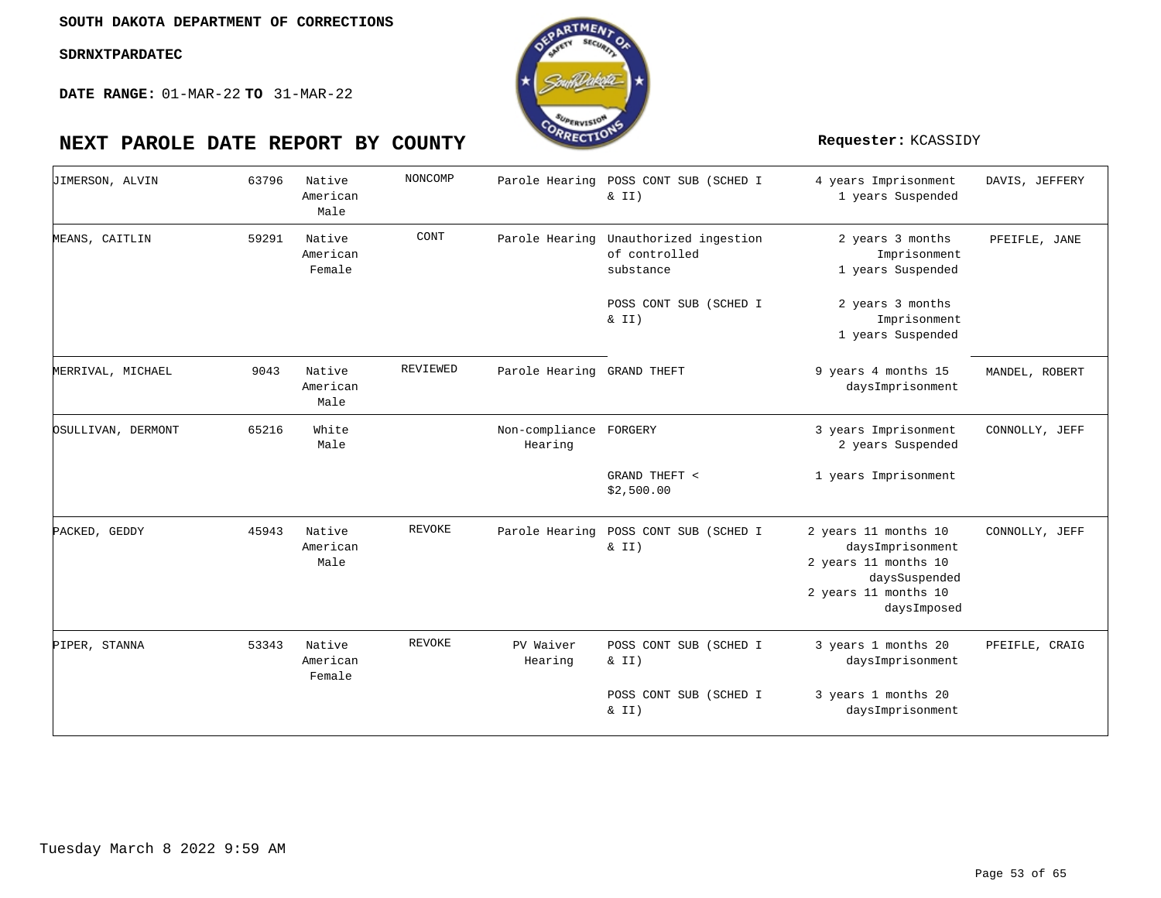

| <b>JIMERSON, ALVIN</b> | 63796 | Native<br>American<br>Male   | NONCOMP  |                                   | Parole Hearing POSS CONT SUB (SCHED I<br>& II)                      | 4 years Imprisonment<br>1 years Suspended                                                                                | DAVIS, JEFFERY |
|------------------------|-------|------------------------------|----------|-----------------------------------|---------------------------------------------------------------------|--------------------------------------------------------------------------------------------------------------------------|----------------|
| MEANS, CAITLIN         | 59291 | Native<br>American<br>Female | CONT     |                                   | Parole Hearing Unauthorized ingestion<br>of controlled<br>substance | 2 years 3 months<br>Imprisonment<br>1 years Suspended                                                                    | PFEIFLE, JANE  |
|                        |       |                              |          |                                   | POSS CONT SUB (SCHED I<br>$\&$ II)                                  | 2 years 3 months<br>Imprisonment<br>1 years Suspended                                                                    |                |
| MERRIVAL, MICHAEL      | 9043  | Native<br>American<br>Male   | REVIEWED | Parole Hearing GRAND THEFT        |                                                                     | 9 years 4 months 15<br>daysImprisonment                                                                                  | MANDEL, ROBERT |
| OSULLIVAN, DERMONT     | 65216 | White<br>Male                |          | Non-compliance FORGERY<br>Hearing |                                                                     | 3 years Imprisonment<br>2 years Suspended                                                                                | CONNOLLY, JEFF |
|                        |       |                              |          |                                   | GRAND THEFT <<br>\$2,500.00                                         | 1 years Imprisonment                                                                                                     |                |
| PACKED, GEDDY          | 45943 | Native<br>American<br>Male   | REVOKE   |                                   | Parole Hearing POSS CONT SUB (SCHED I<br>& II)                      | 2 years 11 months 10<br>daysImprisonment<br>2 years 11 months 10<br>daysSuspended<br>2 years 11 months 10<br>daysImposed | CONNOLLY, JEFF |
| PIPER, STANNA          | 53343 | Native<br>American<br>Female | REVOKE   | PV Waiver<br>Hearing              | POSS CONT SUB (SCHED I<br>& II)                                     | 3 years 1 months 20<br>daysImprisonment                                                                                  | PFEIFLE, CRAIG |
|                        |       |                              |          |                                   | POSS CONT SUB (SCHED I<br>$\&$ II)                                  | 3 years 1 months 20<br>daysImprisonment                                                                                  |                |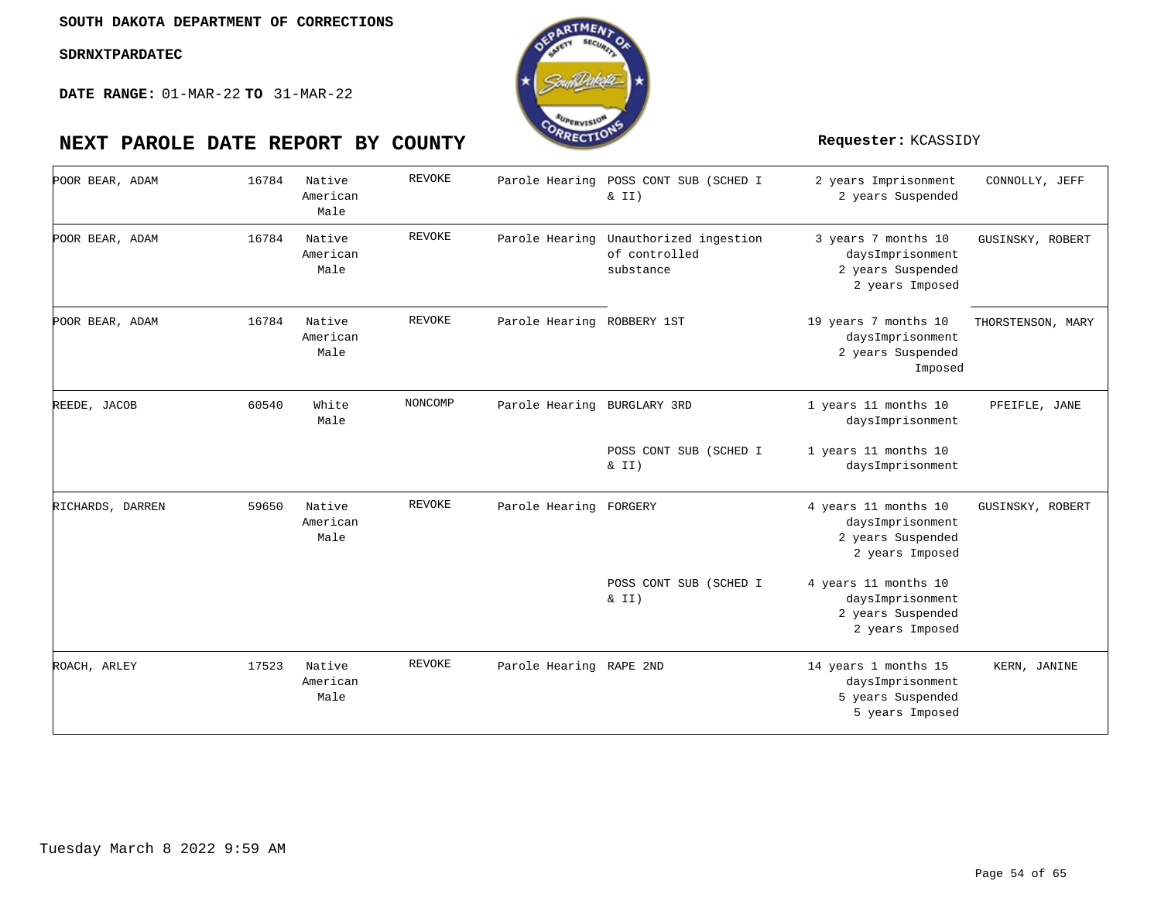

| POOR BEAR, ADAM  | 16784 | Native<br>American<br>Male | <b>REVOKE</b> |                             | Parole Hearing POSS CONT SUB (SCHED I<br>& II)                      | 2 years Imprisonment<br>2 years Suspended                                        | CONNOLLY, JEFF    |
|------------------|-------|----------------------------|---------------|-----------------------------|---------------------------------------------------------------------|----------------------------------------------------------------------------------|-------------------|
| POOR BEAR, ADAM  | 16784 | Native<br>American<br>Male | <b>REVOKE</b> |                             | Parole Hearing Unauthorized ingestion<br>of controlled<br>substance | 3 years 7 months 10<br>daysImprisonment<br>2 years Suspended<br>2 years Imposed  | GUSINSKY, ROBERT  |
| POOR BEAR, ADAM  | 16784 | Native<br>American<br>Male | <b>REVOKE</b> | Parole Hearing ROBBERY 1ST  |                                                                     | 19 years 7 months 10<br>daysImprisonment<br>2 years Suspended<br>Imposed         | THORSTENSON, MARY |
| REEDE, JACOB     | 60540 | White<br>Male              | NONCOMP       | Parole Hearing BURGLARY 3RD |                                                                     | 1 years 11 months 10<br>daysImprisonment                                         | PFEIFLE, JANE     |
|                  |       |                            |               |                             | POSS CONT SUB (SCHED I<br>$\&$ II)                                  | 1 years 11 months 10<br>daysImprisonment                                         |                   |
| RICHARDS, DARREN | 59650 | Native<br>American<br>Male | <b>REVOKE</b> | Parole Hearing FORGERY      |                                                                     | 4 years 11 months 10<br>daysImprisonment<br>2 years Suspended<br>2 years Imposed | GUSINSKY, ROBERT  |
|                  |       |                            |               |                             | POSS CONT SUB (SCHED I<br>& II)                                     | 4 years 11 months 10<br>daysImprisonment<br>2 years Suspended<br>2 years Imposed |                   |
| ROACH, ARLEY     | 17523 | Native<br>American<br>Male | <b>REVOKE</b> | Parole Hearing RAPE 2ND     |                                                                     | 14 years 1 months 15<br>daysImprisonment<br>5 years Suspended<br>5 years Imposed | KERN, JANINE      |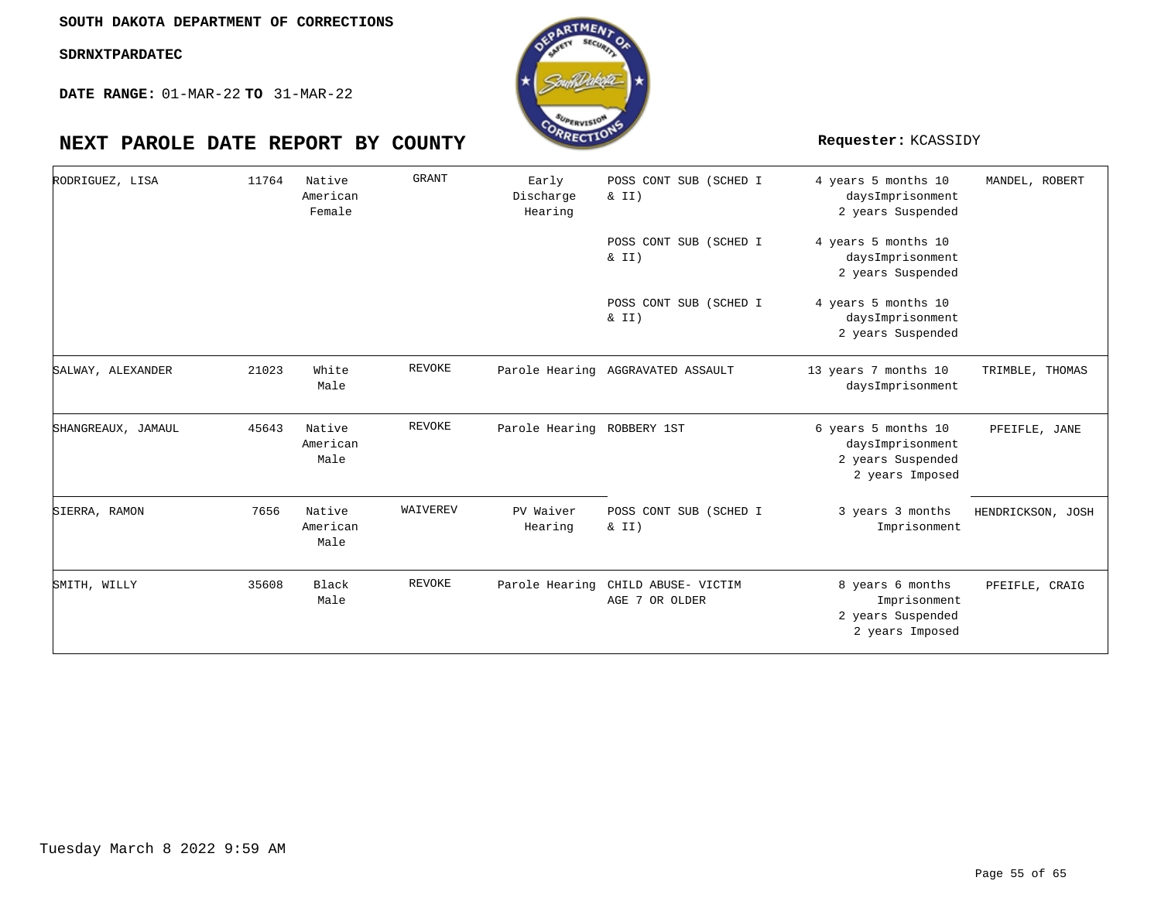**DATE RANGE:** 01-MAR-22 **TO** 31-MAR-22



| RODRIGUEZ, LISA    | 11764 | Native<br>American<br>Female | <b>GRANT</b> | Early<br>Discharge<br>Hearing | POSS CONT SUB (SCHED I<br>$\&$ II)    | 4 years 5 months 10<br>daysImprisonment<br>2 years Suspended                    | MANDEL, ROBERT    |
|--------------------|-------|------------------------------|--------------|-------------------------------|---------------------------------------|---------------------------------------------------------------------------------|-------------------|
|                    |       |                              |              |                               | POSS CONT SUB (SCHED I<br>$\&$ II)    | 4 years 5 months 10<br>daysImprisonment<br>2 years Suspended                    |                   |
|                    |       |                              |              |                               | POSS CONT SUB (SCHED I<br>$\&$ II)    | 4 years 5 months 10<br>daysImprisonment<br>2 years Suspended                    |                   |
| SALWAY, ALEXANDER  | 21023 | White<br>Male                | REVOKE       |                               | Parole Hearing AGGRAVATED ASSAULT     | 13 years 7 months 10<br>daysImprisonment                                        | TRIMBLE, THOMAS   |
| SHANGREAUX, JAMAUL | 45643 | Native<br>American<br>Male   | REVOKE       | Parole Hearing ROBBERY 1ST    |                                       | 6 years 5 months 10<br>daysImprisonment<br>2 years Suspended<br>2 years Imposed | PFEIFLE, JANE     |
| SIERRA, RAMON      | 7656  | Native<br>American<br>Male   | WAIVEREV     | PV Waiver<br>Hearing          | POSS CONT SUB (SCHED I<br>$\&$ II)    | 3 years 3 months<br>Imprisonment                                                | HENDRICKSON, JOSH |
| SMITH, WILLY       | 35608 | Black<br>Male                | REVOKE       | Parole Hearing                | CHILD ABUSE- VICTIM<br>AGE 7 OR OLDER | 8 years 6 months<br>Imprisonment<br>2 years Suspended<br>2 years Imposed        | PFEIFLE, CRAIG    |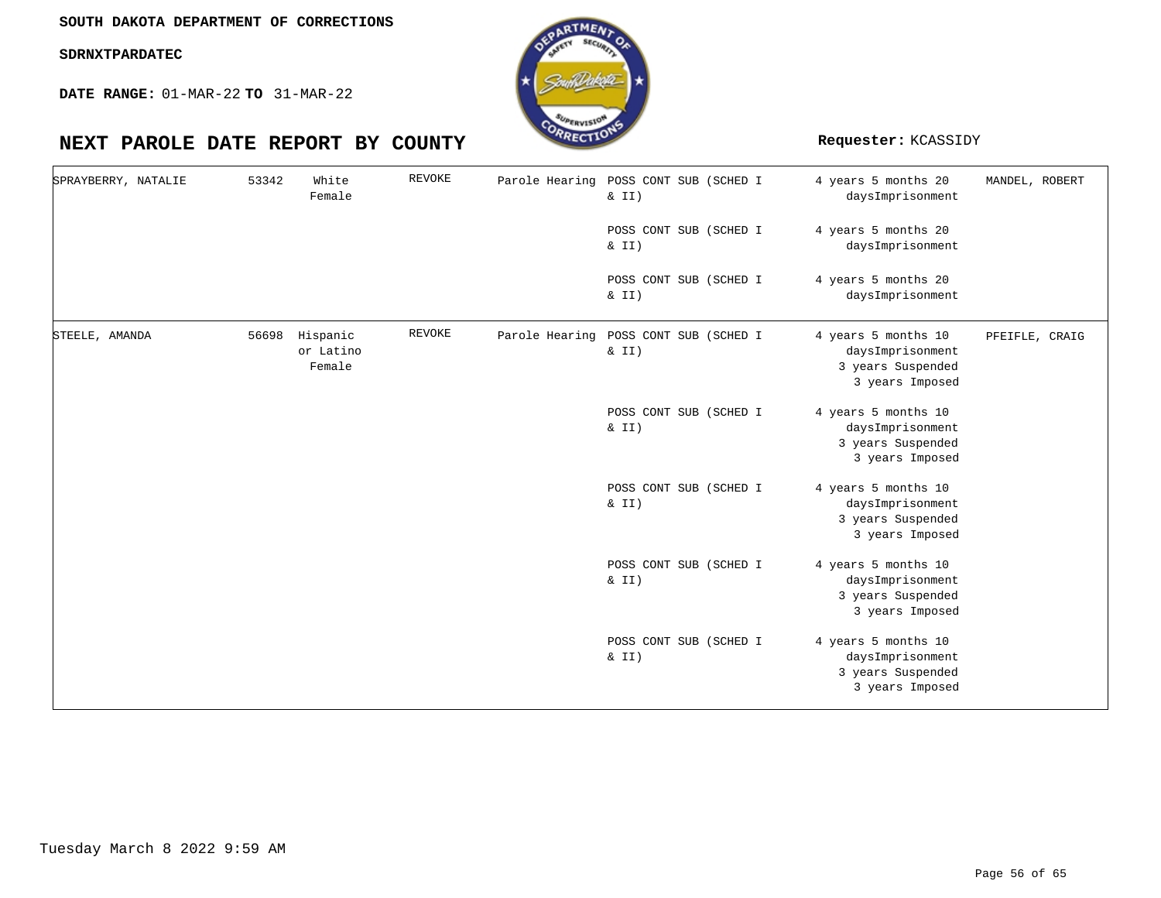**DATE RANGE:** 01-MAR-22 **TO** 31-MAR-22

| SPRAYBERRY, NATALIE | 53342 | White<br>Female                 | <b>REVOKE</b> | Parole Hearing POSS CONT SUB (SCHED I | $\&$ II)                           | 4 years 5 months 20<br>daysImprisonment                                         | MANDEL, ROBERT |
|---------------------|-------|---------------------------------|---------------|---------------------------------------|------------------------------------|---------------------------------------------------------------------------------|----------------|
|                     |       |                                 |               |                                       | POSS CONT SUB (SCHED I<br>& II)    | 4 years 5 months 20<br>daysImprisonment                                         |                |
|                     |       |                                 |               |                                       | POSS CONT SUB (SCHED I<br>$\&$ II) | 4 years 5 months 20<br>daysImprisonment                                         |                |
| STEELE, AMANDA      | 56698 | Hispanic<br>or Latino<br>Female | <b>REVOKE</b> | Parole Hearing POSS CONT SUB (SCHED I | $\&$ II)                           | 4 years 5 months 10<br>daysImprisonment<br>3 years Suspended<br>3 years Imposed | PFEIFLE, CRAIG |
|                     |       |                                 |               |                                       | POSS CONT SUB (SCHED I<br>& II)    | 4 years 5 months 10<br>daysImprisonment<br>3 years Suspended<br>3 years Imposed |                |
|                     |       |                                 |               |                                       | POSS CONT SUB (SCHED I<br>& II)    | 4 years 5 months 10<br>daysImprisonment<br>3 years Suspended<br>3 years Imposed |                |
|                     |       |                                 |               |                                       | POSS CONT SUB (SCHED I<br>$\&$ II) | 4 years 5 months 10<br>daysImprisonment<br>3 years Suspended<br>3 years Imposed |                |
|                     |       |                                 |               |                                       | POSS CONT SUB (SCHED I<br>& II)    | 4 years 5 months 10<br>daysImprisonment<br>3 years Suspended<br>3 years Imposed |                |

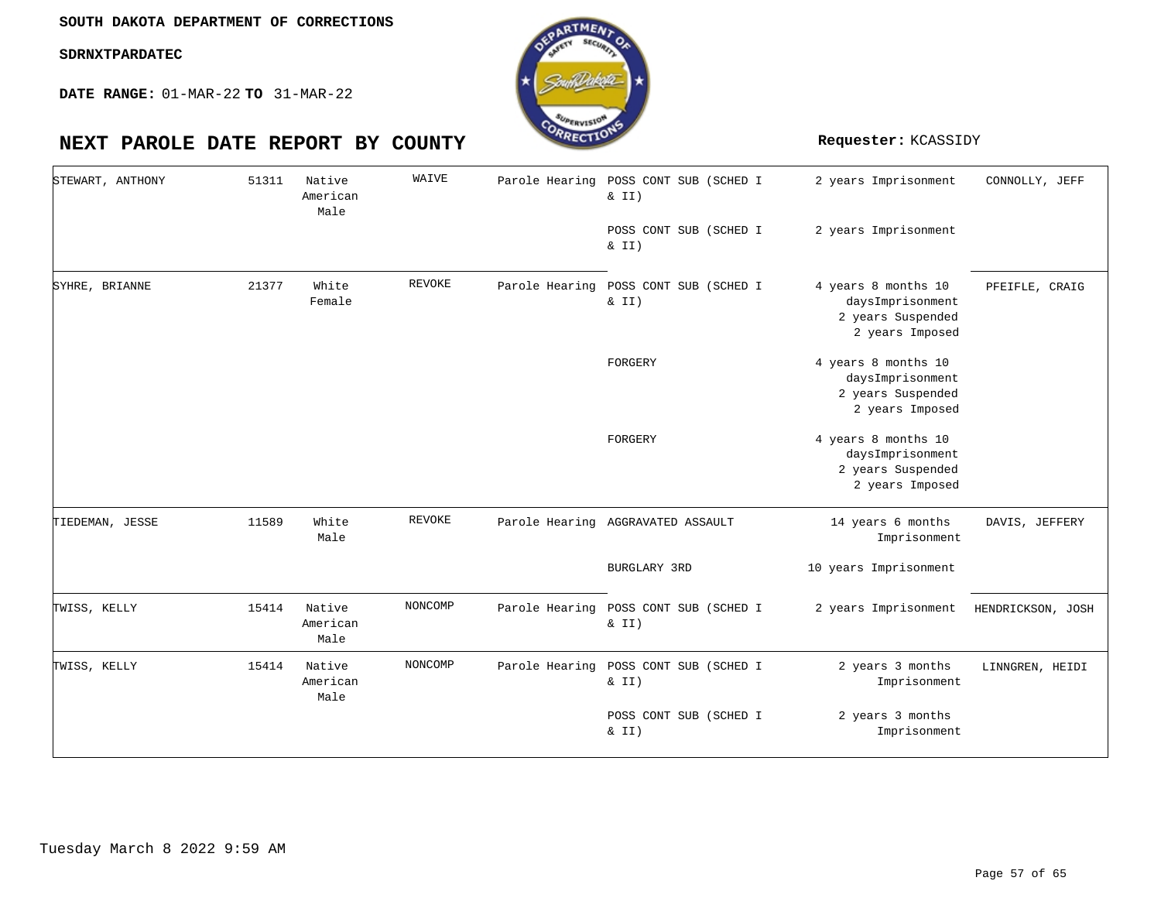**DATE RANGE:** 01-MAR-22 **TO** 31-MAR-22

| STEWART, ANTHONY | 51311 | Native<br>American<br>Male | WAIVE         |                | Parole Hearing POSS CONT SUB (SCHED I<br>& II)<br>POSS CONT SUB (SCHED I<br>& II) | 2 years Imprisonment<br>2 years Imprisonment                                    | CONNOLLY, JEFF    |
|------------------|-------|----------------------------|---------------|----------------|-----------------------------------------------------------------------------------|---------------------------------------------------------------------------------|-------------------|
| SYHRE, BRIANNE   | 21377 | White<br>Female            | REVOKE        | Parole Hearing | POSS CONT SUB (SCHED I<br>& II)                                                   | 4 years 8 months 10<br>daysImprisonment<br>2 years Suspended<br>2 years Imposed | PFEIFLE, CRAIG    |
|                  |       |                            |               |                | FORGERY                                                                           | 4 years 8 months 10<br>daysImprisonment<br>2 years Suspended<br>2 years Imposed |                   |
|                  |       |                            |               |                | FORGERY                                                                           | 4 years 8 months 10<br>daysImprisonment<br>2 years Suspended<br>2 years Imposed |                   |
| TIEDEMAN, JESSE  | 11589 | White<br>Male              | <b>REVOKE</b> |                | Parole Hearing AGGRAVATED ASSAULT                                                 | 14 years 6 months<br>Imprisonment                                               | DAVIS, JEFFERY    |
|                  |       |                            |               |                | BURGLARY 3RD                                                                      | 10 years Imprisonment                                                           |                   |
| TWISS, KELLY     | 15414 | Native<br>American<br>Male | NONCOMP       |                | Parole Hearing POSS CONT SUB (SCHED I<br>& II)                                    | 2 years Imprisonment                                                            | HENDRICKSON, JOSH |
| TWISS, KELLY     | 15414 | Native<br>American<br>Male | NONCOMP       |                | Parole Hearing POSS CONT SUB (SCHED I<br>& II)                                    | 2 years 3 months<br>Imprisonment                                                | LINNGREN, HEIDI   |
|                  |       |                            |               |                | POSS CONT SUB (SCHED I<br>$\&$ II)                                                | 2 years 3 months<br>Imprisonment                                                |                   |

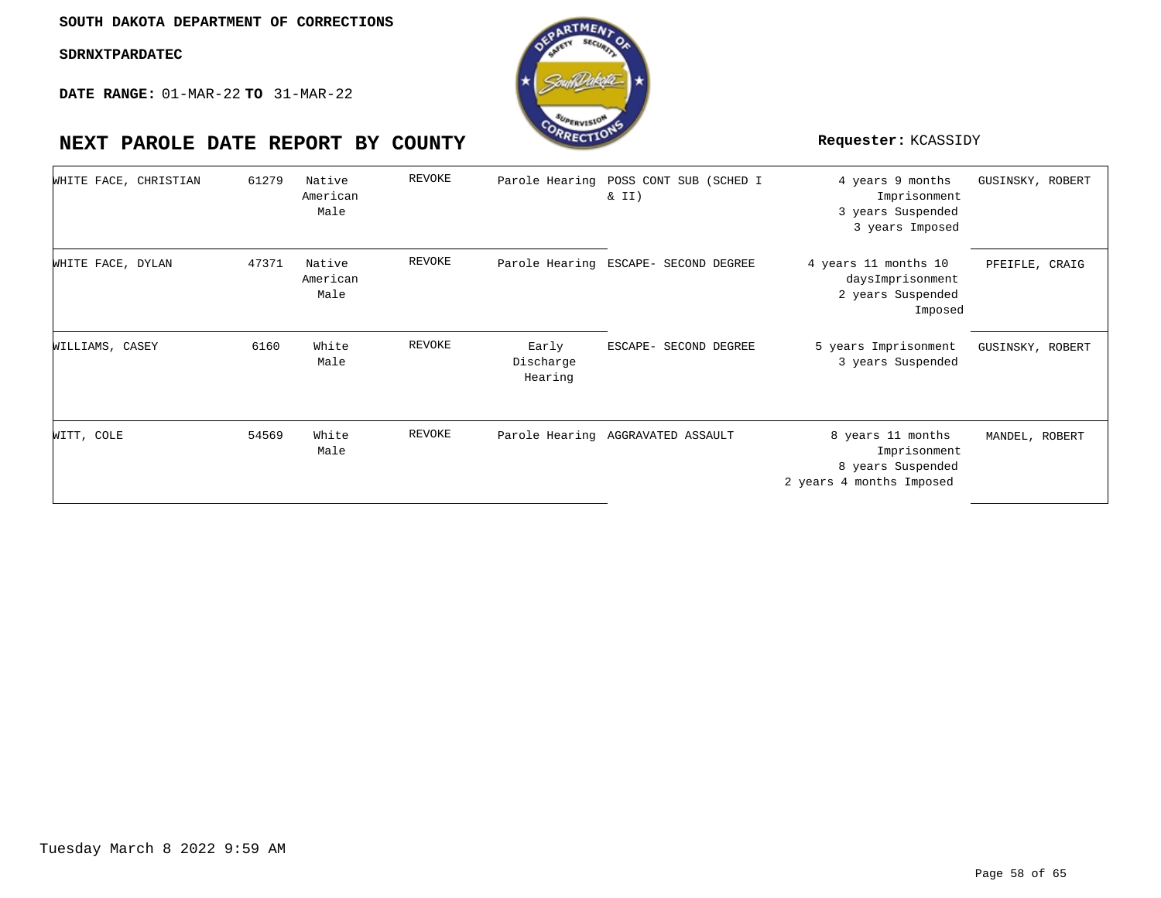

| WHITE FACE, CHRISTIAN | 61279 | Native<br>American<br>Male | REVOKE |                               | Parole Hearing POSS CONT SUB (SCHED I<br>$\&$ II) | 4 years 9 months<br>Imprisonment<br>3 years Suspended<br>3 years Imposed           | GUSINSKY, ROBERT |
|-----------------------|-------|----------------------------|--------|-------------------------------|---------------------------------------------------|------------------------------------------------------------------------------------|------------------|
| WHITE FACE, DYLAN     | 47371 | Native<br>American<br>Male | REVOKE |                               | Parole Hearing ESCAPE- SECOND DEGREE              | 4 years 11 months 10<br>daysImprisonment<br>2 years Suspended<br>Imposed           | PFEIFLE, CRAIG   |
| WILLIAMS, CASEY       | 6160  | White<br>Male              | REVOKE | Early<br>Discharge<br>Hearing | ESCAPE- SECOND DEGREE                             | 5 years Imprisonment<br>3 years Suspended                                          | GUSINSKY, ROBERT |
| WITT, COLE            | 54569 | White<br>Male              | REVOKE |                               | Parole Hearing AGGRAVATED ASSAULT                 | 8 years 11 months<br>Imprisonment<br>8 years Suspended<br>2 years 4 months Imposed | MANDEL, ROBERT   |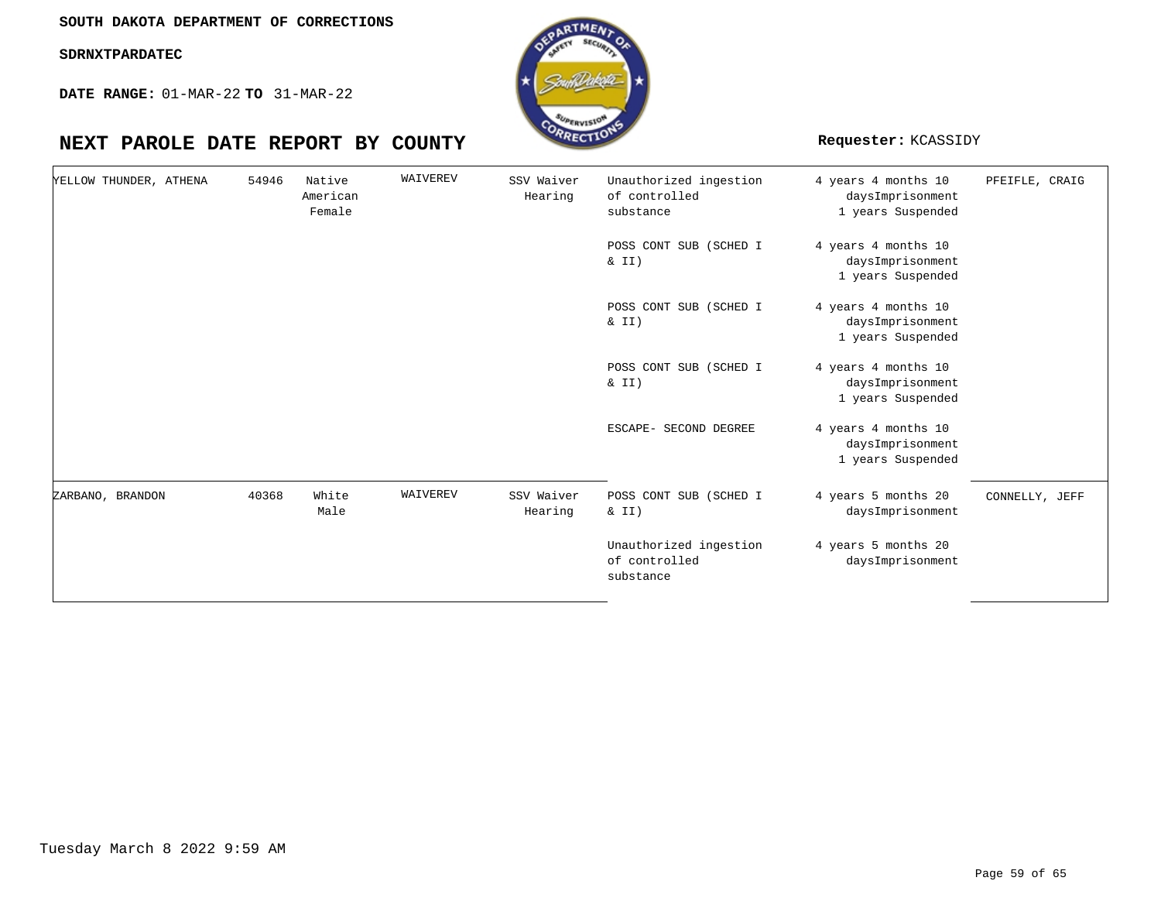**DATE RANGE:** 01-MAR-22 **TO** 31-MAR-22

| YELLOW THUNDER, ATHENA | 54946 | Native<br>American<br>Female | WAIVEREV | SSV Waiver<br>Hearing | Unauthorized ingestion<br>of controlled<br>substance | 4 years 4 months 10<br>daysImprisonment<br>1 years Suspended | PFEIFLE, CRAIG |
|------------------------|-------|------------------------------|----------|-----------------------|------------------------------------------------------|--------------------------------------------------------------|----------------|
|                        |       |                              |          |                       | POSS CONT SUB (SCHED I<br>& II)                      | 4 years 4 months 10<br>daysImprisonment<br>1 years Suspended |                |
|                        |       |                              |          |                       | POSS CONT SUB (SCHED I<br>$\& II)$                   | 4 years 4 months 10<br>daysImprisonment<br>1 years Suspended |                |
|                        |       |                              |          |                       | POSS CONT SUB (SCHED I<br>$\& II)$                   | 4 years 4 months 10<br>daysImprisonment<br>1 years Suspended |                |
|                        |       |                              |          |                       | ESCAPE- SECOND DEGREE                                | 4 years 4 months 10<br>daysImprisonment<br>1 years Suspended |                |
| ZARBANO, BRANDON       | 40368 | White<br>Male                | WAIVEREV | SSV Waiver<br>Hearing | POSS CONT SUB (SCHED I<br>& II)                      | 4 years 5 months 20<br>daysImprisonment                      | CONNELLY, JEFF |
|                        |       |                              |          |                       | Unauthorized ingestion<br>of controlled<br>substance | 4 years 5 months 20<br>daysImprisonment                      |                |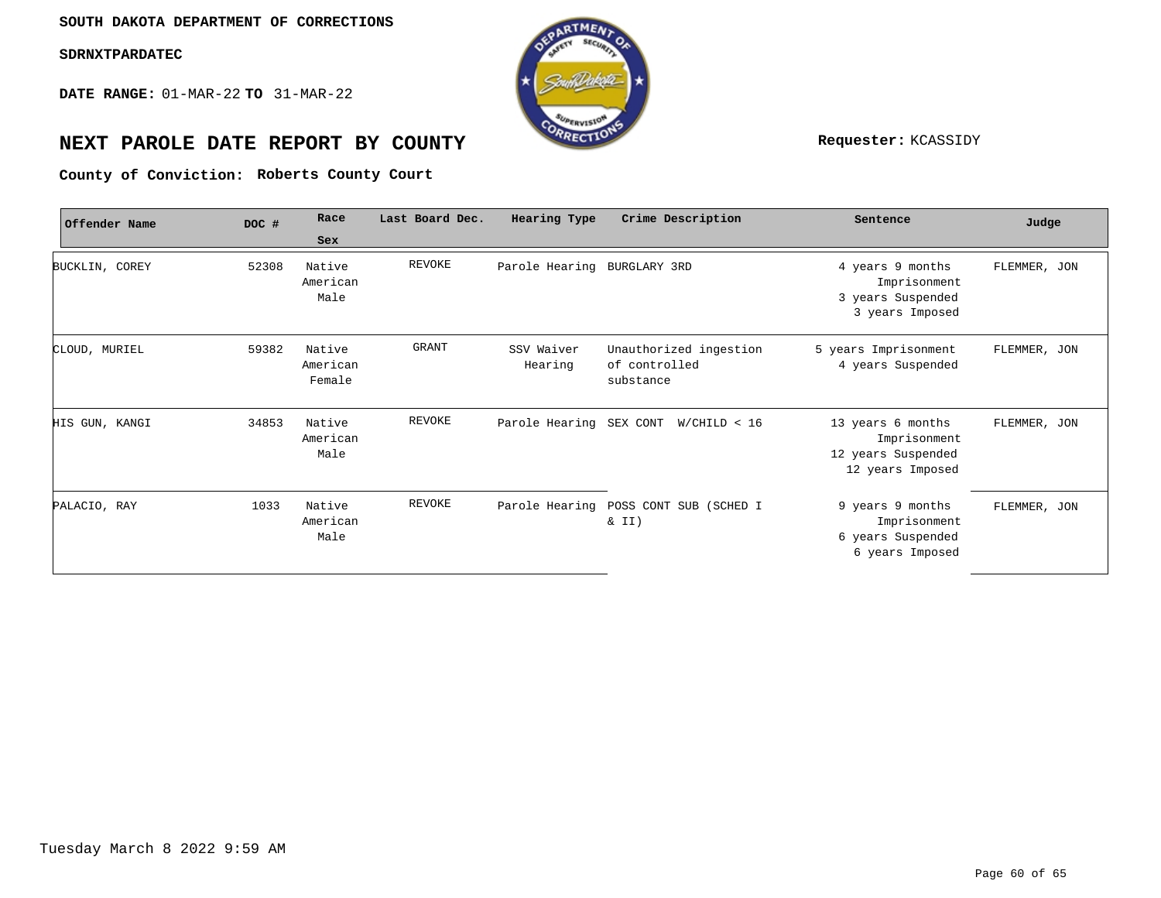**DATE RANGE:** 01-MAR-22 **TO** 31-MAR-22



# **NEXT PAROLE DATE REPORT BY COUNTY Requester:** KCASSIDY

**Roberts County Court County of Conviction:**

| Offender Name  | DOC # | Race                         | Last Board Dec. | Hearing Type                | Crime Description                                    | Sentence                                                                    | Judge        |
|----------------|-------|------------------------------|-----------------|-----------------------------|------------------------------------------------------|-----------------------------------------------------------------------------|--------------|
|                |       | Sex                          |                 |                             |                                                      |                                                                             |              |
| BUCKLIN, COREY | 52308 | Native<br>American<br>Male   | REVOKE          | Parole Hearing BURGLARY 3RD |                                                      | 4 years 9 months<br>Imprisonment<br>3 years Suspended<br>3 years Imposed    | FLEMMER, JON |
| CLOUD, MURIEL  | 59382 | Native<br>American<br>Female | GRANT           | SSV Waiver<br>Hearing       | Unauthorized ingestion<br>of controlled<br>substance | 5 years Imprisonment<br>4 years Suspended                                   | FLEMMER, JON |
| HIS GUN, KANGI | 34853 | Native<br>American<br>Male   | REVOKE          |                             | Parole Hearing SEX CONT W/CHILD < 16                 | 13 years 6 months<br>Imprisonment<br>12 years Suspended<br>12 years Imposed | FLEMMER, JON |
| PALACIO, RAY   | 1033  | Native<br>American<br>Male   | REVOKE          |                             | Parole Hearing POSS CONT SUB (SCHED I<br>& II)       | 9 years 9 months<br>Imprisonment<br>6 years Suspended<br>6 years Imposed    | FLEMMER, JON |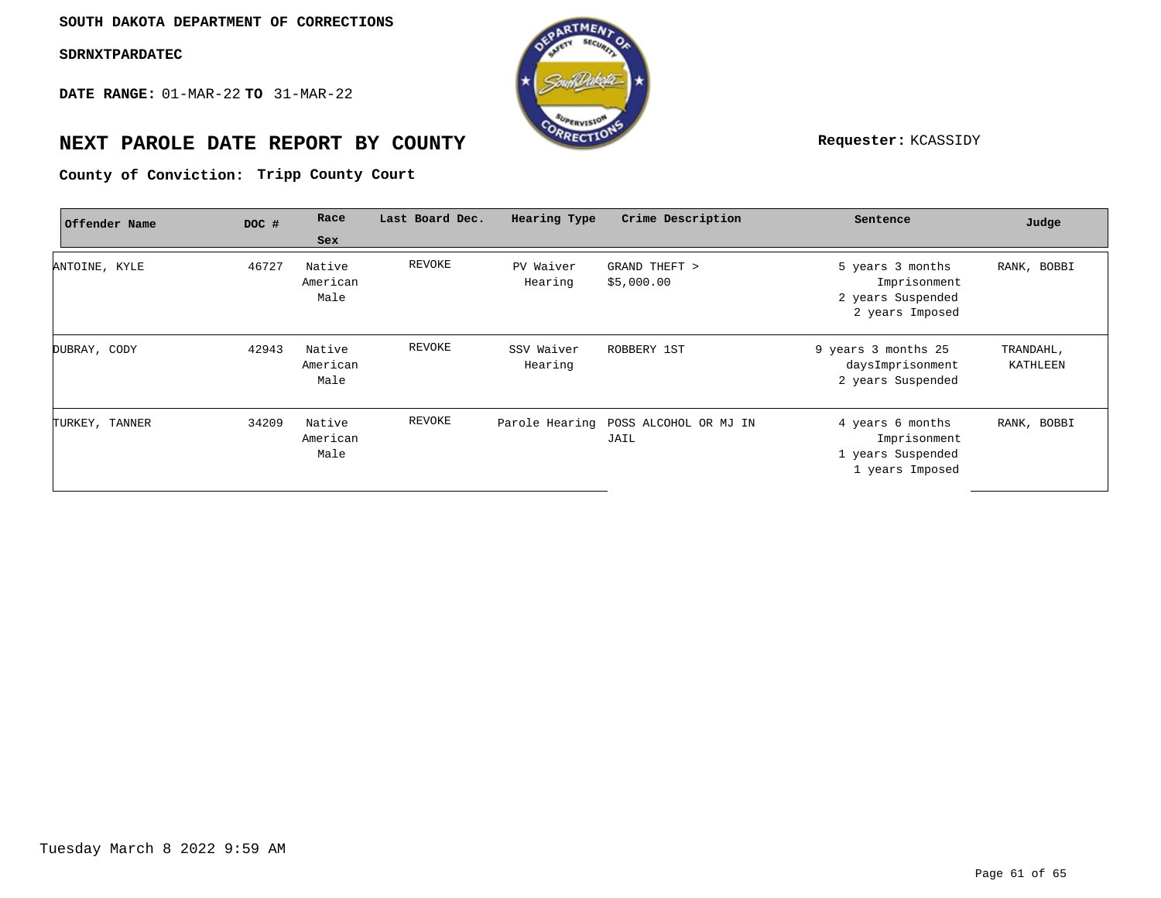**DATE RANGE:** 01-MAR-22 **TO** 31-MAR-22



# **NEXT PAROLE DATE REPORT BY COUNTY Requester:** KCASSIDY

**Tripp County Court County of Conviction:**

| Offender Name  | DOC # | Race                       | Last Board Dec. | Hearing Type          | Crime Description                            | Sentence                                                                 | Judge                 |
|----------------|-------|----------------------------|-----------------|-----------------------|----------------------------------------------|--------------------------------------------------------------------------|-----------------------|
|                |       | Sex                        |                 |                       |                                              |                                                                          |                       |
| ANTOINE, KYLE  | 46727 | Native<br>American<br>Male | REVOKE          | PV Waiver<br>Hearing  | GRAND THEFT ><br>\$5,000.00                  | 5 years 3 months<br>Imprisonment<br>2 years Suspended<br>2 years Imposed | RANK, BOBBI           |
| DUBRAY, CODY   | 42943 | Native<br>American<br>Male | REVOKE          | SSV Waiver<br>Hearing | ROBBERY 1ST                                  | 9 years 3 months 25<br>daysImprisonment<br>2 years Suspended             | TRANDAHL,<br>KATHLEEN |
| TURKEY, TANNER | 34209 | Native<br>American<br>Male | REVOKE          |                       | Parole Hearing POSS ALCOHOL OR MJ IN<br>JAIL | 4 years 6 months<br>Imprisonment<br>1 years Suspended<br>1 years Imposed | RANK, BOBBI           |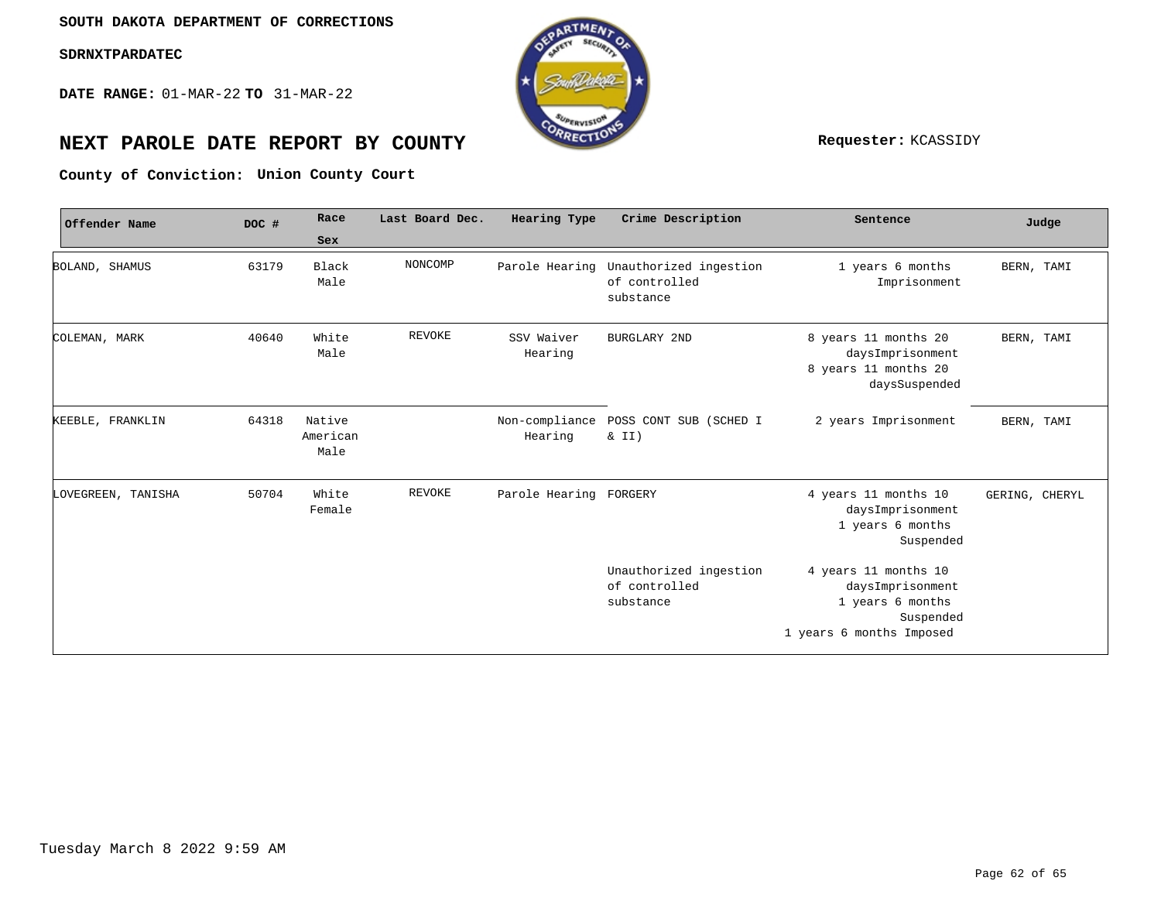**DATE RANGE:** 01-MAR-22 **TO** 31-MAR-22



# **NEXT PAROLE DATE REPORT BY COUNTY Requester:** KCASSIDY

**Union County Court County of Conviction:**

| Offender Name      | DOC # | Race                       | Last Board Dec. | Hearing Type              | Crime Description                                    | Sentence                                                                                              | Judge          |
|--------------------|-------|----------------------------|-----------------|---------------------------|------------------------------------------------------|-------------------------------------------------------------------------------------------------------|----------------|
|                    |       | Sex                        |                 |                           |                                                      |                                                                                                       |                |
| BOLAND, SHAMUS     | 63179 | Black<br>Male              | NONCOMP         | Parole Hearing            | Unauthorized ingestion<br>of controlled<br>substance | 1 years 6 months<br>Imprisonment                                                                      | BERN, TAMI     |
| COLEMAN, MARK      | 40640 | White<br>Male              | REVOKE          | SSV Waiver<br>Hearing     | <b>BURGLARY 2ND</b>                                  | 8 years 11 months 20<br>daysImprisonment<br>8 years 11 months 20<br>daysSuspended                     | BERN, TAMI     |
| KEEBLE, FRANKLIN   | 64318 | Native<br>American<br>Male |                 | Non-compliance<br>Hearing | POSS CONT SUB (SCHED I<br>$\&$ II)                   | 2 years Imprisonment                                                                                  | BERN, TAMI     |
| LOVEGREEN, TANISHA | 50704 | White<br>Female            | <b>REVOKE</b>   | Parole Hearing FORGERY    |                                                      | 4 years 11 months 10<br>daysImprisonment<br>1 years 6 months<br>Suspended                             | GERING, CHERYL |
|                    |       |                            |                 |                           | Unauthorized ingestion<br>of controlled<br>substance | 4 years 11 months 10<br>daysImprisonment<br>1 years 6 months<br>Suspended<br>1 years 6 months Imposed |                |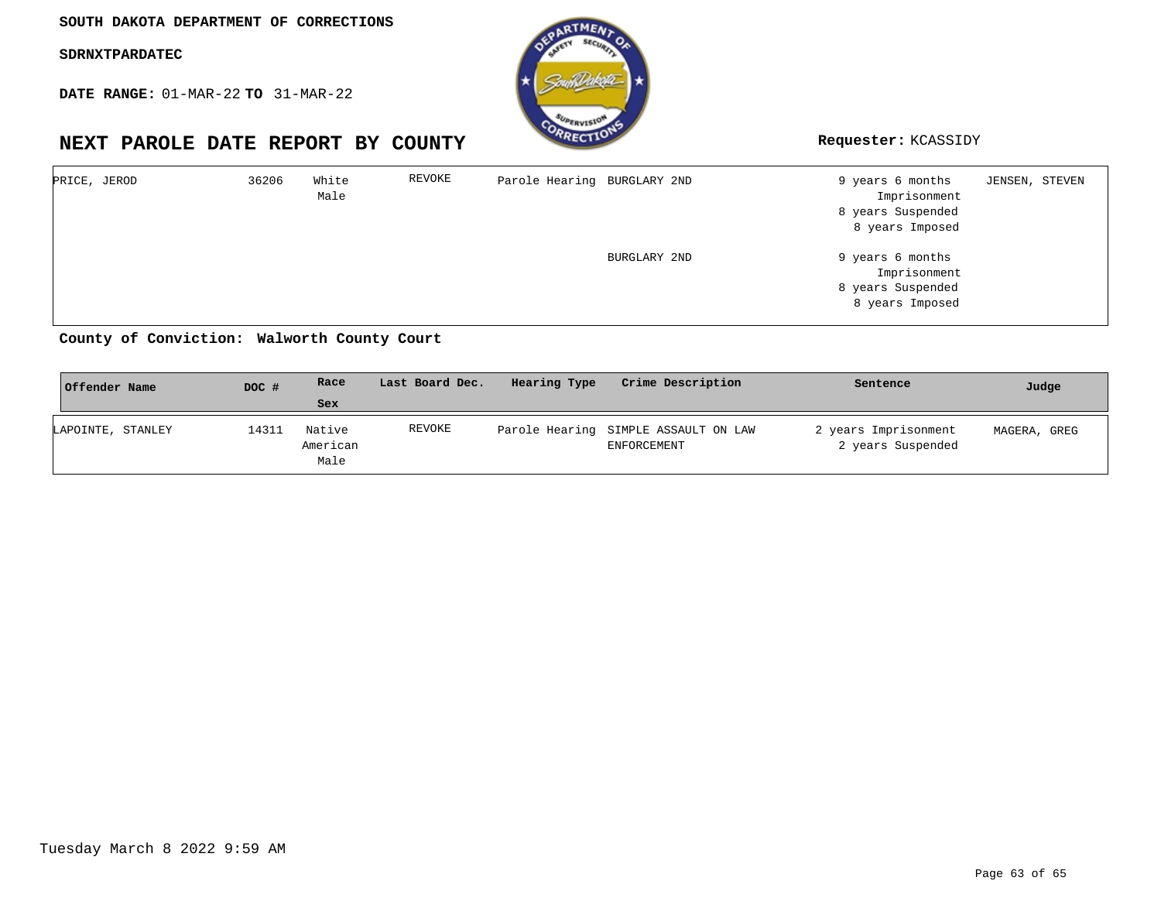**DATE RANGE:** 01-MAR-22 **TO** 31-MAR-22



**NEXT PAROLE DATE REPORT BY COUNTY Requester:** KCASSIDY

| PRICE, JEROD | 36206 | White<br>Male | REVOKE | Parole Hearing BURGLARY 2ND |              | 9 years 6 months<br>Imprisonment<br>8 years Suspended<br>8 years Imposed | JENSEN, STEVEN |  |
|--------------|-------|---------------|--------|-----------------------------|--------------|--------------------------------------------------------------------------|----------------|--|
|              |       |               |        |                             | BURGLARY 2ND | 9 years 6 months<br>Imprisonment<br>8 years Suspended<br>8 years Imposed |                |  |

#### **Walworth County Court County of Conviction:**

| Offender Name     | DOC # | Race                       | Last Board Dec. | Hearing Type | Crime Description                                   | Sentence                                  | Judge        |
|-------------------|-------|----------------------------|-----------------|--------------|-----------------------------------------------------|-------------------------------------------|--------------|
|                   |       | Sex                        |                 |              |                                                     |                                           |              |
| LAPOINTE, STANLEY | 14311 | Native<br>American<br>Male | REVOKE          |              | Parole Hearing SIMPLE ASSAULT ON LAW<br>ENFORCEMENT | 2 years Imprisonment<br>2 years Suspended | MAGERA, GREG |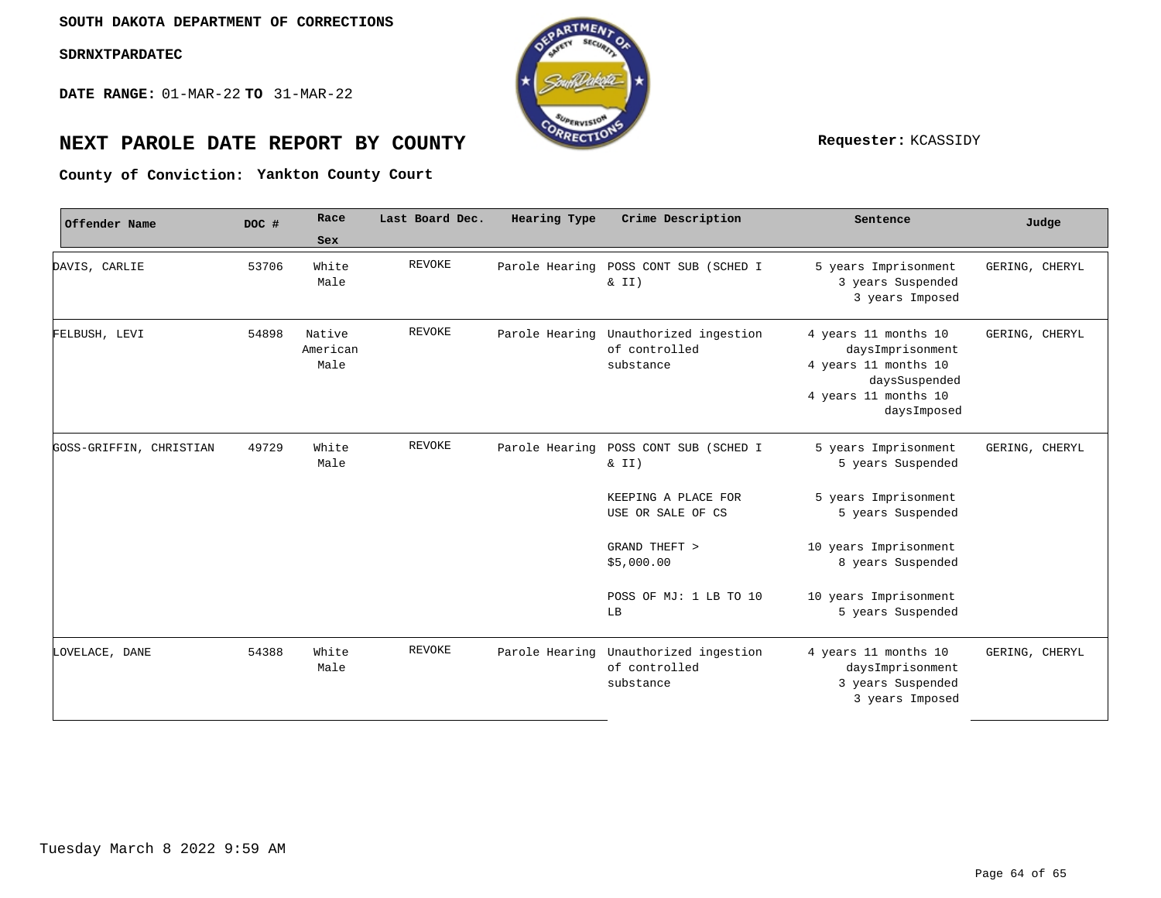**DATE RANGE:** 01-MAR-22 **TO** 31-MAR-22



# **NEXT PAROLE DATE REPORT BY COUNTY Requester:** KCASSIDY

**Yankton County Court County of Conviction:**

| Offender Name           | DOC # | Race<br>Sex                | Last Board Dec. | Hearing Type   | Crime Description                                    | Sentence                                                                                                                 | Judge          |
|-------------------------|-------|----------------------------|-----------------|----------------|------------------------------------------------------|--------------------------------------------------------------------------------------------------------------------------|----------------|
| DAVIS, CARLIE           | 53706 | White<br>Male              | <b>REVOKE</b>   |                | Parole Hearing POSS CONT SUB (SCHED I<br>$\&$ II)    | 5 years Imprisonment<br>3 years Suspended<br>3 years Imposed                                                             | GERING, CHERYL |
| FELBUSH, LEVI           | 54898 | Native<br>American<br>Male | REVOKE          | Parole Hearing | Unauthorized ingestion<br>of controlled<br>substance | 4 years 11 months 10<br>daysImprisonment<br>4 years 11 months 10<br>daysSuspended<br>4 years 11 months 10<br>daysImposed | GERING, CHERYL |
| GOSS-GRIFFIN, CHRISTIAN | 49729 | White<br>Male              | REVOKE          | Parole Hearing | POSS CONT SUB (SCHED I<br>& II)                      | 5 years Imprisonment<br>5 years Suspended                                                                                | GERING, CHERYL |
|                         |       |                            |                 |                | KEEPING A PLACE FOR<br>USE OR SALE OF CS             | 5 years Imprisonment<br>5 years Suspended                                                                                |                |
|                         |       |                            |                 |                | GRAND THEFT ><br>\$5,000.00                          | 10 years Imprisonment<br>8 years Suspended                                                                               |                |
|                         |       |                            |                 |                | POSS OF MJ: 1 LB TO 10<br>LB                         | 10 years Imprisonment<br>5 years Suspended                                                                               |                |
| LOVELACE, DANE          | 54388 | White<br>Male              | REVOKE          | Parole Hearing | Unauthorized ingestion<br>of controlled<br>substance | 4 years 11 months 10<br>daysImprisonment<br>3 years Suspended<br>3 years Imposed                                         | GERING, CHERYL |